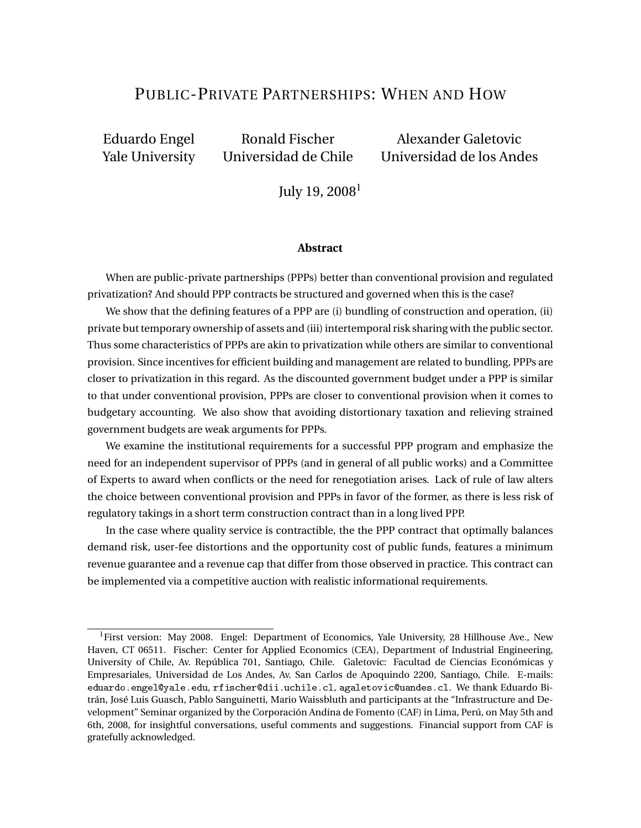## PUBLIC-PRIVATE PARTNERSHIPS: WHEN AND HOW

Eduardo Engel Ronald Fischer Alexander Galetovic

Yale University Universidad de Chile Universidad de los Andes

July 19, 2008<sup>1</sup>

#### **Abstract**

When are public-private partnerships (PPPs) better than conventional provision and regulated privatization? And should PPP contracts be structured and governed when this is the case?

We show that the defining features of a PPP are (i) bundling of construction and operation, (ii) private but temporary ownership of assets and (iii) intertemporal risk sharing with the public sector. Thus some characteristics of PPPs are akin to privatization while others are similar to conventional provision. Since incentives for efficient building and management are related to bundling, PPPs are closer to privatization in this regard. As the discounted government budget under a PPP is similar to that under conventional provision, PPPs are closer to conventional provision when it comes to budgetary accounting. We also show that avoiding distortionary taxation and relieving strained government budgets are weak arguments for PPPs.

We examine the institutional requirements for a successful PPP program and emphasize the need for an independent supervisor of PPPs (and in general of all public works) and a Committee of Experts to award when conflicts or the need for renegotiation arises. Lack of rule of law alters the choice between conventional provision and PPPs in favor of the former, as there is less risk of regulatory takings in a short term construction contract than in a long lived PPP.

In the case where quality service is contractible, the the PPP contract that optimally balances demand risk, user-fee distortions and the opportunity cost of public funds, features a minimum revenue guarantee and a revenue cap that differ from those observed in practice. This contract can be implemented via a competitive auction with realistic informational requirements.

<sup>&</sup>lt;sup>1</sup>First version: May 2008. Engel: Department of Economics, Yale University, 28 Hillhouse Ave., New Haven, CT 06511. Fischer: Center for Applied Economics (CEA), Department of Industrial Engineering, University of Chile, Av. República 701, Santiago, Chile. Galetovic: Facultad de Ciencias Económicas y Empresariales, Universidad de Los Andes, Av. San Carlos de Apoquindo 2200, Santiago, Chile. E-mails: eduardo.engel@yale.edu, rfischer@dii.uchile.cl, agaletovic@uandes.cl. We thank Eduardo Bitrán, José Luis Guasch, Pablo Sanguinetti, Mario Waissbluth and participants at the "Infrastructure and Development" Seminar organized by the Corporación Andina de Fomento (CAF) in Lima, Perú, on May 5th and 6th, 2008, for insightful conversations, useful comments and suggestions. Financial support from CAF is gratefully acknowledged.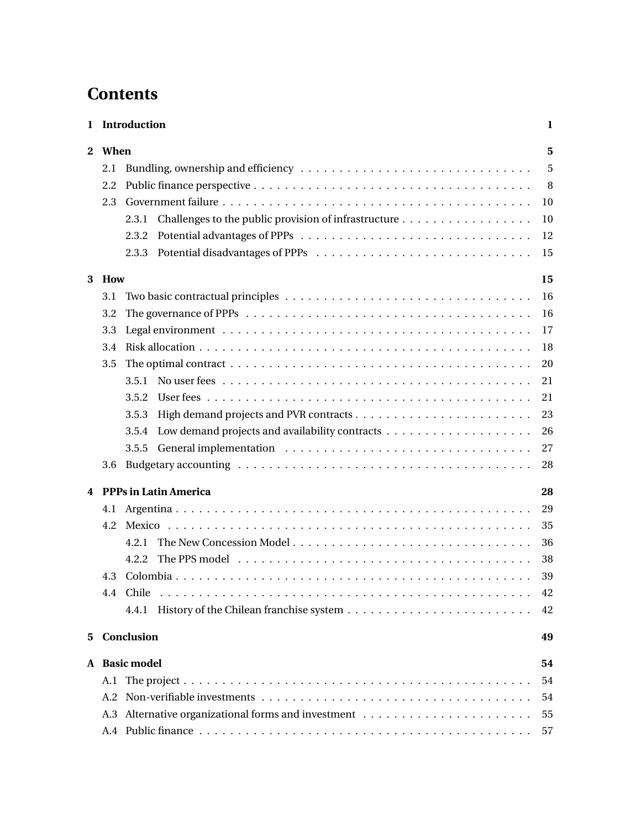# **Contents**

| 1 |      | Introduction                                                                                                     | 1  |
|---|------|------------------------------------------------------------------------------------------------------------------|----|
| 2 | When |                                                                                                                  | 5  |
|   | 2.1  |                                                                                                                  | 5  |
|   | 2.2  |                                                                                                                  | -8 |
|   | 2.3  |                                                                                                                  | 10 |
|   |      | 2.3.1                                                                                                            | 10 |
|   |      | 2.3.2                                                                                                            | 12 |
|   |      |                                                                                                                  | 15 |
| 3 | How  |                                                                                                                  | 15 |
|   | 3.1  |                                                                                                                  | 16 |
|   | 3.2  |                                                                                                                  | 16 |
|   | 3.3  |                                                                                                                  | 17 |
|   | 3.4  |                                                                                                                  | 18 |
|   | 3.5  | The optimal contract $\dots \dots \dots \dots \dots \dots \dots \dots \dots \dots \dots \dots \dots \dots \dots$ | 20 |
|   |      |                                                                                                                  | 21 |
|   |      | 3.5.2                                                                                                            | 21 |
|   |      | 3.5.3                                                                                                            | 23 |
|   |      | 3.5.4                                                                                                            | 26 |
|   |      | 3.5.5                                                                                                            | 27 |
|   | 3.6  |                                                                                                                  | 28 |
| 4 |      | <b>PPPs in Latin America</b>                                                                                     | 28 |
|   | 4.1  |                                                                                                                  | 29 |
|   | 4.2  |                                                                                                                  | 35 |
|   |      | 4.2.1                                                                                                            | 36 |
|   |      | 4.2.2                                                                                                            | 38 |
|   | 4.3  |                                                                                                                  | 39 |
|   |      |                                                                                                                  | 42 |
|   |      |                                                                                                                  | 42 |
| 5 |      | Conclusion                                                                                                       | 49 |
|   |      | A Basic model                                                                                                    | 54 |
|   | A.1  |                                                                                                                  | 54 |
|   |      |                                                                                                                  | 54 |
|   |      |                                                                                                                  | 55 |
|   |      |                                                                                                                  | 57 |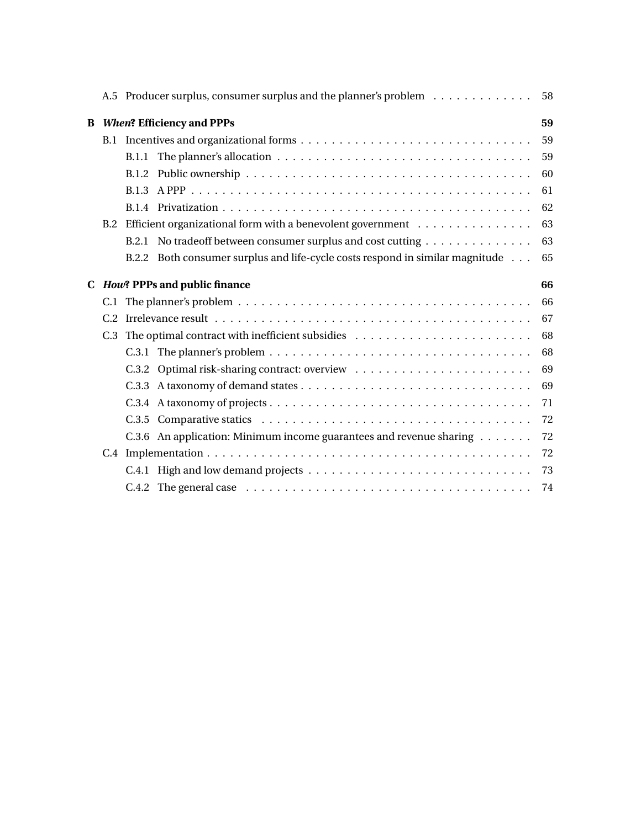|   |     | A.5 Producer surplus, consumer surplus and the planner's problem                           | 58 |
|---|-----|--------------------------------------------------------------------------------------------|----|
| B |     | <b>When? Efficiency and PPPs</b>                                                           | 59 |
|   |     |                                                                                            | 59 |
|   |     | B.1.1                                                                                      | 59 |
|   |     |                                                                                            | 60 |
|   |     |                                                                                            | 61 |
|   |     |                                                                                            | 62 |
|   | B.2 | Efficient organizational form with a benevolent government $\dots \dots \dots \dots \dots$ | 63 |
|   |     | B.2.1 No tradeoff between consumer surplus and cost cutting                                | 63 |
|   |     | B.2.2 Both consumer surplus and life-cycle costs respond in similar magnitude              | 65 |
|   |     | C How? PPPs and public finance                                                             | 66 |
|   |     |                                                                                            | 66 |
|   |     |                                                                                            | 67 |
|   | C.3 |                                                                                            | 68 |
|   |     |                                                                                            | 68 |
|   |     |                                                                                            | 69 |
|   |     |                                                                                            | 69 |
|   |     |                                                                                            |    |
|   |     |                                                                                            | 71 |
|   |     |                                                                                            | 72 |
|   |     | C.3.6 An application: Minimum income guarantees and revenue sharing                        | 72 |
|   |     |                                                                                            | 72 |
|   |     |                                                                                            | 73 |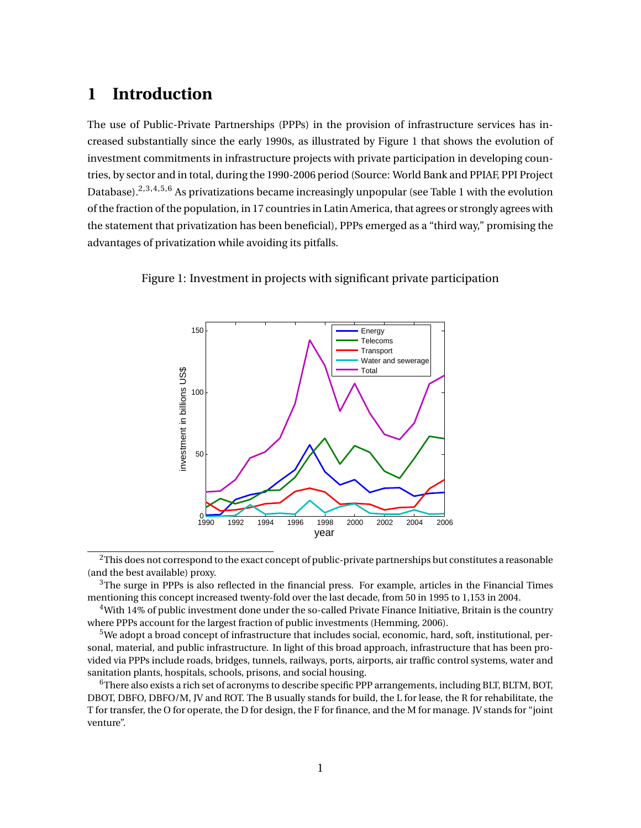## **1 Introduction**

The use of Public-Private Partnerships (PPPs) in the provision of infrastructure services has increased substantially since the early 1990s, as illustrated by Figure 1 that shows the evolution of investment commitments in infrastructure projects with private participation in developing countries, by sector and in total, during the 1990-2006 period (Source: World Bank and PPIAF, PPI Project Database).2,3,4,5,6 As privatizations became increasingly unpopular (see Table 1 with the evolution of the fraction of the population, in 17 countries in Latin America, that agrees or strongly agrees with the statement that privatization has been beneficial), PPPs emerged as a "third way," promising the advantages of privatization while avoiding its pitfalls.



Figure 1: Investment in projects with significant private participation

<sup>2</sup>This does not correspond to the exact concept of public-private partnerships but constitutes a reasonable (and the best available) proxy.

 $3$ The surge in PPPs is also reflected in the financial press. For example, articles in the Financial Times mentioning this concept increased twenty-fold over the last decade, from 50 in 1995 to 1,153 in 2004.

<sup>4</sup>With 14% of public investment done under the so-called Private Finance Initiative, Britain is the country where PPPs account for the largest fraction of public investments (Hemming, 2006).

 $5$ We adopt a broad concept of infrastructure that includes social, economic, hard, soft, institutional, personal, material, and public infrastructure. In light of this broad approach, infrastructure that has been provided via PPPs include roads, bridges, tunnels, railways, ports, airports, air traffic control systems, water and sanitation plants, hospitals, schools, prisons, and social housing.

<sup>6</sup>There also exists a rich set of acronyms to describe specific PPP arrangements, including BLT, BLTM, BOT, DBOT, DBFO, DBFO/M, JV and ROT. The B usually stands for build, the L for lease, the R for rehabilitate, the T for transfer, the O for operate, the D for design, the F for finance, and the M for manage. JV stands for "joint venture".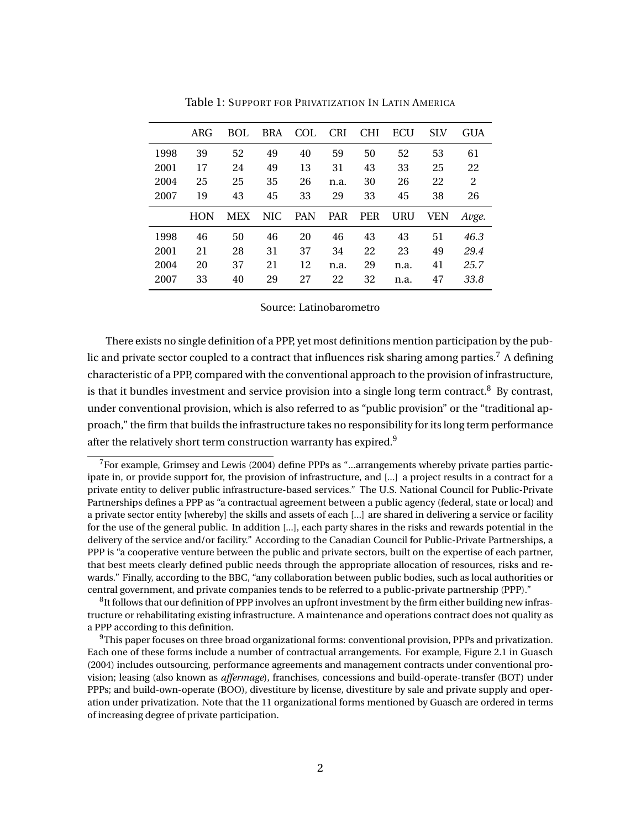|      | ARG <sub>F</sub> | BOL        | <b>BRA</b> | <b>COL</b> | <b>CRI</b> | <b>CHI</b> | ECU  | <b>SLV</b> | <b>GUA</b> |
|------|------------------|------------|------------|------------|------------|------------|------|------------|------------|
| 1998 | 39               | 52         | 49         | 40         | 59         | 50         | 52   | 53         | 61         |
| 2001 | 17               | 24         | 49         | 13         | 31         | 43         | 33   | 25         | 22         |
| 2004 | 25               | 25         | 35         | 26         | n.a.       | 30         | 26   | 22         | 2          |
| 2007 | 19               | 43         | 45         | 33         | 29         | 33         | 45   | 38         | 26         |
|      | HON              | <b>MEX</b> | NIC.       | <b>PAN</b> | <b>PAR</b> | <b>PER</b> | URU  | VEN        | Avge.      |
| 1998 | 46               | 50         | 46         | 20         | 46         | 43         | 43   | 51         | 46.3       |
| 2001 | 21               | 28         | 31         | 37         | 34         | 22         | 23   | 49         | 29.4       |
| 2004 | 20               | 37         | 21         | 12         | n.a.       | 29         | n.a. | 41         | 25.7       |
| 2007 | 33               | 40         | 29         | 27         | 22         | 32         | n.a. | 47         | 33.8       |

Table 1: SUPPORT FOR PRIVATIZATION IN LATIN AMERICA

#### Source: Latinobarometro

There exists no single definition of a PPP, yet most definitions mention participation by the public and private sector coupled to a contract that influences risk sharing among parties.<sup>7</sup> A defining characteristic of a PPP, compared with the conventional approach to the provision of infrastructure, is that it bundles investment and service provision into a single long term contract.<sup>8</sup> By contrast, under conventional provision, which is also referred to as "public provision" or the "traditional approach," the firm that builds the infrastructure takes no responsibility for its long term performance after the relatively short term construction warranty has expired.<sup>9</sup>

<sup>7</sup>For example, Grimsey and Lewis (2004) define PPPs as "...arrangements whereby private parties participate in, or provide support for, the provision of infrastructure, and [...] a project results in a contract for a private entity to deliver public infrastructure-based services." The U.S. National Council for Public-Private Partnerships defines a PPP as "a contractual agreement between a public agency (federal, state or local) and a private sector entity [whereby] the skills and assets of each [...] are shared in delivering a service or facility for the use of the general public. In addition [...], each party shares in the risks and rewards potential in the delivery of the service and/or facility." According to the Canadian Council for Public-Private Partnerships, a PPP is "a cooperative venture between the public and private sectors, built on the expertise of each partner, that best meets clearly defined public needs through the appropriate allocation of resources, risks and rewards." Finally, according to the BBC, "any collaboration between public bodies, such as local authorities or central government, and private companies tends to be referred to a public-private partnership (PPP)."

 ${}^{8}$ It follows that our definition of PPP involves an upfront investment by the firm either building new infrastructure or rehabilitating existing infrastructure. A maintenance and operations contract does not quality as a PPP according to this definition.

 $9$ This paper focuses on three broad organizational forms: conventional provision, PPPs and privatization. Each one of these forms include a number of contractual arrangements. For example, Figure 2.1 in Guasch (2004) includes outsourcing, performance agreements and management contracts under conventional provision; leasing (also known as *affermage*), franchises, concessions and build-operate-transfer (BOT) under PPPs; and build-own-operate (BOO), divestiture by license, divestiture by sale and private supply and operation under privatization. Note that the 11 organizational forms mentioned by Guasch are ordered in terms of increasing degree of private participation.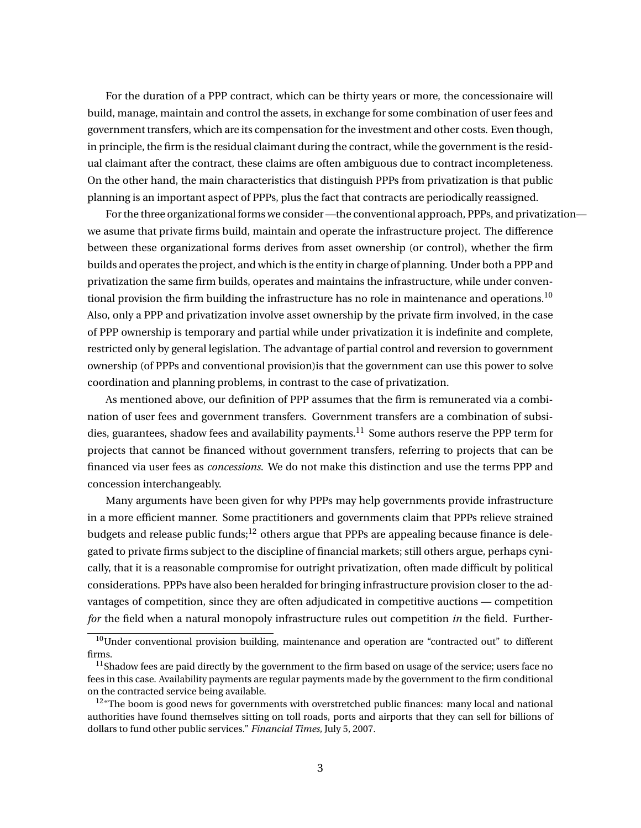For the duration of a PPP contract, which can be thirty years or more, the concessionaire will build, manage, maintain and control the assets, in exchange for some combination of user fees and government transfers, which are its compensation for the investment and other costs. Even though, in principle, the firm is the residual claimant during the contract, while the government is the residual claimant after the contract, these claims are often ambiguous due to contract incompleteness. On the other hand, the main characteristics that distinguish PPPs from privatization is that public planning is an important aspect of PPPs, plus the fact that contracts are periodically reassigned.

For the three organizational forms we consider —the conventional approach, PPPs, and privatization we asume that private firms build, maintain and operate the infrastructure project. The difference between these organizational forms derives from asset ownership (or control), whether the firm builds and operates the project, and which is the entity in charge of planning. Under both a PPP and privatization the same firm builds, operates and maintains the infrastructure, while under conventional provision the firm building the infrastructure has no role in maintenance and operations.<sup>10</sup> Also, only a PPP and privatization involve asset ownership by the private firm involved, in the case of PPP ownership is temporary and partial while under privatization it is indefinite and complete, restricted only by general legislation. The advantage of partial control and reversion to government ownership (of PPPs and conventional provision)is that the government can use this power to solve coordination and planning problems, in contrast to the case of privatization.

As mentioned above, our definition of PPP assumes that the firm is remunerated via a combination of user fees and government transfers. Government transfers are a combination of subsidies, guarantees, shadow fees and availability payments.<sup>11</sup> Some authors reserve the PPP term for projects that cannot be financed without government transfers, referring to projects that can be financed via user fees as *concessions*. We do not make this distinction and use the terms PPP and concession interchangeably.

Many arguments have been given for why PPPs may help governments provide infrastructure in a more efficient manner. Some practitioners and governments claim that PPPs relieve strained budgets and release public funds;  $12$  others argue that PPPs are appealing because finance is delegated to private firms subject to the discipline of financial markets; still others argue, perhaps cynically, that it is a reasonable compromise for outright privatization, often made difficult by political considerations. PPPs have also been heralded for bringing infrastructure provision closer to the advantages of competition, since they are often adjudicated in competitive auctions — competition *for* the field when a natural monopoly infrastructure rules out competition *in* the field. Further-

 $10$ Under conventional provision building, maintenance and operation are "contracted out" to different firms.

 $<sup>11</sup>$ Shadow fees are paid directly by the government to the firm based on usage of the service; users face no</sup> fees in this case. Availability payments are regular payments made by the government to the firm conditional on the contracted service being available.

 $12^{\mu}$ The boom is good news for governments with overstretched public finances: many local and national authorities have found themselves sitting on toll roads, ports and airports that they can sell for billions of dollars to fund other public services." *Financial Times,* July 5, 2007.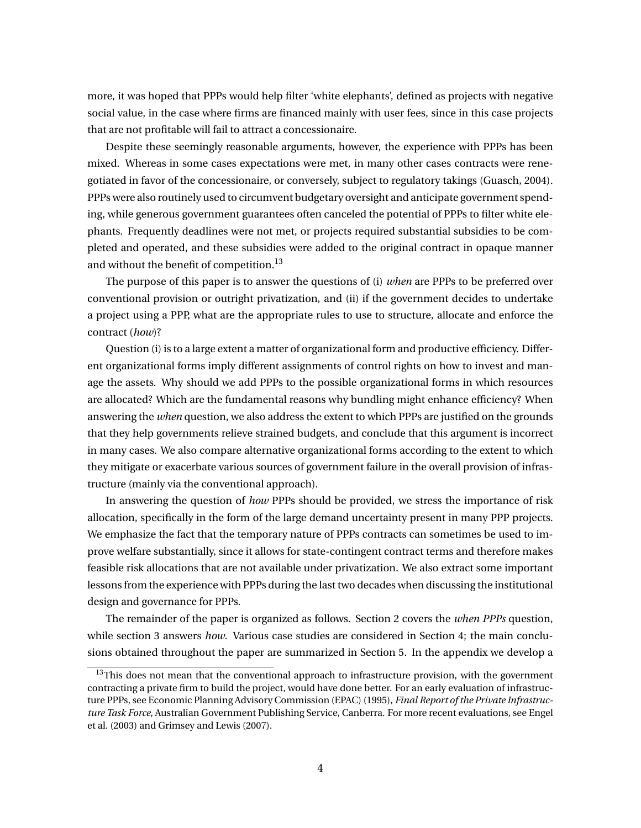more, it was hoped that PPPs would help filter 'white elephants', defined as projects with negative social value, in the case where firms are financed mainly with user fees, since in this case projects that are not profitable will fail to attract a concessionaire.

Despite these seemingly reasonable arguments, however, the experience with PPPs has been mixed. Whereas in some cases expectations were met, in many other cases contracts were renegotiated in favor of the concessionaire, or conversely, subject to regulatory takings (Guasch, 2004). PPPs were also routinely used to circumvent budgetary oversight and anticipate government spending, while generous government guarantees often canceled the potential of PPPs to filter white elephants. Frequently deadlines were not met, or projects required substantial subsidies to be completed and operated, and these subsidies were added to the original contract in opaque manner and without the benefit of competition.<sup>13</sup>

The purpose of this paper is to answer the questions of (i) *when* are PPPs to be preferred over conventional provision or outright privatization, and (ii) if the government decides to undertake a project using a PPP, what are the appropriate rules to use to structure, allocate and enforce the contract (*how*)?

Question (i) is to a large extent a matter of organizational form and productive efficiency. Different organizational forms imply different assignments of control rights on how to invest and manage the assets. Why should we add PPPs to the possible organizational forms in which resources are allocated? Which are the fundamental reasons why bundling might enhance efficiency? When answering the *when* question, we also address the extent to which PPPs are justified on the grounds that they help governments relieve strained budgets, and conclude that this argument is incorrect in many cases. We also compare alternative organizational forms according to the extent to which they mitigate or exacerbate various sources of government failure in the overall provision of infrastructure (mainly via the conventional approach).

In answering the question of *how* PPPs should be provided, we stress the importance of risk allocation, specifically in the form of the large demand uncertainty present in many PPP projects. We emphasize the fact that the temporary nature of PPPs contracts can sometimes be used to improve welfare substantially, since it allows for state-contingent contract terms and therefore makes feasible risk allocations that are not available under privatization. We also extract some important lessons from the experience with PPPs during the last two decades when discussing the institutional design and governance for PPPs.

The remainder of the paper is organized as follows. Section 2 covers the *when PPPs* question, while section 3 answers *how*. Various case studies are considered in Section 4; the main conclusions obtained throughout the paper are summarized in Section 5. In the appendix we develop a

 $13$ This does not mean that the conventional approach to infrastructure provision, with the government contracting a private firm to build the project, would have done better. For an early evaluation of infrastructure PPPs, see Economic Planning Advisory Commission (EPAC) (1995), *Final Report of the Private Infrastructure Task Force*, Australian Government Publishing Service, Canberra. For more recent evaluations, see Engel et al. (2003) and Grimsey and Lewis (2007).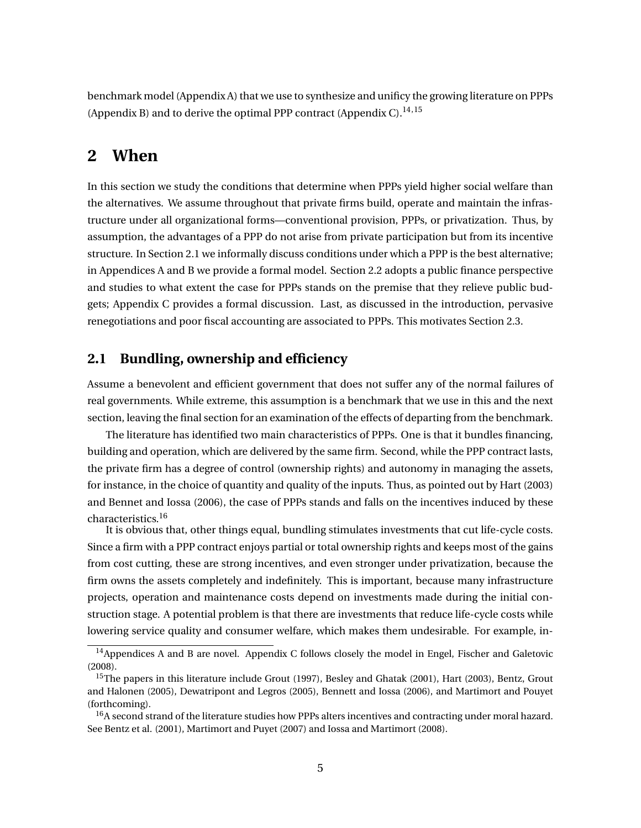benchmark model (Appendix A) that we use to synthesize and unificy the growing literature on PPPs (Appendix B) and to derive the optimal PPP contract (Appendix C).<sup>14,15</sup>

## **2 When**

In this section we study the conditions that determine when PPPs yield higher social welfare than the alternatives. We assume throughout that private firms build, operate and maintain the infrastructure under all organizational forms—conventional provision, PPPs, or privatization. Thus, by assumption, the advantages of a PPP do not arise from private participation but from its incentive structure. In Section 2.1 we informally discuss conditions under which a PPP is the best alternative; in Appendices A and B we provide a formal model. Section 2.2 adopts a public finance perspective and studies to what extent the case for PPPs stands on the premise that they relieve public budgets; Appendix C provides a formal discussion. Last, as discussed in the introduction, pervasive renegotiations and poor fiscal accounting are associated to PPPs. This motivates Section 2.3.

## **2.1 Bundling, ownership and efficiency**

Assume a benevolent and efficient government that does not suffer any of the normal failures of real governments. While extreme, this assumption is a benchmark that we use in this and the next section, leaving the final section for an examination of the effects of departing from the benchmark.

The literature has identified two main characteristics of PPPs. One is that it bundles financing, building and operation, which are delivered by the same firm. Second, while the PPP contract lasts, the private firm has a degree of control (ownership rights) and autonomy in managing the assets, for instance, in the choice of quantity and quality of the inputs. Thus, as pointed out by Hart (2003) and Bennet and Iossa (2006), the case of PPPs stands and falls on the incentives induced by these characteristics.<sup>16</sup>

It is obvious that, other things equal, bundling stimulates investments that cut life-cycle costs. Since a firm with a PPP contract enjoys partial or total ownership rights and keeps most of the gains from cost cutting, these are strong incentives, and even stronger under privatization, because the firm owns the assets completely and indefinitely. This is important, because many infrastructure projects, operation and maintenance costs depend on investments made during the initial construction stage. A potential problem is that there are investments that reduce life-cycle costs while lowering service quality and consumer welfare, which makes them undesirable. For example, in-

<sup>&</sup>lt;sup>14</sup>Appendices A and B are novel. Appendix C follows closely the model in Engel, Fischer and Galetovic (2008).

<sup>&</sup>lt;sup>15</sup>The papers in this literature include Grout (1997), Besley and Ghatak (2001), Hart (2003), Bentz, Grout and Halonen (2005), Dewatripont and Legros (2005), Bennett and Iossa (2006), and Martimort and Pouyet (forthcoming).

<sup>&</sup>lt;sup>16</sup>A second strand of the literature studies how PPPs alters incentives and contracting under moral hazard. See Bentz et al. (2001), Martimort and Puyet (2007) and Iossa and Martimort (2008).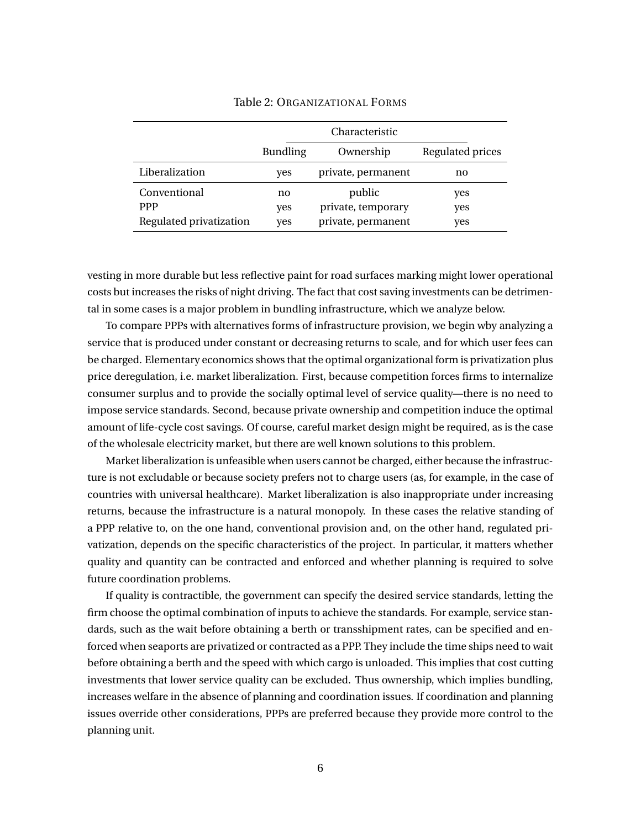|                         | Characteristic  |                    |                  |  |  |
|-------------------------|-----------------|--------------------|------------------|--|--|
|                         | <b>Bundling</b> | Ownership          | Regulated prices |  |  |
| Liberalization          | yes             | private, permanent | no               |  |  |
| Conventional            | no              | public             | yes              |  |  |
| <b>PPP</b>              | yes             | private, temporary | yes              |  |  |
| Regulated privatization | yes             | private, permanent | yes              |  |  |

#### Table 2: ORGANIZATIONAL FORMS

vesting in more durable but less reflective paint for road surfaces marking might lower operational costs but increases the risks of night driving. The fact that cost saving investments can be detrimental in some cases is a major problem in bundling infrastructure, which we analyze below.

To compare PPPs with alternatives forms of infrastructure provision, we begin wby analyzing a service that is produced under constant or decreasing returns to scale, and for which user fees can be charged. Elementary economics shows that the optimal organizational form is privatization plus price deregulation, i.e. market liberalization. First, because competition forces firms to internalize consumer surplus and to provide the socially optimal level of service quality—there is no need to impose service standards. Second, because private ownership and competition induce the optimal amount of life-cycle cost savings. Of course, careful market design might be required, as is the case of the wholesale electricity market, but there are well known solutions to this problem.

Market liberalization is unfeasible when users cannot be charged, either because the infrastructure is not excludable or because society prefers not to charge users (as, for example, in the case of countries with universal healthcare). Market liberalization is also inappropriate under increasing returns, because the infrastructure is a natural monopoly. In these cases the relative standing of a PPP relative to, on the one hand, conventional provision and, on the other hand, regulated privatization, depends on the specific characteristics of the project. In particular, it matters whether quality and quantity can be contracted and enforced and whether planning is required to solve future coordination problems.

If quality is contractible, the government can specify the desired service standards, letting the firm choose the optimal combination of inputs to achieve the standards. For example, service standards, such as the wait before obtaining a berth or transshipment rates, can be specified and enforced when seaports are privatized or contracted as a PPP. They include the time ships need to wait before obtaining a berth and the speed with which cargo is unloaded. This implies that cost cutting investments that lower service quality can be excluded. Thus ownership, which implies bundling, increases welfare in the absence of planning and coordination issues. If coordination and planning issues override other considerations, PPPs are preferred because they provide more control to the planning unit.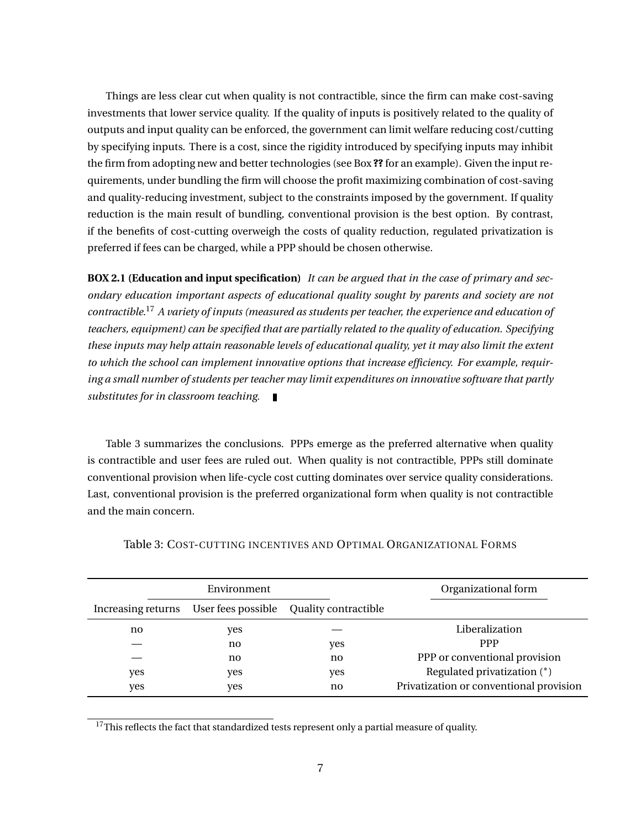Things are less clear cut when quality is not contractible, since the firm can make cost-saving investments that lower service quality. If the quality of inputs is positively related to the quality of outputs and input quality can be enforced, the government can limit welfare reducing cost/cutting by specifying inputs. There is a cost, since the rigidity introduced by specifying inputs may inhibit the firm from adopting new and better technologies (see Box **??** for an example). Given the input requirements, under bundling the firm will choose the profit maximizing combination of cost-saving and quality-reducing investment, subject to the constraints imposed by the government. If quality reduction is the main result of bundling, conventional provision is the best option. By contrast, if the benefits of cost-cutting overweigh the costs of quality reduction, regulated privatization is preferred if fees can be charged, while a PPP should be chosen otherwise.

**BOX 2.1 (Education and input specification)** *It can be argued that in the case of primary and secondary education important aspects of educational quality sought by parents and society are not contractible.*<sup>17</sup> *A variety of inputs (measured as students per teacher, the experience and education of teachers, equipment) can be specified that are partially related to the quality of education. Specifying these inputs may help attain reasonable levels of educational quality, yet it may also limit the extent to which the school can implement innovative options that increase efficiency. For example, requiring a small number of students per teacher may limit expenditures on innovative software that partly substitutes for in classroom teaching.*

Table 3 summarizes the conclusions. PPPs emerge as the preferred alternative when quality is contractible and user fees are ruled out. When quality is not contractible, PPPs still dominate conventional provision when life-cycle cost cutting dominates over service quality considerations. Last, conventional provision is the preferred organizational form when quality is not contractible and the main concern.

|                    | Environment        |                      | Organizational form                     |
|--------------------|--------------------|----------------------|-----------------------------------------|
| Increasing returns | User fees possible | Quality contractible |                                         |
| no                 | yes                |                      | Liberalization                          |
|                    | no                 | yes                  | <b>PPP</b>                              |
|                    | no                 | no                   | PPP or conventional provision           |
| yes                | yes                | yes                  | Regulated privatization (*)             |
| yes                | yes                | no                   | Privatization or conventional provision |

Table 3: COST-CUTTING INCENTIVES AND OPTIMAL ORGANIZATIONAL FORMS

 $17$ This reflects the fact that standardized tests represent only a partial measure of quality.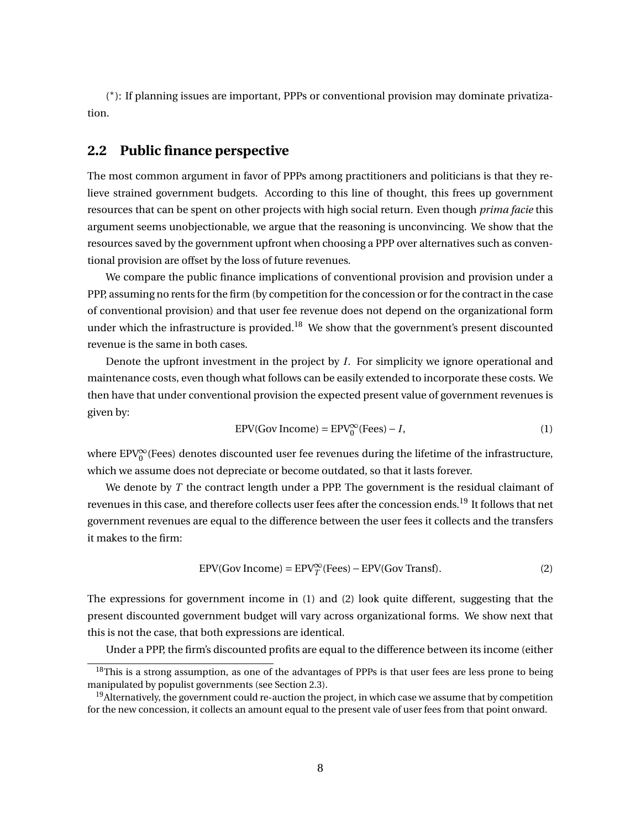( ∗ ): If planning issues are important, PPPs or conventional provision may dominate privatization.

## **2.2 Public finance perspective**

The most common argument in favor of PPPs among practitioners and politicians is that they relieve strained government budgets. According to this line of thought, this frees up government resources that can be spent on other projects with high social return. Even though *prima facie* this argument seems unobjectionable, we argue that the reasoning is unconvincing. We show that the resources saved by the government upfront when choosing a PPP over alternatives such as conventional provision are offset by the loss of future revenues.

We compare the public finance implications of conventional provision and provision under a PPP, assuming no rents for the firm (by competition for the concession or for the contract in the case of conventional provision) and that user fee revenue does not depend on the organizational form under which the infrastructure is provided.<sup>18</sup> We show that the government's present discounted revenue is the same in both cases.

Denote the upfront investment in the project by *I*. For simplicity we ignore operational and maintenance costs, even though what follows can be easily extended to incorporate these costs. We then have that under conventional provision the expected present value of government revenues is given by:

$$
EPV(Gov Income) = EPV_0^{\infty}(Fees) - I,
$$
\n(1)

where EPV $_{0}^{\infty}$ (Fees) denotes discounted user fee revenues during the lifetime of the infrastructure, which we assume does not depreciate or become outdated, so that it lasts forever.

We denote by *T* the contract length under a PPP. The government is the residual claimant of revenues in this case, and therefore collects user fees after the concession ends.<sup>19</sup> It follows that net government revenues are equal to the difference between the user fees it collects and the transfers it makes to the firm:

$$
EPV(Gov Income) = EPV_T^{\infty}(Fees) - EPV(Gov Transf).
$$
 (2)

The expressions for government income in (1) and (2) look quite different, suggesting that the present discounted government budget will vary across organizational forms. We show next that this is not the case, that both expressions are identical.

Under a PPP, the firm's discounted profits are equal to the difference between its income (either

<sup>&</sup>lt;sup>18</sup>This is a strong assumption, as one of the advantages of PPPs is that user fees are less prone to being manipulated by populist governments (see Section 2.3).

<sup>&</sup>lt;sup>19</sup>Alternatively, the government could re-auction the project, in which case we assume that by competition for the new concession, it collects an amount equal to the present vale of user fees from that point onward.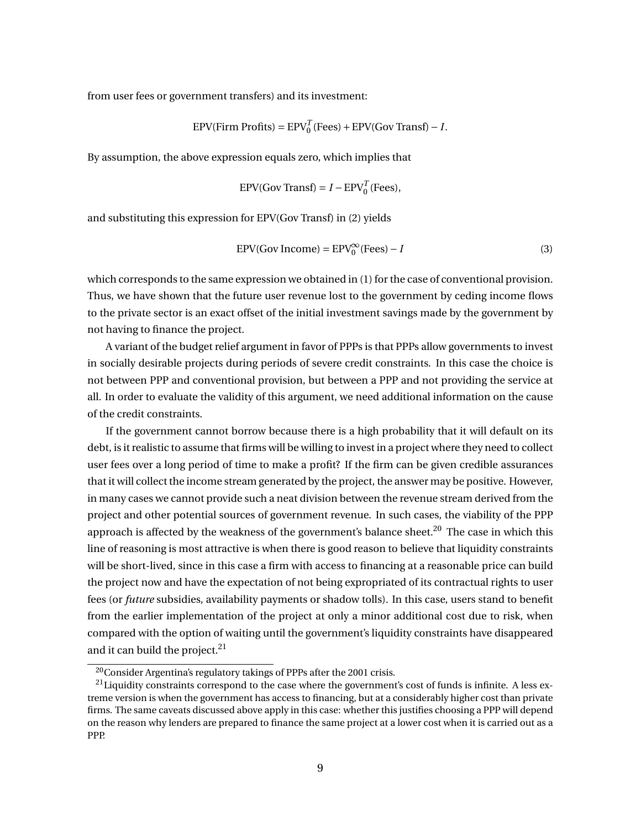from user fees or government transfers) and its investment:

$$
EPV(\text{Firm Profits}) = EPV_0^T(\text{Fees}) + EPV(\text{Gov Transf}) - I.
$$

By assumption, the above expression equals zero, which implies that

$$
EPV(Gov Transf) = I - EPV_0^T(Fees),
$$

and substituting this expression for EPV(Gov Transf) in (2) yields

$$
EPV(Gov Income) = EPV_0^{\infty}(Fees) - I
$$
 (3)

which corresponds to the same expression we obtained in (1) for the case of conventional provision. Thus, we have shown that the future user revenue lost to the government by ceding income flows to the private sector is an exact offset of the initial investment savings made by the government by not having to finance the project.

A variant of the budget relief argument in favor of PPPs is that PPPs allow governments to invest in socially desirable projects during periods of severe credit constraints. In this case the choice is not between PPP and conventional provision, but between a PPP and not providing the service at all. In order to evaluate the validity of this argument, we need additional information on the cause of the credit constraints.

If the government cannot borrow because there is a high probability that it will default on its debt, is it realistic to assume that firms will be willing to invest in a project where they need to collect user fees over a long period of time to make a profit? If the firm can be given credible assurances that it will collect the income stream generated by the project, the answer may be positive. However, in many cases we cannot provide such a neat division between the revenue stream derived from the project and other potential sources of government revenue. In such cases, the viability of the PPP approach is affected by the weakness of the government's balance sheet.<sup>20</sup> The case in which this line of reasoning is most attractive is when there is good reason to believe that liquidity constraints will be short-lived, since in this case a firm with access to financing at a reasonable price can build the project now and have the expectation of not being expropriated of its contractual rights to user fees (or *future* subsidies, availability payments or shadow tolls). In this case, users stand to benefit from the earlier implementation of the project at only a minor additional cost due to risk, when compared with the option of waiting until the government's liquidity constraints have disappeared and it can build the project. $21$ 

 $20$ Consider Argentina's regulatory takings of PPPs after the 2001 crisis.

 $^{21}$ Liquidity constraints correspond to the case where the government's cost of funds is infinite. A less extreme version is when the government has access to financing, but at a considerably higher cost than private firms. The same caveats discussed above apply in this case: whether this justifies choosing a PPP will depend on the reason why lenders are prepared to finance the same project at a lower cost when it is carried out as a PPP.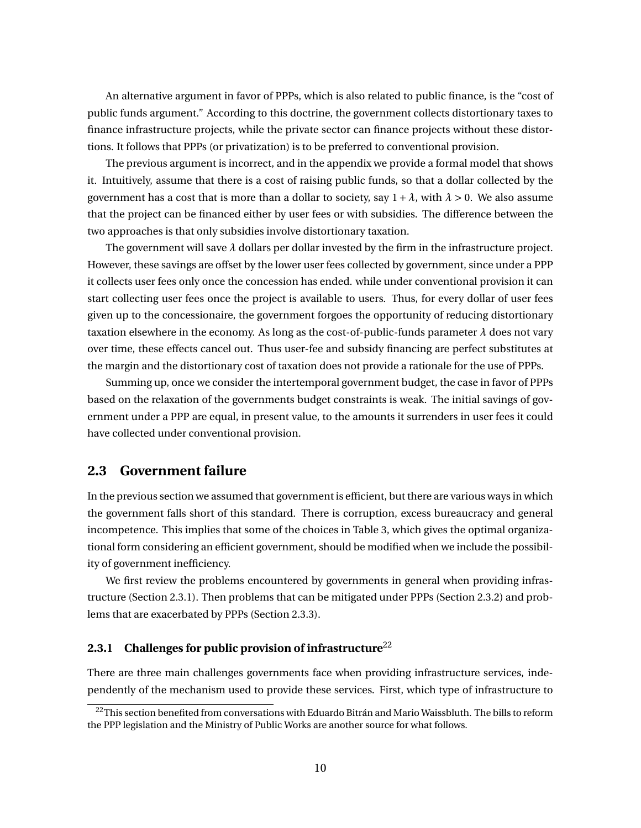An alternative argument in favor of PPPs, which is also related to public finance, is the "cost of public funds argument." According to this doctrine, the government collects distortionary taxes to finance infrastructure projects, while the private sector can finance projects without these distortions. It follows that PPPs (or privatization) is to be preferred to conventional provision.

The previous argument is incorrect, and in the appendix we provide a formal model that shows it. Intuitively, assume that there is a cost of raising public funds, so that a dollar collected by the government has a cost that is more than a dollar to society, say  $1 + \lambda$ , with  $\lambda > 0$ . We also assume that the project can be financed either by user fees or with subsidies. The difference between the two approaches is that only subsidies involve distortionary taxation.

The government will save  $\lambda$  dollars per dollar invested by the firm in the infrastructure project. However, these savings are offset by the lower user fees collected by government, since under a PPP it collects user fees only once the concession has ended. while under conventional provision it can start collecting user fees once the project is available to users. Thus, for every dollar of user fees given up to the concessionaire, the government forgoes the opportunity of reducing distortionary taxation elsewhere in the economy. As long as the cost-of-public-funds parameter  $\lambda$  does not vary over time, these effects cancel out. Thus user-fee and subsidy financing are perfect substitutes at the margin and the distortionary cost of taxation does not provide a rationale for the use of PPPs.

Summing up, once we consider the intertemporal government budget, the case in favor of PPPs based on the relaxation of the governments budget constraints is weak. The initial savings of government under a PPP are equal, in present value, to the amounts it surrenders in user fees it could have collected under conventional provision.

## **2.3 Government failure**

In the previous section we assumed that government is efficient, but there are various ways in which the government falls short of this standard. There is corruption, excess bureaucracy and general incompetence. This implies that some of the choices in Table 3, which gives the optimal organizational form considering an efficient government, should be modified when we include the possibility of government inefficiency.

We first review the problems encountered by governments in general when providing infrastructure (Section 2.3.1). Then problems that can be mitigated under PPPs (Section 2.3.2) and problems that are exacerbated by PPPs (Section 2.3.3).

## **2.3.1** Challenges for public provision of infrastructure<sup>22</sup>

There are three main challenges governments face when providing infrastructure services, independently of the mechanism used to provide these services. First, which type of infrastructure to

<sup>&</sup>lt;sup>22</sup>This section benefited from conversations with Eduardo Bitrán and Mario Waissbluth. The bills to reform the PPP legislation and the Ministry of Public Works are another source for what follows.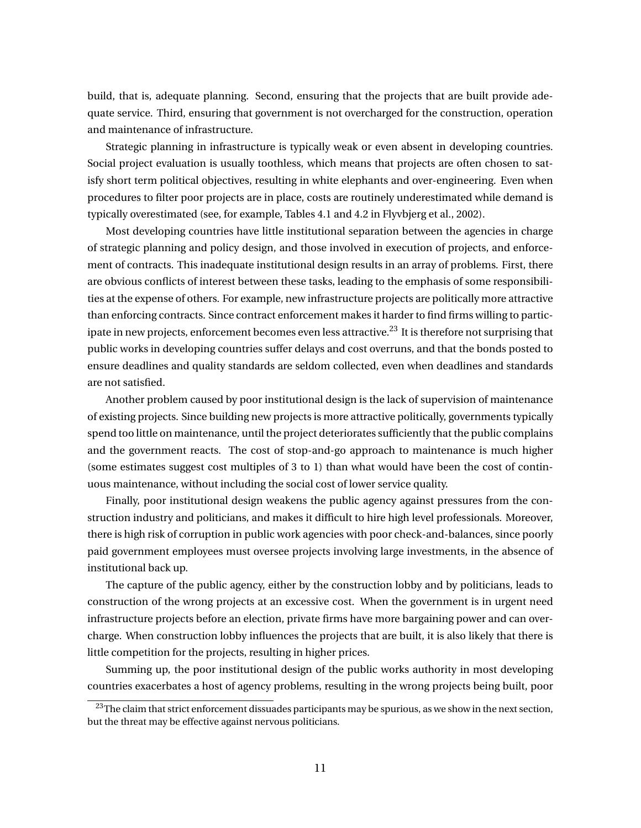build, that is, adequate planning. Second, ensuring that the projects that are built provide adequate service. Third, ensuring that government is not overcharged for the construction, operation and maintenance of infrastructure.

Strategic planning in infrastructure is typically weak or even absent in developing countries. Social project evaluation is usually toothless, which means that projects are often chosen to satisfy short term political objectives, resulting in white elephants and over-engineering. Even when procedures to filter poor projects are in place, costs are routinely underestimated while demand is typically overestimated (see, for example, Tables 4.1 and 4.2 in Flyvbjerg et al., 2002).

Most developing countries have little institutional separation between the agencies in charge of strategic planning and policy design, and those involved in execution of projects, and enforcement of contracts. This inadequate institutional design results in an array of problems. First, there are obvious conflicts of interest between these tasks, leading to the emphasis of some responsibilities at the expense of others. For example, new infrastructure projects are politically more attractive than enforcing contracts. Since contract enforcement makes it harder to find firms willing to participate in new projects, enforcement becomes even less attractive.<sup>23</sup> It is therefore not surprising that public works in developing countries suffer delays and cost overruns, and that the bonds posted to ensure deadlines and quality standards are seldom collected, even when deadlines and standards are not satisfied.

Another problem caused by poor institutional design is the lack of supervision of maintenance of existing projects. Since building new projects is more attractive politically, governments typically spend too little on maintenance, until the project deteriorates sufficiently that the public complains and the government reacts. The cost of stop-and-go approach to maintenance is much higher (some estimates suggest cost multiples of 3 to 1) than what would have been the cost of continuous maintenance, without including the social cost of lower service quality.

Finally, poor institutional design weakens the public agency against pressures from the construction industry and politicians, and makes it difficult to hire high level professionals. Moreover, there is high risk of corruption in public work agencies with poor check-and-balances, since poorly paid government employees must oversee projects involving large investments, in the absence of institutional back up.

The capture of the public agency, either by the construction lobby and by politicians, leads to construction of the wrong projects at an excessive cost. When the government is in urgent need infrastructure projects before an election, private firms have more bargaining power and can overcharge. When construction lobby influences the projects that are built, it is also likely that there is little competition for the projects, resulting in higher prices.

Summing up, the poor institutional design of the public works authority in most developing countries exacerbates a host of agency problems, resulting in the wrong projects being built, poor

<sup>&</sup>lt;sup>23</sup>The claim that strict enforcement dissuades participants may be spurious, as we show in the next section, but the threat may be effective against nervous politicians.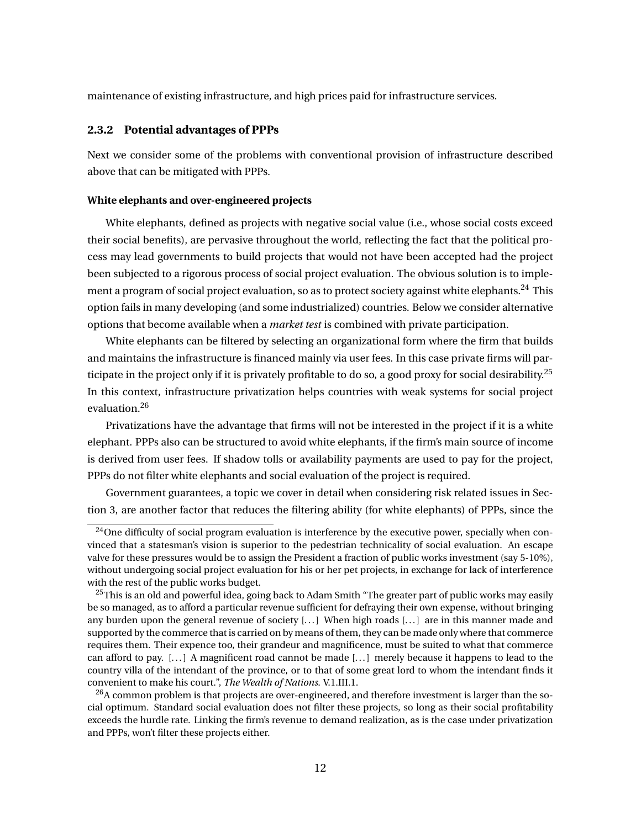maintenance of existing infrastructure, and high prices paid for infrastructure services.

#### **2.3.2 Potential advantages of PPPs**

Next we consider some of the problems with conventional provision of infrastructure described above that can be mitigated with PPPs.

#### **White elephants and over-engineered projects**

White elephants, defined as projects with negative social value (i.e., whose social costs exceed their social benefits), are pervasive throughout the world, reflecting the fact that the political process may lead governments to build projects that would not have been accepted had the project been subjected to a rigorous process of social project evaluation. The obvious solution is to implement a program of social project evaluation, so as to protect society against white elephants.<sup>24</sup> This option fails in many developing (and some industrialized) countries. Below we consider alternative options that become available when a *market test* is combined with private participation.

White elephants can be filtered by selecting an organizational form where the firm that builds and maintains the infrastructure is financed mainly via user fees. In this case private firms will participate in the project only if it is privately profitable to do so, a good proxy for social desirability.<sup>25</sup> In this context, infrastructure privatization helps countries with weak systems for social project evaluation.<sup>26</sup>

Privatizations have the advantage that firms will not be interested in the project if it is a white elephant. PPPs also can be structured to avoid white elephants, if the firm's main source of income is derived from user fees. If shadow tolls or availability payments are used to pay for the project, PPPs do not filter white elephants and social evaluation of the project is required.

Government guarantees, a topic we cover in detail when considering risk related issues in Section 3, are another factor that reduces the filtering ability (for white elephants) of PPPs, since the

 $^{24}$ One difficulty of social program evaluation is interference by the executive power, specially when convinced that a statesman's vision is superior to the pedestrian technicality of social evaluation. An escape valve for these pressures would be to assign the President a fraction of public works investment (say 5-10%), without undergoing social project evaluation for his or her pet projects, in exchange for lack of interference with the rest of the public works budget.

 $^{25}$ This is an old and powerful idea, going back to Adam Smith "The greater part of public works may easily be so managed, as to afford a particular revenue sufficient for defraying their own expense, without bringing any burden upon the general revenue of society [...] When high roads [...] are in this manner made and supported by the commerce that is carried on by means of them, they can be made only where that commerce requires them. Their expence too, their grandeur and magnificence, must be suited to what that commerce can afford to pay. [. . . ] A magnificent road cannot be made [. . . ] merely because it happens to lead to the country villa of the intendant of the province, or to that of some great lord to whom the intendant finds it convenient to make his court.", *The Wealth of Nations*. V.1.III.1.

 $^{26}$ A common problem is that projects are over-engineered, and therefore investment is larger than the social optimum. Standard social evaluation does not filter these projects, so long as their social profitability exceeds the hurdle rate. Linking the firm's revenue to demand realization, as is the case under privatization and PPPs, won't filter these projects either.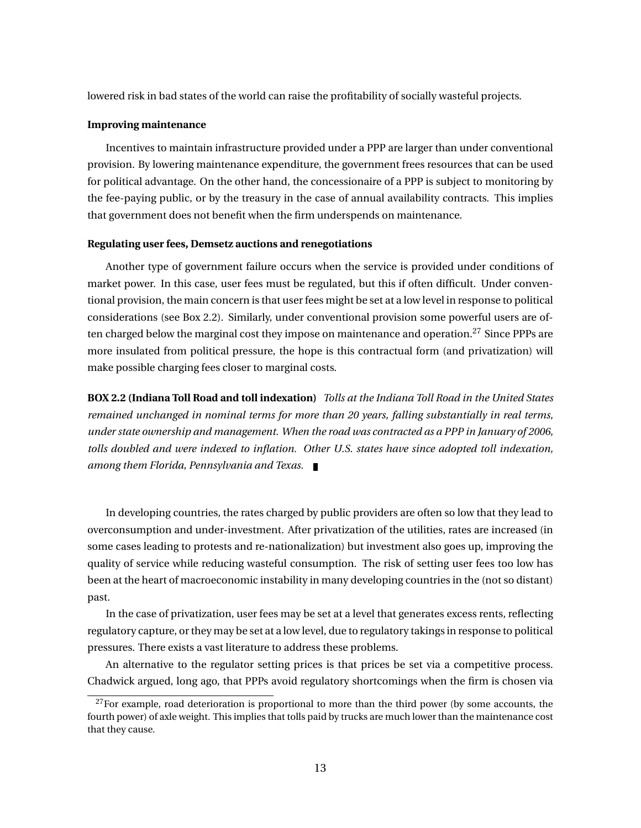lowered risk in bad states of the world can raise the profitability of socially wasteful projects.

#### **Improving maintenance**

Incentives to maintain infrastructure provided under a PPP are larger than under conventional provision. By lowering maintenance expenditure, the government frees resources that can be used for political advantage. On the other hand, the concessionaire of a PPP is subject to monitoring by the fee-paying public, or by the treasury in the case of annual availability contracts. This implies that government does not benefit when the firm underspends on maintenance.

#### **Regulating user fees, Demsetz auctions and renegotiations**

Another type of government failure occurs when the service is provided under conditions of market power. In this case, user fees must be regulated, but this if often difficult. Under conventional provision, the main concern is that user fees might be set at a low level in response to political considerations (see Box 2.2). Similarly, under conventional provision some powerful users are often charged below the marginal cost they impose on maintenance and operation.<sup>27</sup> Since PPPs are more insulated from political pressure, the hope is this contractual form (and privatization) will make possible charging fees closer to marginal costs.

**BOX 2.2 (Indiana Toll Road and toll indexation)** *Tolls at the Indiana Toll Road in the United States remained unchanged in nominal terms for more than 20 years, falling substantially in real terms, under state ownership and management. When the road was contracted as a PPP in January of 2006, tolls doubled and were indexed to inflation. Other U.S. states have since adopted toll indexation, among them Florida, Pennsylvania and Texas.*

In developing countries, the rates charged by public providers are often so low that they lead to overconsumption and under-investment. After privatization of the utilities, rates are increased (in some cases leading to protests and re-nationalization) but investment also goes up, improving the quality of service while reducing wasteful consumption. The risk of setting user fees too low has been at the heart of macroeconomic instability in many developing countries in the (not so distant) past.

In the case of privatization, user fees may be set at a level that generates excess rents, reflecting regulatory capture, or they may be set at a low level, due to regulatory takings in response to political pressures. There exists a vast literature to address these problems.

An alternative to the regulator setting prices is that prices be set via a competitive process. Chadwick argued, long ago, that PPPs avoid regulatory shortcomings when the firm is chosen via

 $^{27}$ For example, road deterioration is proportional to more than the third power (by some accounts, the fourth power) of axle weight. This implies that tolls paid by trucks are much lower than the maintenance cost that they cause.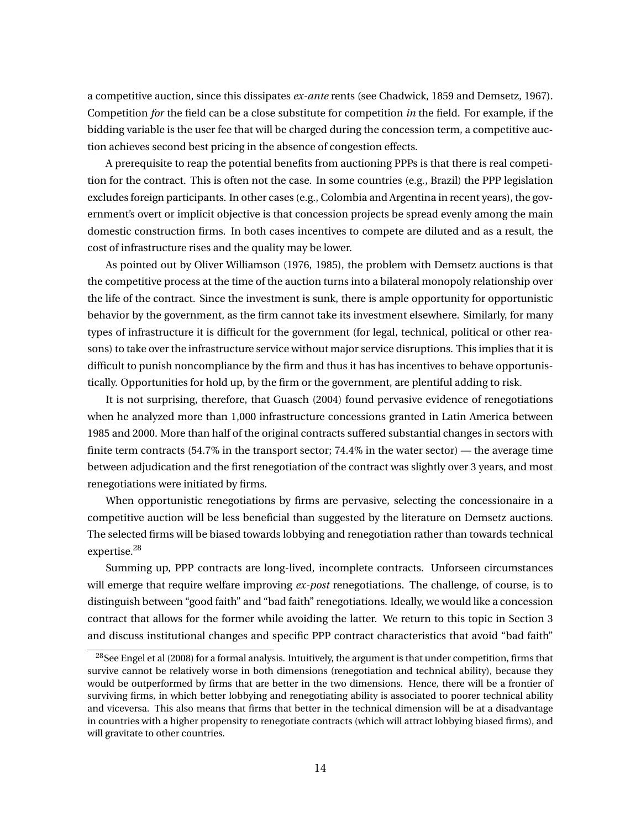a competitive auction, since this dissipates *ex-ante* rents (see Chadwick, 1859 and Demsetz, 1967). Competition *for* the field can be a close substitute for competition *in* the field. For example, if the bidding variable is the user fee that will be charged during the concession term, a competitive auction achieves second best pricing in the absence of congestion effects.

A prerequisite to reap the potential benefits from auctioning PPPs is that there is real competition for the contract. This is often not the case. In some countries (e.g., Brazil) the PPP legislation excludes foreign participants. In other cases (e.g., Colombia and Argentina in recent years), the government's overt or implicit objective is that concession projects be spread evenly among the main domestic construction firms. In both cases incentives to compete are diluted and as a result, the cost of infrastructure rises and the quality may be lower.

As pointed out by Oliver Williamson (1976, 1985), the problem with Demsetz auctions is that the competitive process at the time of the auction turns into a bilateral monopoly relationship over the life of the contract. Since the investment is sunk, there is ample opportunity for opportunistic behavior by the government, as the firm cannot take its investment elsewhere. Similarly, for many types of infrastructure it is difficult for the government (for legal, technical, political or other reasons) to take over the infrastructure service without major service disruptions. This implies that it is difficult to punish noncompliance by the firm and thus it has has incentives to behave opportunistically. Opportunities for hold up, by the firm or the government, are plentiful adding to risk.

It is not surprising, therefore, that Guasch (2004) found pervasive evidence of renegotiations when he analyzed more than 1,000 infrastructure concessions granted in Latin America between 1985 and 2000. More than half of the original contracts suffered substantial changes in sectors with finite term contracts  $(54.7\%$  in the transport sector;  $74.4\%$  in the water sector) — the average time between adjudication and the first renegotiation of the contract was slightly over 3 years, and most renegotiations were initiated by firms.

When opportunistic renegotiations by firms are pervasive, selecting the concessionaire in a competitive auction will be less beneficial than suggested by the literature on Demsetz auctions. The selected firms will be biased towards lobbying and renegotiation rather than towards technical expertise.<sup>28</sup>

Summing up, PPP contracts are long-lived, incomplete contracts. Unforseen circumstances will emerge that require welfare improving *ex-post* renegotiations. The challenge, of course, is to distinguish between "good faith" and "bad faith" renegotiations. Ideally, we would like a concession contract that allows for the former while avoiding the latter. We return to this topic in Section 3 and discuss institutional changes and specific PPP contract characteristics that avoid "bad faith"

 $28$ See Engel et al (2008) for a formal analysis. Intuitively, the argument is that under competition, firms that survive cannot be relatively worse in both dimensions (renegotiation and technical ability), because they would be outperformed by firms that are better in the two dimensions. Hence, there will be a frontier of surviving firms, in which better lobbying and renegotiating ability is associated to poorer technical ability and viceversa. This also means that firms that better in the technical dimension will be at a disadvantage in countries with a higher propensity to renegotiate contracts (which will attract lobbying biased firms), and will gravitate to other countries.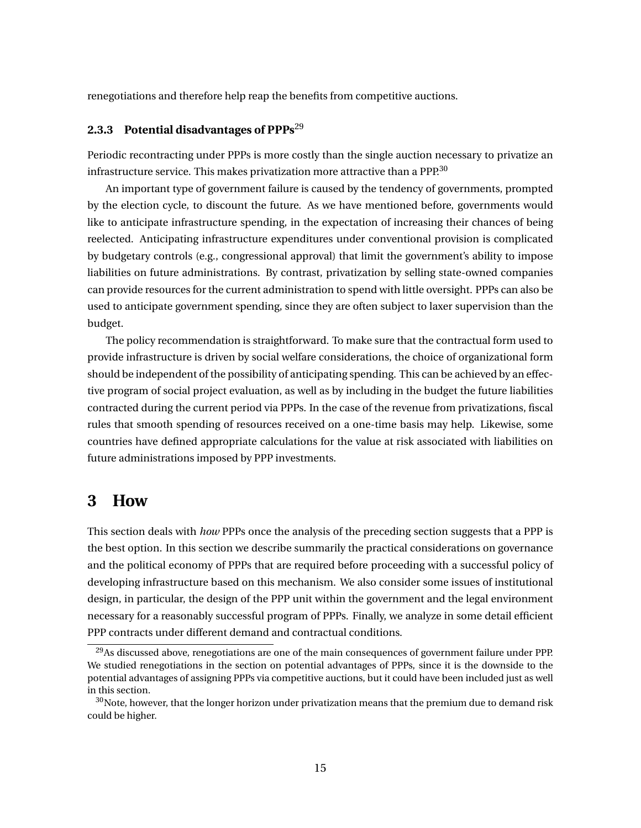renegotiations and therefore help reap the benefits from competitive auctions.

## **2.3.3 Potential disadvantages of PPPs**<sup>29</sup>

Periodic recontracting under PPPs is more costly than the single auction necessary to privatize an infrastructure service. This makes privatization more attractive than a PPP.<sup>30</sup>

An important type of government failure is caused by the tendency of governments, prompted by the election cycle, to discount the future. As we have mentioned before, governments would like to anticipate infrastructure spending, in the expectation of increasing their chances of being reelected. Anticipating infrastructure expenditures under conventional provision is complicated by budgetary controls (e.g., congressional approval) that limit the government's ability to impose liabilities on future administrations. By contrast, privatization by selling state-owned companies can provide resources for the current administration to spend with little oversight. PPPs can also be used to anticipate government spending, since they are often subject to laxer supervision than the budget.

The policy recommendation is straightforward. To make sure that the contractual form used to provide infrastructure is driven by social welfare considerations, the choice of organizational form should be independent of the possibility of anticipating spending. This can be achieved by an effective program of social project evaluation, as well as by including in the budget the future liabilities contracted during the current period via PPPs. In the case of the revenue from privatizations, fiscal rules that smooth spending of resources received on a one-time basis may help. Likewise, some countries have defined appropriate calculations for the value at risk associated with liabilities on future administrations imposed by PPP investments.

## **3 How**

This section deals with *how* PPPs once the analysis of the preceding section suggests that a PPP is the best option. In this section we describe summarily the practical considerations on governance and the political economy of PPPs that are required before proceeding with a successful policy of developing infrastructure based on this mechanism. We also consider some issues of institutional design, in particular, the design of the PPP unit within the government and the legal environment necessary for a reasonably successful program of PPPs. Finally, we analyze in some detail efficient PPP contracts under different demand and contractual conditions.

<sup>&</sup>lt;sup>29</sup>As discussed above, renegotiations are one of the main consequences of government failure under PPP. We studied renegotiations in the section on potential advantages of PPPs, since it is the downside to the potential advantages of assigning PPPs via competitive auctions, but it could have been included just as well in this section.

 $30$ Note, however, that the longer horizon under privatization means that the premium due to demand risk could be higher.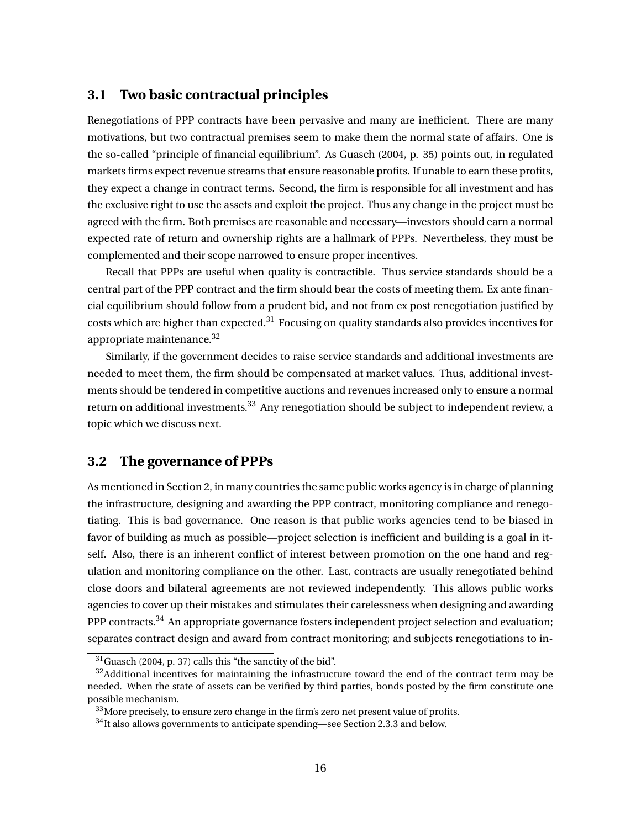### **3.1 Two basic contractual principles**

Renegotiations of PPP contracts have been pervasive and many are inefficient. There are many motivations, but two contractual premises seem to make them the normal state of affairs. One is the so-called "principle of financial equilibrium". As Guasch (2004, p. 35) points out, in regulated markets firms expect revenue streams that ensure reasonable profits. If unable to earn these profits, they expect a change in contract terms. Second, the firm is responsible for all investment and has the exclusive right to use the assets and exploit the project. Thus any change in the project must be agreed with the firm. Both premises are reasonable and necessary—investors should earn a normal expected rate of return and ownership rights are a hallmark of PPPs. Nevertheless, they must be complemented and their scope narrowed to ensure proper incentives.

Recall that PPPs are useful when quality is contractible. Thus service standards should be a central part of the PPP contract and the firm should bear the costs of meeting them. Ex ante financial equilibrium should follow from a prudent bid, and not from ex post renegotiation justified by costs which are higher than expected.<sup>31</sup> Focusing on quality standards also provides incentives for appropriate maintenance.<sup>32</sup>

Similarly, if the government decides to raise service standards and additional investments are needed to meet them, the firm should be compensated at market values. Thus, additional investments should be tendered in competitive auctions and revenues increased only to ensure a normal return on additional investments.<sup>33</sup> Any renegotiation should be subject to independent review, a topic which we discuss next.

### **3.2 The governance of PPPs**

As mentioned in Section 2, in many countries the same public works agency is in charge of planning the infrastructure, designing and awarding the PPP contract, monitoring compliance and renegotiating. This is bad governance. One reason is that public works agencies tend to be biased in favor of building as much as possible—project selection is inefficient and building is a goal in itself. Also, there is an inherent conflict of interest between promotion on the one hand and regulation and monitoring compliance on the other. Last, contracts are usually renegotiated behind close doors and bilateral agreements are not reviewed independently. This allows public works agencies to cover up their mistakes and stimulates their carelessness when designing and awarding PPP contracts.<sup>34</sup> An appropriate governance fosters independent project selection and evaluation; separates contract design and award from contract monitoring; and subjects renegotiations to in-

<sup>31</sup>Guasch (2004, p. 37) calls this "the sanctity of the bid".

 $32$ Additional incentives for maintaining the infrastructure toward the end of the contract term may be needed. When the state of assets can be verified by third parties, bonds posted by the firm constitute one possible mechanism.

 $33\,$ More precisely, to ensure zero change in the firm's zero net present value of profits.

<sup>34</sup>It also allows governments to anticipate spending—see Section 2.3.3 and below.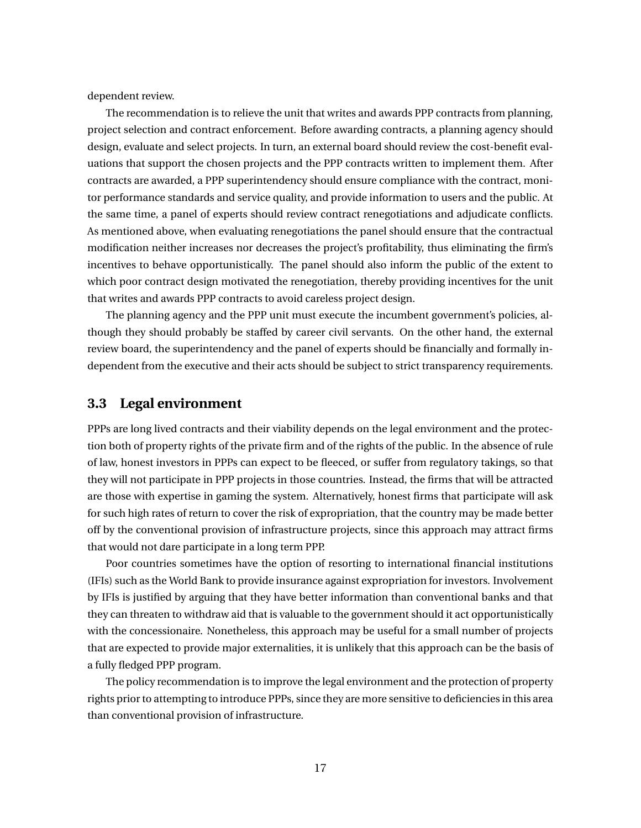dependent review.

The recommendation is to relieve the unit that writes and awards PPP contracts from planning, project selection and contract enforcement. Before awarding contracts, a planning agency should design, evaluate and select projects. In turn, an external board should review the cost-benefit evaluations that support the chosen projects and the PPP contracts written to implement them. After contracts are awarded, a PPP superintendency should ensure compliance with the contract, monitor performance standards and service quality, and provide information to users and the public. At the same time, a panel of experts should review contract renegotiations and adjudicate conflicts. As mentioned above, when evaluating renegotiations the panel should ensure that the contractual modification neither increases nor decreases the project's profitability, thus eliminating the firm's incentives to behave opportunistically. The panel should also inform the public of the extent to which poor contract design motivated the renegotiation, thereby providing incentives for the unit that writes and awards PPP contracts to avoid careless project design.

The planning agency and the PPP unit must execute the incumbent government's policies, although they should probably be staffed by career civil servants. On the other hand, the external review board, the superintendency and the panel of experts should be financially and formally independent from the executive and their acts should be subject to strict transparency requirements.

## **3.3 Legal environment**

PPPs are long lived contracts and their viability depends on the legal environment and the protection both of property rights of the private firm and of the rights of the public. In the absence of rule of law, honest investors in PPPs can expect to be fleeced, or suffer from regulatory takings, so that they will not participate in PPP projects in those countries. Instead, the firms that will be attracted are those with expertise in gaming the system. Alternatively, honest firms that participate will ask for such high rates of return to cover the risk of expropriation, that the country may be made better off by the conventional provision of infrastructure projects, since this approach may attract firms that would not dare participate in a long term PPP.

Poor countries sometimes have the option of resorting to international financial institutions (IFIs) such as the World Bank to provide insurance against expropriation for investors. Involvement by IFIs is justified by arguing that they have better information than conventional banks and that they can threaten to withdraw aid that is valuable to the government should it act opportunistically with the concessionaire. Nonetheless, this approach may be useful for a small number of projects that are expected to provide major externalities, it is unlikely that this approach can be the basis of a fully fledged PPP program.

The policy recommendation is to improve the legal environment and the protection of property rights prior to attempting to introduce PPPs, since they are more sensitive to deficiencies in this area than conventional provision of infrastructure.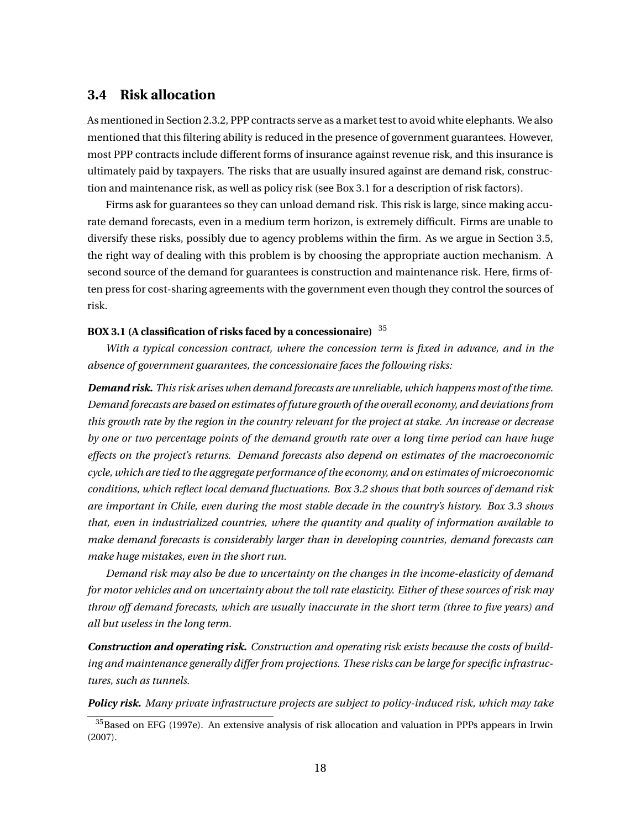### **3.4 Risk allocation**

As mentioned in Section 2.3.2, PPP contracts serve as a market test to avoid white elephants. We also mentioned that this filtering ability is reduced in the presence of government guarantees. However, most PPP contracts include different forms of insurance against revenue risk, and this insurance is ultimately paid by taxpayers. The risks that are usually insured against are demand risk, construction and maintenance risk, as well as policy risk (see Box 3.1 for a description of risk factors).

Firms ask for guarantees so they can unload demand risk. This risk is large, since making accurate demand forecasts, even in a medium term horizon, is extremely difficult. Firms are unable to diversify these risks, possibly due to agency problems within the firm. As we argue in Section 3.5, the right way of dealing with this problem is by choosing the appropriate auction mechanism. A second source of the demand for guarantees is construction and maintenance risk. Here, firms often press for cost-sharing agreements with the government even though they control the sources of risk.

#### **BOX 3.1 (A classification of risks faced by a concessionaire)** <sup>35</sup>

*With a typical concession contract, where the concession term is fixed in advance, and in the absence of government guarantees, the concessionaire faces the following risks:*

*Demand risk. This risk arises when demand forecasts are unreliable, which happens most of the time. Demand forecasts are based on estimates of future growth of the overall economy, and deviations from this growth rate by the region in the country relevant for the project at stake. An increase or decrease by one or two percentage points of the demand growth rate over a long time period can have huge effects on the project's returns. Demand forecasts also depend on estimates of the macroeconomic cycle, which are tied to the aggregate performance of the economy, and on estimates of microeconomic conditions, which reflect local demand fluctuations. Box 3.2 shows that both sources of demand risk are important in Chile, even during the most stable decade in the country's history. Box 3.3 shows that, even in industrialized countries, where the quantity and quality of information available to make demand forecasts is considerably larger than in developing countries, demand forecasts can make huge mistakes, even in the short run.*

*Demand risk may also be due to uncertainty on the changes in the income-elasticity of demand for motor vehicles and on uncertainty about the toll rate elasticity. Either of these sources of risk may throw off demand forecasts, which are usually inaccurate in the short term (three to five years) and all but useless in the long term.*

*Construction and operating risk. Construction and operating risk exists because the costs of building and maintenance generally differ from projections. These risks can be large for specific infrastructures, such as tunnels.*

*Policy risk. Many private infrastructure projects are subject to policy-induced risk, which may take*

<sup>35</sup>Based on EFG (1997e). An extensive analysis of risk allocation and valuation in PPPs appears in Irwin (2007).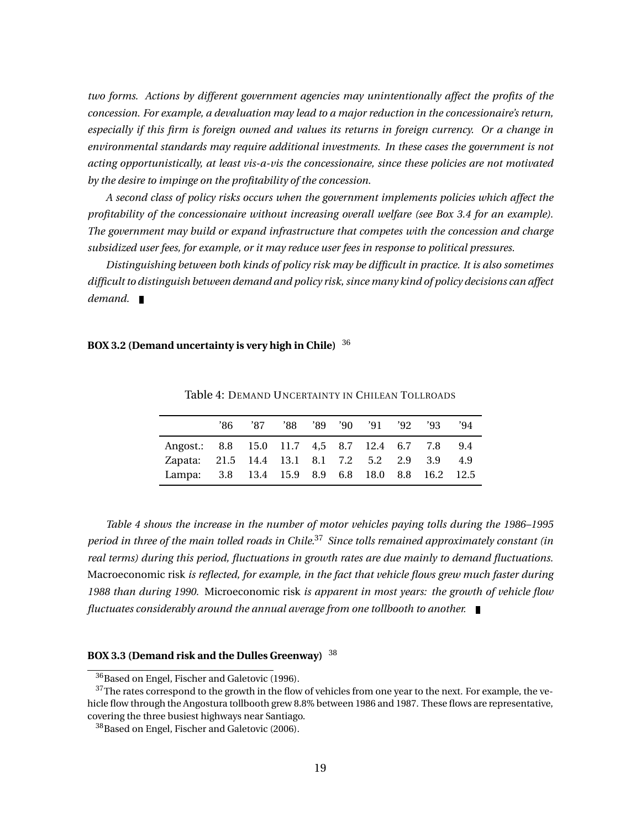*two forms. Actions by different government agencies may unintentionally affect the profits of the concession. For example, a devaluation may lead to a major reduction in the concessionaire's return, especially if this firm is foreign owned and values its returns in foreign currency. Or a change in environmental standards may require additional investments. In these cases the government is not acting opportunistically, at least vis-a-vis the concessionaire, since these policies are not motivated by the desire to impinge on the profitability of the concession.*

*A second class of policy risks occurs when the government implements policies which affect the profitability of the concessionaire without increasing overall welfare (see Box 3.4 for an example). The government may build or expand infrastructure that competes with the concession and charge subsidized user fees, for example, or it may reduce user fees in response to political pressures.*

*Distinguishing between both kinds of policy risk may be difficult in practice. It is also sometimes difficult to distinguish between demand and policy risk, since many kind of policy decisions can affect demand.*

#### **BOX 3.2 (Demand uncertainty is very high in Chile)** <sup>36</sup>

|                                                 | '86 | '87 |  | '88 '89 '90 '91 '92 | '93 | '94' |
|-------------------------------------------------|-----|-----|--|---------------------|-----|------|
| Angost.: 8.8 15.0 11.7 4,5 8.7 12.4 6.7 7.8 9.4 |     |     |  |                     |     |      |
| Zapata: 21.5 14.4 13.1 8.1 7.2 5.2 2.9 3.9 4.9  |     |     |  |                     |     |      |
| Lampa: 3.8 13.4 15.9 8.9 6.8 18.0 8.8 16.2 12.5 |     |     |  |                     |     |      |

Table 4: DEMAND UNCERTAINTY IN CHILEAN TOLLROADS

*Table 4 shows the increase in the number of motor vehicles paying tolls during the 1986–1995 period in three of the main tolled roads in Chile.*<sup>37</sup> *Since tolls remained approximately constant (in real terms) during this period, fluctuations in growth rates are due mainly to demand fluctuations.* Macroeconomic risk *is reflected, for example, in the fact that vehicle flows grew much faster during 1988 than during 1990.* Microeconomic risk *is apparent in most years: the growth of vehicle flow fluctuates considerably around the annual average from one tollbooth to another.*

### **BOX 3.3 (Demand risk and the Dulles Greenway)** <sup>38</sup>

<sup>36</sup>Based on Engel, Fischer and Galetovic (1996).

<sup>&</sup>lt;sup>37</sup>The rates correspond to the growth in the flow of vehicles from one year to the next. For example, the vehicle flow through the Angostura tollbooth grew 8.8% between 1986 and 1987. These flows are representative, covering the three busiest highways near Santiago.

<sup>&</sup>lt;sup>38</sup>Based on Engel, Fischer and Galetovic (2006).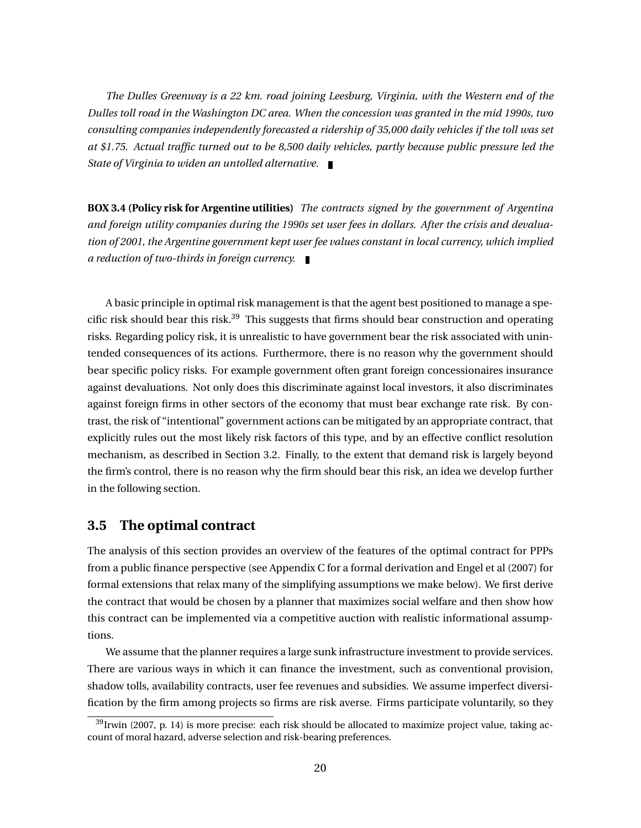*The Dulles Greenway is a 22 km. road joining Leesburg, Virginia, with the Western end of the Dulles toll road in the Washington DC area. When the concession was granted in the mid 1990s, two consulting companies independently forecasted a ridership of 35,000 daily vehicles if the toll was set at \$1.75. Actual traffic turned out to be 8,500 daily vehicles, partly because public pressure led the State of Virginia to widen an untolled alternative.*

**BOX 3.4 (Policy risk for Argentine utilities)** *The contracts signed by the government of Argentina and foreign utility companies during the 1990s set user fees in dollars. After the crisis and devaluation of 2001, the Argentine government kept user fee values constant in local currency, which implied a reduction of two-thirds in foreign currency.*

A basic principle in optimal risk management is that the agent best positioned to manage a specific risk should bear this risk.<sup>39</sup> This suggests that firms should bear construction and operating risks. Regarding policy risk, it is unrealistic to have government bear the risk associated with unintended consequences of its actions. Furthermore, there is no reason why the government should bear specific policy risks. For example government often grant foreign concessionaires insurance against devaluations. Not only does this discriminate against local investors, it also discriminates against foreign firms in other sectors of the economy that must bear exchange rate risk. By contrast, the risk of "intentional" government actions can be mitigated by an appropriate contract, that explicitly rules out the most likely risk factors of this type, and by an effective conflict resolution mechanism, as described in Section 3.2. Finally, to the extent that demand risk is largely beyond the firm's control, there is no reason why the firm should bear this risk, an idea we develop further in the following section.

## **3.5 The optimal contract**

The analysis of this section provides an overview of the features of the optimal contract for PPPs from a public finance perspective (see Appendix C for a formal derivation and Engel et al (2007) for formal extensions that relax many of the simplifying assumptions we make below). We first derive the contract that would be chosen by a planner that maximizes social welfare and then show how this contract can be implemented via a competitive auction with realistic informational assumptions.

We assume that the planner requires a large sunk infrastructure investment to provide services. There are various ways in which it can finance the investment, such as conventional provision, shadow tolls, availability contracts, user fee revenues and subsidies. We assume imperfect diversification by the firm among projects so firms are risk averse. Firms participate voluntarily, so they

<sup>&</sup>lt;sup>39</sup> Irwin (2007, p. 14) is more precise: each risk should be allocated to maximize project value, taking account of moral hazard, adverse selection and risk-bearing preferences.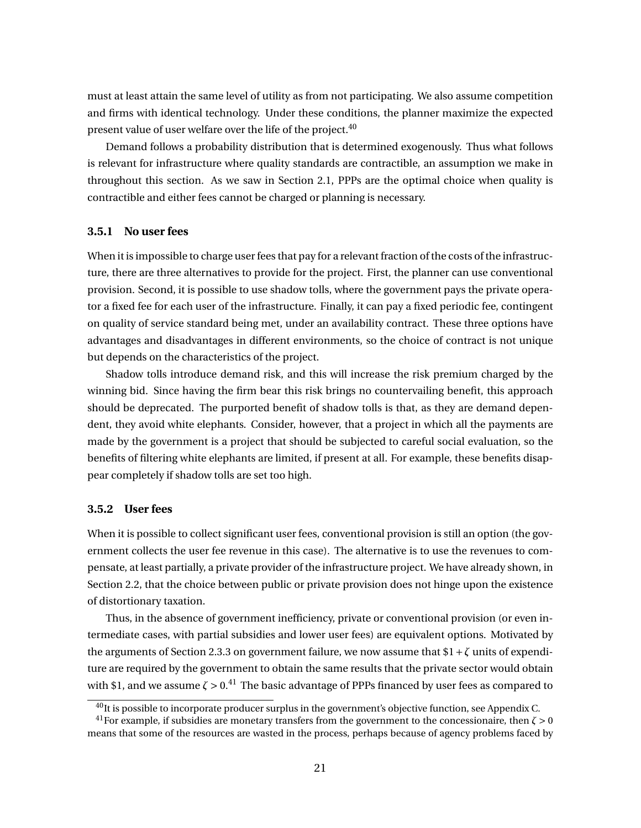must at least attain the same level of utility as from not participating. We also assume competition and firms with identical technology. Under these conditions, the planner maximize the expected present value of user welfare over the life of the project.<sup>40</sup>

Demand follows a probability distribution that is determined exogenously. Thus what follows is relevant for infrastructure where quality standards are contractible, an assumption we make in throughout this section. As we saw in Section 2.1, PPPs are the optimal choice when quality is contractible and either fees cannot be charged or planning is necessary.

### **3.5.1 No user fees**

When it is impossible to charge user fees that pay for a relevant fraction of the costs of the infrastructure, there are three alternatives to provide for the project. First, the planner can use conventional provision. Second, it is possible to use shadow tolls, where the government pays the private operator a fixed fee for each user of the infrastructure. Finally, it can pay a fixed periodic fee, contingent on quality of service standard being met, under an availability contract. These three options have advantages and disadvantages in different environments, so the choice of contract is not unique but depends on the characteristics of the project.

Shadow tolls introduce demand risk, and this will increase the risk premium charged by the winning bid. Since having the firm bear this risk brings no countervailing benefit, this approach should be deprecated. The purported benefit of shadow tolls is that, as they are demand dependent, they avoid white elephants. Consider, however, that a project in which all the payments are made by the government is a project that should be subjected to careful social evaluation, so the benefits of filtering white elephants are limited, if present at all. For example, these benefits disappear completely if shadow tolls are set too high.

### **3.5.2 User fees**

When it is possible to collect significant user fees, conventional provision is still an option (the government collects the user fee revenue in this case). The alternative is to use the revenues to compensate, at least partially, a private provider of the infrastructure project. We have already shown, in Section 2.2, that the choice between public or private provision does not hinge upon the existence of distortionary taxation.

Thus, in the absence of government inefficiency, private or conventional provision (or even intermediate cases, with partial subsidies and lower user fees) are equivalent options. Motivated by the arguments of Section 2.3.3 on government failure, we now assume that  $1 + \zeta$  units of expenditure are required by the government to obtain the same results that the private sector would obtain with \$1, and we assume  $\zeta > 0$ .<sup>41</sup> The basic advantage of PPPs financed by user fees as compared to

<sup>&</sup>lt;sup>40</sup>It is possible to incorporate producer surplus in the government's objective function, see Appendix C.

<sup>&</sup>lt;sup>41</sup>For example, if subsidies are monetary transfers from the government to the concessionaire, then  $\zeta > 0$ means that some of the resources are wasted in the process, perhaps because of agency problems faced by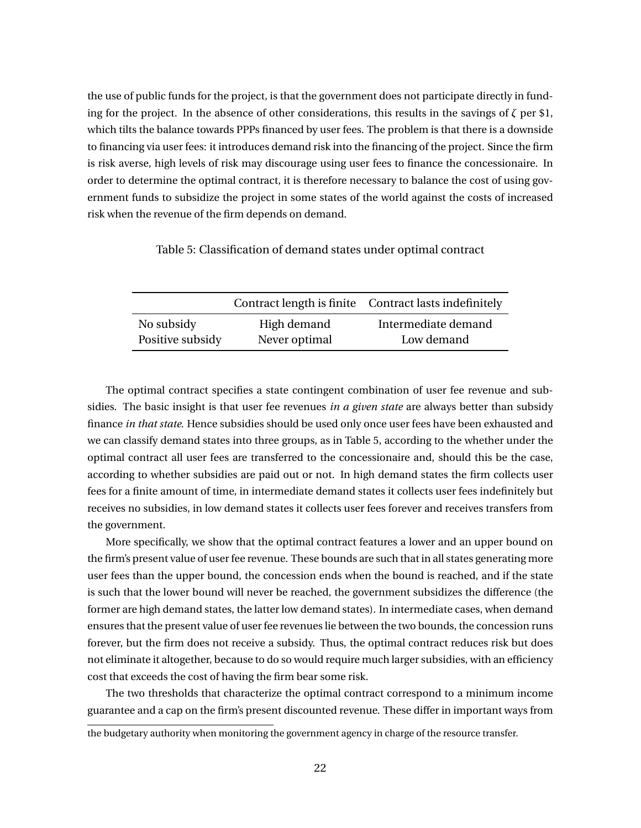the use of public funds for the project, is that the government does not participate directly in funding for the project. In the absence of other considerations, this results in the savings of *ζ* per \$1, which tilts the balance towards PPPs financed by user fees. The problem is that there is a downside to financing via user fees: it introduces demand risk into the financing of the project. Since the firm is risk averse, high levels of risk may discourage using user fees to finance the concessionaire. In order to determine the optimal contract, it is therefore necessary to balance the cost of using government funds to subsidize the project in some states of the world against the costs of increased risk when the revenue of the firm depends on demand.

Table 5: Classification of demand states under optimal contract

|                  |               | Contract length is finite Contract lasts indefinitely |
|------------------|---------------|-------------------------------------------------------|
| No subsidy       | High demand   | Intermediate demand                                   |
| Positive subsidy | Never optimal | Low demand                                            |

The optimal contract specifies a state contingent combination of user fee revenue and subsidies. The basic insight is that user fee revenues *in a given state* are always better than subsidy finance *in that state*. Hence subsidies should be used only once user fees have been exhausted and we can classify demand states into three groups, as in Table 5, according to the whether under the optimal contract all user fees are transferred to the concessionaire and, should this be the case, according to whether subsidies are paid out or not. In high demand states the firm collects user fees for a finite amount of time, in intermediate demand states it collects user fees indefinitely but receives no subsidies, in low demand states it collects user fees forever and receives transfers from the government.

More specifically, we show that the optimal contract features a lower and an upper bound on the firm's present value of user fee revenue. These bounds are such that in all states generating more user fees than the upper bound, the concession ends when the bound is reached, and if the state is such that the lower bound will never be reached, the government subsidizes the difference (the former are high demand states, the latter low demand states). In intermediate cases, when demand ensures that the present value of user fee revenues lie between the two bounds, the concession runs forever, but the firm does not receive a subsidy. Thus, the optimal contract reduces risk but does not eliminate it altogether, because to do so would require much larger subsidies, with an efficiency cost that exceeds the cost of having the firm bear some risk.

The two thresholds that characterize the optimal contract correspond to a minimum income guarantee and a cap on the firm's present discounted revenue. These differ in important ways from

the budgetary authority when monitoring the government agency in charge of the resource transfer.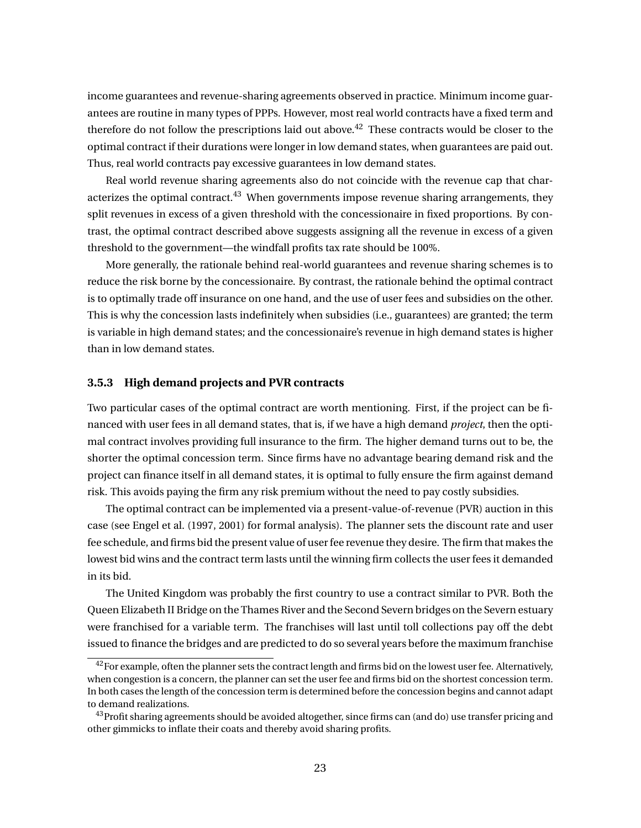income guarantees and revenue-sharing agreements observed in practice. Minimum income guarantees are routine in many types of PPPs. However, most real world contracts have a fixed term and therefore do not follow the prescriptions laid out above.<sup>42</sup> These contracts would be closer to the optimal contract if their durations were longer in low demand states, when guarantees are paid out. Thus, real world contracts pay excessive guarantees in low demand states.

Real world revenue sharing agreements also do not coincide with the revenue cap that characterizes the optimal contract.<sup>43</sup> When governments impose revenue sharing arrangements, they split revenues in excess of a given threshold with the concessionaire in fixed proportions. By contrast, the optimal contract described above suggests assigning all the revenue in excess of a given threshold to the government—the windfall profits tax rate should be 100%.

More generally, the rationale behind real-world guarantees and revenue sharing schemes is to reduce the risk borne by the concessionaire. By contrast, the rationale behind the optimal contract is to optimally trade off insurance on one hand, and the use of user fees and subsidies on the other. This is why the concession lasts indefinitely when subsidies (i.e., guarantees) are granted; the term is variable in high demand states; and the concessionaire's revenue in high demand states is higher than in low demand states.

#### **3.5.3 High demand projects and PVR contracts**

Two particular cases of the optimal contract are worth mentioning. First, if the project can be financed with user fees in all demand states, that is, if we have a high demand *project*, then the optimal contract involves providing full insurance to the firm. The higher demand turns out to be, the shorter the optimal concession term. Since firms have no advantage bearing demand risk and the project can finance itself in all demand states, it is optimal to fully ensure the firm against demand risk. This avoids paying the firm any risk premium without the need to pay costly subsidies.

The optimal contract can be implemented via a present-value-of-revenue (PVR) auction in this case (see Engel et al. (1997, 2001) for formal analysis). The planner sets the discount rate and user fee schedule, and firms bid the present value of user fee revenue they desire. The firm that makes the lowest bid wins and the contract term lasts until the winning firm collects the user fees it demanded in its bid.

The United Kingdom was probably the first country to use a contract similar to PVR. Both the Queen Elizabeth II Bridge on the Thames River and the Second Severn bridges on the Severn estuary were franchised for a variable term. The franchises will last until toll collections pay off the debt issued to finance the bridges and are predicted to do so several years before the maximum franchise

<sup>&</sup>lt;sup>42</sup>For example, often the planner sets the contract length and firms bid on the lowest user fee. Alternatively, when congestion is a concern, the planner can set the user fee and firms bid on the shortest concession term. In both cases the length of the concession term is determined before the concession begins and cannot adapt to demand realizations.

 $43$ Profit sharing agreements should be avoided altogether, since firms can (and do) use transfer pricing and other gimmicks to inflate their coats and thereby avoid sharing profits.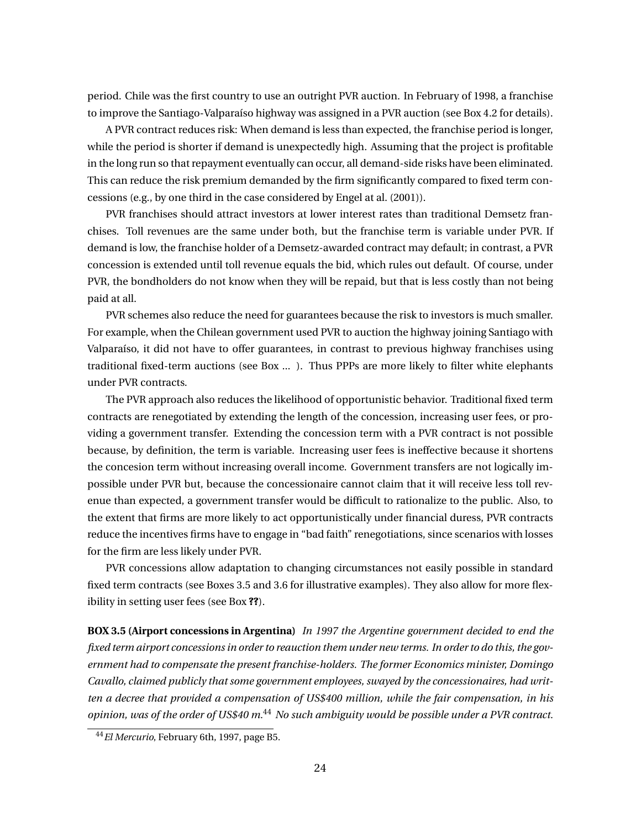period. Chile was the first country to use an outright PVR auction. In February of 1998, a franchise to improve the Santiago-Valparaíso highway was assigned in a PVR auction (see Box 4.2 for details).

A PVR contract reduces risk: When demand is less than expected, the franchise period is longer, while the period is shorter if demand is unexpectedly high. Assuming that the project is profitable in the long run so that repayment eventually can occur, all demand-side risks have been eliminated. This can reduce the risk premium demanded by the firm significantly compared to fixed term concessions (e.g., by one third in the case considered by Engel at al. (2001)).

PVR franchises should attract investors at lower interest rates than traditional Demsetz franchises. Toll revenues are the same under both, but the franchise term is variable under PVR. If demand is low, the franchise holder of a Demsetz-awarded contract may default; in contrast, a PVR concession is extended until toll revenue equals the bid, which rules out default. Of course, under PVR, the bondholders do not know when they will be repaid, but that is less costly than not being paid at all.

PVR schemes also reduce the need for guarantees because the risk to investors is much smaller. For example, when the Chilean government used PVR to auction the highway joining Santiago with Valparaíso, it did not have to offer guarantees, in contrast to previous highway franchises using traditional fixed-term auctions (see Box ... ). Thus PPPs are more likely to filter white elephants under PVR contracts.

The PVR approach also reduces the likelihood of opportunistic behavior. Traditional fixed term contracts are renegotiated by extending the length of the concession, increasing user fees, or providing a government transfer. Extending the concession term with a PVR contract is not possible because, by definition, the term is variable. Increasing user fees is ineffective because it shortens the concesion term without increasing overall income. Government transfers are not logically impossible under PVR but, because the concessionaire cannot claim that it will receive less toll revenue than expected, a government transfer would be difficult to rationalize to the public. Also, to the extent that firms are more likely to act opportunistically under financial duress, PVR contracts reduce the incentives firms have to engage in "bad faith" renegotiations, since scenarios with losses for the firm are less likely under PVR.

PVR concessions allow adaptation to changing circumstances not easily possible in standard fixed term contracts (see Boxes 3.5 and 3.6 for illustrative examples). They also allow for more flexibility in setting user fees (see Box **??**).

**BOX 3.5 (Airport concessions in Argentina)** *In 1997 the Argentine government decided to end the fixed term airport concessions in order to reauction them under new terms. In order to do this, the government had to compensate the present franchise-holders. The former Economics minister, Domingo Cavallo, claimed publicly that some government employees, swayed by the concessionaires, had written a decree that provided a compensation of US\$400 million, while the fair compensation, in his opinion, was of the order of US\$40 m.*<sup>44</sup> *No such ambiguity would be possible under a PVR contract.*

<sup>44</sup>*El Mercurio*, February 6th, 1997, page B5.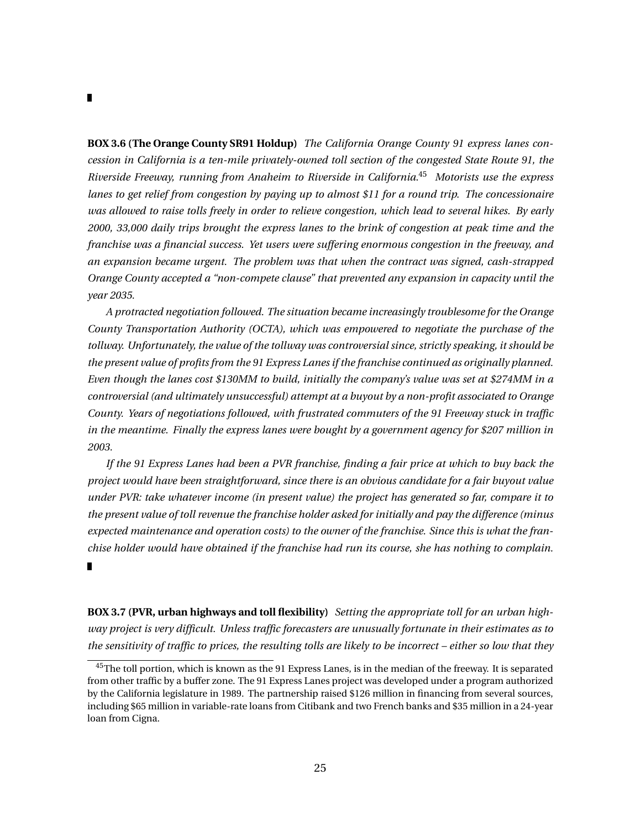**BOX 3.6 (The Orange County SR91 Holdup)** *The California Orange County 91 express lanes concession in California is a ten-mile privately-owned toll section of the congested State Route 91, the Riverside Freeway, running from Anaheim to Riverside in California.*<sup>45</sup> *Motorists use the express lanes to get relief from congestion by paying up to almost \$11 for a round trip. The concessionaire was allowed to raise tolls freely in order to relieve congestion, which lead to several hikes. By early 2000, 33,000 daily trips brought the express lanes to the brink of congestion at peak time and the franchise was a financial success. Yet users were suffering enormous congestion in the freeway, and an expansion became urgent. The problem was that when the contract was signed, cash-strapped Orange County accepted a "non-compete clause" that prevented any expansion in capacity until the year 2035.*

*A protracted negotiation followed. The situation became increasingly troublesome for the Orange County Transportation Authority (OCTA), which was empowered to negotiate the purchase of the tollway. Unfortunately, the value of the tollway was controversial since, strictly speaking, it should be the present value of profits from the 91 Express Lanes if the franchise continued as originally planned. Even though the lanes cost \$130MM to build, initially the company's value was set at \$274MM in a controversial (and ultimately unsuccessful) attempt at a buyout by a non-profit associated to Orange County. Years of negotiations followed, with frustrated commuters of the 91 Freeway stuck in traffic in the meantime. Finally the express lanes were bought by a government agency for \$207 million in 2003.*

*If the 91 Express Lanes had been a PVR franchise, finding a fair price at which to buy back the project would have been straightforward, since there is an obvious candidate for a fair buyout value under PVR: take whatever income (in present value) the project has generated so far, compare it to the present value of toll revenue the franchise holder asked for initially and pay the difference (minus expected maintenance and operation costs) to the owner of the franchise. Since this is what the franchise holder would have obtained if the franchise had run its course, she has nothing to complain.* П

**BOX 3.7 (PVR, urban highways and toll flexibility)** *Setting the appropriate toll for an urban highway project is very difficult. Unless traffic forecasters are unusually fortunate in their estimates as to the sensitivity of traffic to prices, the resulting tolls are likely to be incorrect – either so low that they*

<sup>&</sup>lt;sup>45</sup>The toll portion, which is known as the 91 Express Lanes, is in the median of the freeway. It is separated from other traffic by a buffer zone. The 91 Express Lanes project was developed under a program authorized by the California legislature in 1989. The partnership raised \$126 million in financing from several sources, including \$65 million in variable-rate loans from Citibank and two French banks and \$35 million in a 24-year loan from Cigna.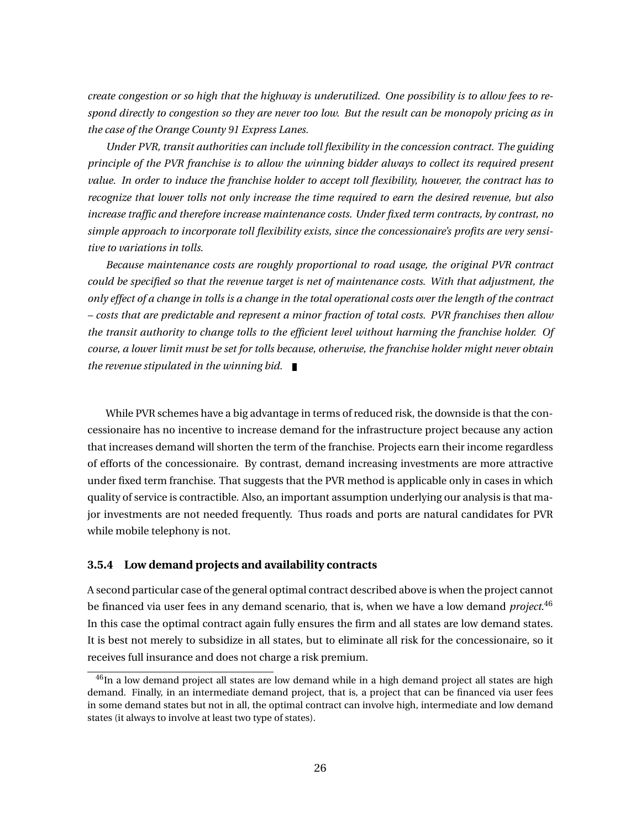*create congestion or so high that the highway is underutilized. One possibility is to allow fees to respond directly to congestion so they are never too low. But the result can be monopoly pricing as in the case of the Orange County 91 Express Lanes.*

*Under PVR, transit authorities can include toll flexibility in the concession contract. The guiding principle of the PVR franchise is to allow the winning bidder always to collect its required present value. In order to induce the franchise holder to accept toll flexibility, however, the contract has to recognize that lower tolls not only increase the time required to earn the desired revenue, but also increase traffic and therefore increase maintenance costs. Under fixed term contracts, by contrast, no simple approach to incorporate toll flexibility exists, since the concessionaire's profits are very sensitive to variations in tolls.*

*Because maintenance costs are roughly proportional to road usage, the original PVR contract could be specified so that the revenue target is net of maintenance costs. With that adjustment, the only effect of a change in tolls is a change in the total operational costs over the length of the contract – costs that are predictable and represent a minor fraction of total costs. PVR franchises then allow the transit authority to change tolls to the efficient level without harming the franchise holder. Of course, a lower limit must be set for tolls because, otherwise, the franchise holder might never obtain the revenue stipulated in the winning bid.*

While PVR schemes have a big advantage in terms of reduced risk, the downside is that the concessionaire has no incentive to increase demand for the infrastructure project because any action that increases demand will shorten the term of the franchise. Projects earn their income regardless of efforts of the concessionaire. By contrast, demand increasing investments are more attractive under fixed term franchise. That suggests that the PVR method is applicable only in cases in which quality of service is contractible. Also, an important assumption underlying our analysis is that major investments are not needed frequently. Thus roads and ports are natural candidates for PVR while mobile telephony is not.

#### **3.5.4 Low demand projects and availability contracts**

A second particular case of the general optimal contract described above is when the project cannot be financed via user fees in any demand scenario, that is, when we have a low demand *project*. 46 In this case the optimal contract again fully ensures the firm and all states are low demand states. It is best not merely to subsidize in all states, but to eliminate all risk for the concessionaire, so it receives full insurance and does not charge a risk premium.

<sup>&</sup>lt;sup>46</sup>In a low demand project all states are low demand while in a high demand project all states are high demand. Finally, in an intermediate demand project, that is, a project that can be financed via user fees in some demand states but not in all, the optimal contract can involve high, intermediate and low demand states (it always to involve at least two type of states).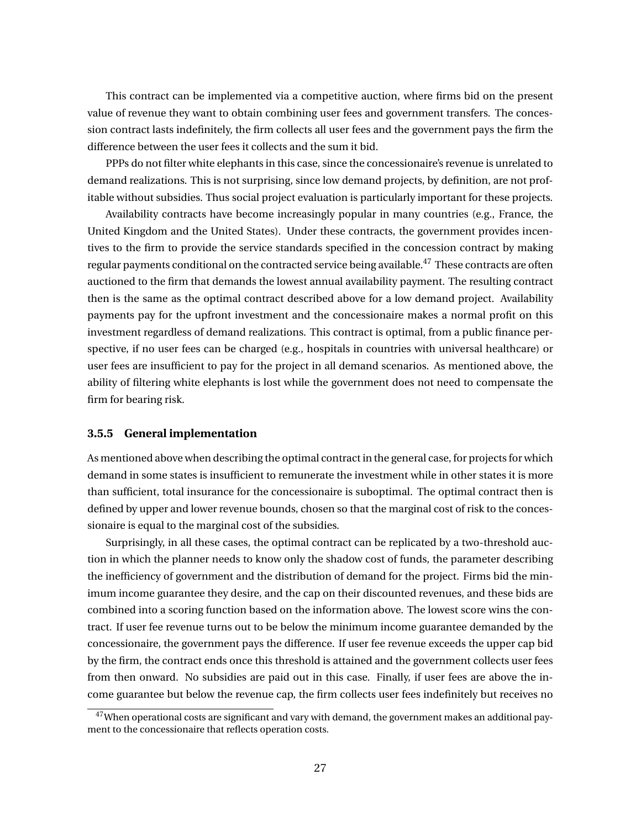This contract can be implemented via a competitive auction, where firms bid on the present value of revenue they want to obtain combining user fees and government transfers. The concession contract lasts indefinitely, the firm collects all user fees and the government pays the firm the difference between the user fees it collects and the sum it bid.

PPPs do not filter white elephants in this case, since the concessionaire's revenue is unrelated to demand realizations. This is not surprising, since low demand projects, by definition, are not profitable without subsidies. Thus social project evaluation is particularly important for these projects.

Availability contracts have become increasingly popular in many countries (e.g., France, the United Kingdom and the United States). Under these contracts, the government provides incentives to the firm to provide the service standards specified in the concession contract by making regular payments conditional on the contracted service being available.<sup>47</sup> These contracts are often auctioned to the firm that demands the lowest annual availability payment. The resulting contract then is the same as the optimal contract described above for a low demand project. Availability payments pay for the upfront investment and the concessionaire makes a normal profit on this investment regardless of demand realizations. This contract is optimal, from a public finance perspective, if no user fees can be charged (e.g., hospitals in countries with universal healthcare) or user fees are insufficient to pay for the project in all demand scenarios. As mentioned above, the ability of filtering white elephants is lost while the government does not need to compensate the firm for bearing risk.

#### **3.5.5 General implementation**

As mentioned above when describing the optimal contract in the general case, for projects for which demand in some states is insufficient to remunerate the investment while in other states it is more than sufficient, total insurance for the concessionaire is suboptimal. The optimal contract then is defined by upper and lower revenue bounds, chosen so that the marginal cost of risk to the concessionaire is equal to the marginal cost of the subsidies.

Surprisingly, in all these cases, the optimal contract can be replicated by a two-threshold auction in which the planner needs to know only the shadow cost of funds, the parameter describing the inefficiency of government and the distribution of demand for the project. Firms bid the minimum income guarantee they desire, and the cap on their discounted revenues, and these bids are combined into a scoring function based on the information above. The lowest score wins the contract. If user fee revenue turns out to be below the minimum income guarantee demanded by the concessionaire, the government pays the difference. If user fee revenue exceeds the upper cap bid by the firm, the contract ends once this threshold is attained and the government collects user fees from then onward. No subsidies are paid out in this case. Finally, if user fees are above the income guarantee but below the revenue cap, the firm collects user fees indefinitely but receives no

<sup>&</sup>lt;sup>47</sup>When operational costs are significant and vary with demand, the government makes an additional payment to the concessionaire that reflects operation costs.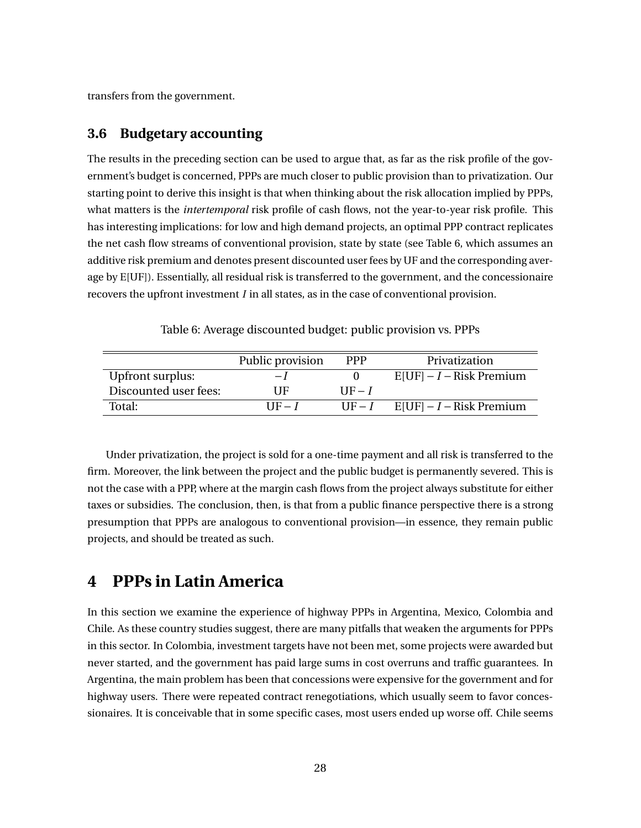transfers from the government.

## **3.6 Budgetary accounting**

The results in the preceding section can be used to argue that, as far as the risk profile of the government's budget is concerned, PPPs are much closer to public provision than to privatization. Our starting point to derive this insight is that when thinking about the risk allocation implied by PPPs, what matters is the *intertemporal* risk profile of cash flows, not the year-to-year risk profile. This has interesting implications: for low and high demand projects, an optimal PPP contract replicates the net cash flow streams of conventional provision, state by state (see Table 6, which assumes an additive risk premium and denotes present discounted user fees by UF and the corresponding average by E[UF]). Essentially, all residual risk is transferred to the government, and the concessionaire recovers the upfront investment *I* in all states, as in the case of conventional provision.

|  |  | Table 6: Average discounted budget: public provision vs. PPPs |  |  |  |  |  |  |  |
|--|--|---------------------------------------------------------------|--|--|--|--|--|--|--|
|--|--|---------------------------------------------------------------|--|--|--|--|--|--|--|

|                       | Public provision | <b>PPP</b> | Privatization              |
|-----------------------|------------------|------------|----------------------------|
| Upfront surplus:      | $-I$             |            | $E[UF] - I - Risk$ Premium |
| Discounted user fees: | UЕ               | $HF-I$     |                            |
| Total:                | $IIF - I$        | $UF-I$     | $E[UF] - I - Risk$ Premium |

Under privatization, the project is sold for a one-time payment and all risk is transferred to the firm. Moreover, the link between the project and the public budget is permanently severed. This is not the case with a PPP, where at the margin cash flows from the project always substitute for either taxes or subsidies. The conclusion, then, is that from a public finance perspective there is a strong presumption that PPPs are analogous to conventional provision—in essence, they remain public projects, and should be treated as such.

## **4 PPPs in Latin America**

In this section we examine the experience of highway PPPs in Argentina, Mexico, Colombia and Chile. As these country studies suggest, there are many pitfalls that weaken the arguments for PPPs in this sector. In Colombia, investment targets have not been met, some projects were awarded but never started, and the government has paid large sums in cost overruns and traffic guarantees. In Argentina, the main problem has been that concessions were expensive for the government and for highway users. There were repeated contract renegotiations, which usually seem to favor concessionaires. It is conceivable that in some specific cases, most users ended up worse off. Chile seems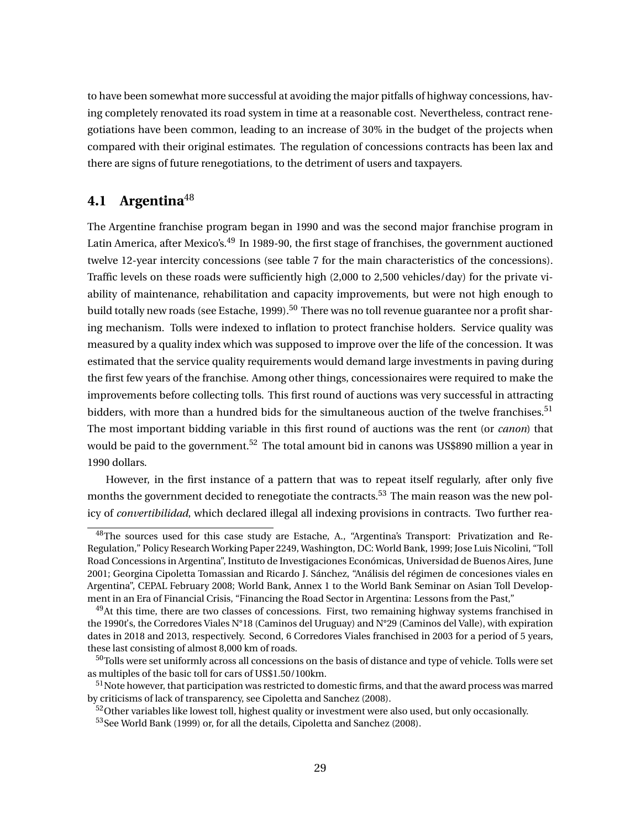to have been somewhat more successful at avoiding the major pitfalls of highway concessions, having completely renovated its road system in time at a reasonable cost. Nevertheless, contract renegotiations have been common, leading to an increase of 30% in the budget of the projects when compared with their original estimates. The regulation of concessions contracts has been lax and there are signs of future renegotiations, to the detriment of users and taxpayers.

## **4.1 Argentina**<sup>48</sup>

The Argentine franchise program began in 1990 and was the second major franchise program in Latin America, after Mexico's.<sup>49</sup> In 1989-90, the first stage of franchises, the government auctioned twelve 12-year intercity concessions (see table 7 for the main characteristics of the concessions). Traffic levels on these roads were sufficiently high (2,000 to 2,500 vehicles/day) for the private viability of maintenance, rehabilitation and capacity improvements, but were not high enough to build totally new roads (see Estache, 1999).<sup>50</sup> There was no toll revenue guarantee nor a profit sharing mechanism. Tolls were indexed to inflation to protect franchise holders. Service quality was measured by a quality index which was supposed to improve over the life of the concession. It was estimated that the service quality requirements would demand large investments in paving during the first few years of the franchise. Among other things, concessionaires were required to make the improvements before collecting tolls. This first round of auctions was very successful in attracting bidders, with more than a hundred bids for the simultaneous auction of the twelve franchises.<sup>51</sup> The most important bidding variable in this first round of auctions was the rent (or *canon*) that would be paid to the government.<sup>52</sup> The total amount bid in canons was US\$890 million a year in 1990 dollars.

However, in the first instance of a pattern that was to repeat itself regularly, after only five months the government decided to renegotiate the contracts.<sup>53</sup> The main reason was the new policy of *convertibilidad*, which declared illegal all indexing provisions in contracts. Two further rea-

<sup>&</sup>lt;sup>48</sup>The sources used for this case study are Estache, A., "Argentina's Transport: Privatization and Re-Regulation," Policy Research Working Paper 2249, Washington, DC: World Bank, 1999; Jose Luis Nicolini, "Toll Road Concessions in Argentina", Instituto de Investigaciones Económicas, Universidad de Buenos Aires, June 2001; Georgina Cipoletta Tomassian and Ricardo J. Sánchez, "Análisis del régimen de concesiones viales en Argentina", CEPAL February 2008; World Bank, Annex 1 to the World Bank Seminar on Asian Toll Development in an Era of Financial Crisis, "Financing the Road Sector in Argentina: Lessons from the Past,"

 $^{49}$ At this time, there are two classes of concessions. First, two remaining highway systems franchised in the 1990t's, the Corredores Viales N°18 (Caminos del Uruguay) and N°29 (Caminos del Valle), with expiration dates in 2018 and 2013, respectively. Second, 6 Corredores Viales franchised in 2003 for a period of 5 years, these last consisting of almost 8,000 km of roads.

 $50$ Tolls were set uniformly across all concessions on the basis of distance and type of vehicle. Tolls were set as multiples of the basic toll for cars of US\$1.50/100km.

<sup>&</sup>lt;sup>51</sup> Note however, that participation was restricted to domestic firms, and that the award process was marred by criticisms of lack of transparency, see Cipoletta and Sanchez (2008).

<sup>&</sup>lt;sup>52</sup>Other variables like lowest toll, highest quality or investment were also used, but only occasionally.

<sup>53</sup>See World Bank (1999) or, for all the details, Cipoletta and Sanchez (2008).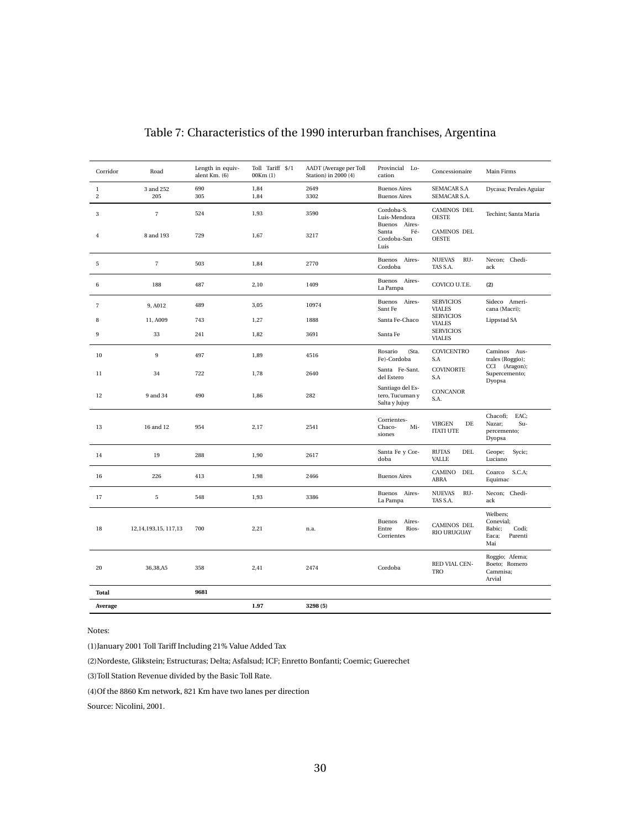| Corridor                   | Road                     | Length in equiv-<br>alent Km. (6) | Toll Tariff \$/1<br>00Km(1) | AADT (Average per Toll<br>Station) in 2000 (4) | Provincial Lo-<br>cation                             | Concessionaire                             | Main Firms                                                          |
|----------------------------|--------------------------|-----------------------------------|-----------------------------|------------------------------------------------|------------------------------------------------------|--------------------------------------------|---------------------------------------------------------------------|
| $\bf{l}$<br>$\overline{c}$ | 3 and 252<br>205         | 690<br>305                        | 1,84<br>1,84                | 2649<br>3302                                   | <b>Buenos Aires</b><br><b>Buenos Aires</b>           | <b>SEMACAR S.A</b><br>SEMACAR S.A.         | Dycasa; Perales Aguiar                                              |
| 3                          | $\sqrt{7}$               | 524                               | 1,93                        | 3590                                           | Cordoba-S.<br>Luis-Mendoza<br>Buenos Aires-          | <b>CAMINOS DEL</b><br><b>OESTE</b>         | Techint: Santa Maria                                                |
| $\,4$                      | 8 and 193                | 729                               | 1,67                        | 3217                                           | Santa<br>Fé-<br>Cordoba-San<br>Luis                  | <b>CAMINOS DEL</b><br><b>OESTE</b>         |                                                                     |
| 5                          | $\overline{\mathcal{I}}$ | 503                               | 1,84                        | 2770                                           | Buenos Aires-<br>Cordoba                             | <b>NUEVAS</b><br>RU-<br>TAS S.A.           | Necon; Chedi-<br>ack                                                |
| 6                          | 188                      | 487                               | 2,10                        | 1409                                           | Buenos Aires-<br>La Pampa                            | COVICO U.T.E.                              | (2)                                                                 |
| $\overline{7}$             | 9, A012                  | 489                               | 3,05                        | 10974                                          | Buenos Aires-<br>Sant Fe                             | <b>SERVICIOS</b><br><b>VIALES</b>          | Sideco Ameri-<br>cana (Macri);                                      |
| 8                          | 11, A009                 | 743                               | 1,27                        | 1888                                           | Santa Fe-Chaco                                       | <b>SERVICIOS</b><br><b>VIALES</b>          | Lippstad SA                                                         |
| 9                          | 33                       | 241                               | 1,82                        | 3691                                           | Santa Fe                                             | <b>SERVICIOS</b><br><b>VIALES</b>          |                                                                     |
| 10                         | 9                        | 497                               | 1,89                        | 4516                                           | Rosario<br>(Sta.<br>Fe)-Cordoba                      | <b>COVICENTRO</b><br>S.A                   | Caminos Aus-<br>trales (Roggio);                                    |
| 11                         | 34                       | 722                               | 1,78                        | 2640                                           | Santa Fe-Sant.<br>del Estero                         | <b>COVINORTE</b><br>S.A                    | CCI (Aragon);<br>Supercemento;<br>Dyopsa                            |
| 12                         | 9 and 34                 | 490                               | 1,86                        | 282                                            | Santiago del Es-<br>tero, Tucuman y<br>Salta y Jujuy | <b>CONCANOR</b><br>S.A.                    |                                                                     |
| 13                         | 16 and 12                | 954                               | 2,17                        | 2541                                           | Corrientes-<br>Chaco-<br>Mi-<br>siones               | <b>VIRGEN</b><br>DE<br><b>ITATI UTE</b>    | Chacofi;<br>EAC;<br>Su-<br>Nazar;<br>percemento;<br>Dyopsa          |
| 14                         | 19                       | 288                               | 1,90                        | 2617                                           | Santa Fe y Cor-<br>doba                              | <b>RUTAS</b><br><b>DEL</b><br><b>VALLE</b> | Sycic;<br>Geope;<br>Luciano                                         |
| 16                         | 226                      | 413                               | 1,98                        | 2466                                           | <b>Buenos Aires</b>                                  | CAMINO<br>DEL<br>ABRA                      | S.C.A;<br>Coarco<br>Equimac                                         |
| 17                         | 5                        | 548                               | 1,93                        | 3386                                           | Buenos Aires-<br>La Pampa                            | <b>NUEVAS</b><br>RU-<br>TAS S.A.           | Necon; Chedi-<br>ack                                                |
| 18                         | 12, 14, 193, 15, 117, 13 | 700                               | 2,21                        | n.a.                                           | Buenos Aires-<br>Rios-<br>Entre<br>Corrientes        | CAMINOS DEL<br><b>RIO URUGUAY</b>          | Welbers;<br>Conevial;<br>Babic;<br>Codi;<br>Parenti<br>Eaca;<br>Mai |
| 20                         | 36,38,A5                 | 358                               | 2,41                        | 2474                                           | Cordoba                                              | RED VIAL CEN-<br><b>TRO</b>                | Roggio; Afema;<br>Boeto; Romero<br>Cammisa;<br>Arvial               |
| Total                      |                          | 9681                              |                             |                                                |                                                      |                                            |                                                                     |
| Average                    |                          |                                   | 1.97                        | 3298 (5)                                       |                                                      |                                            |                                                                     |

## Table 7: Characteristics of the 1990 interurban franchises, Argentina

Notes:

(1)January 2001 Toll Tariff Including 21% Value Added Tax

(2)Nordeste, Glikstein; Estructuras; Delta; Asfalsud; ICF; Enretto Bonfanti; Coemic; Guerechet

(3)Toll Station Revenue divided by the Basic Toll Rate.

(4)Of the 8860 Km network, 821 Km have two lanes per direction

Source: Nicolini, 2001.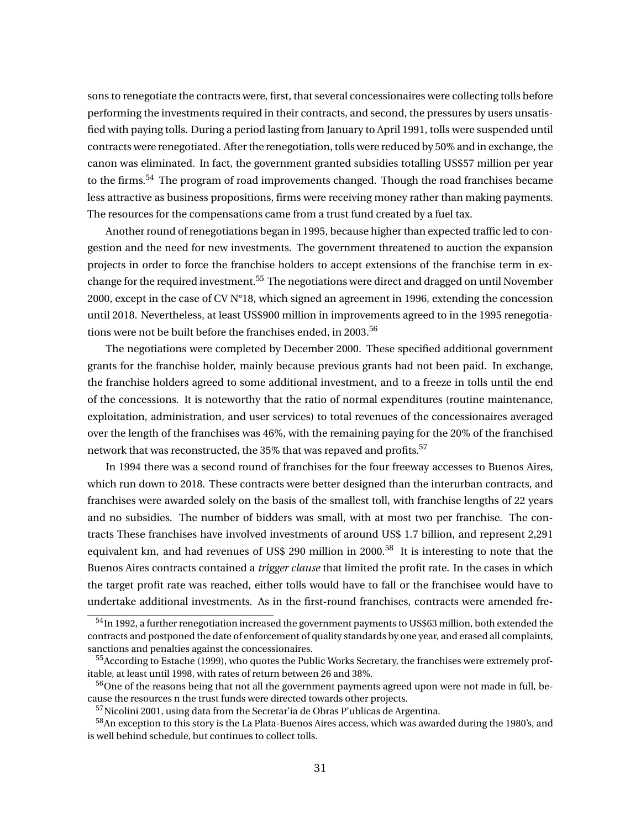sons to renegotiate the contracts were, first, that several concessionaires were collecting tolls before performing the investments required in their contracts, and second, the pressures by users unsatisfied with paying tolls. During a period lasting from January to April 1991, tolls were suspended until contracts were renegotiated. After the renegotiation, tolls were reduced by 50% and in exchange, the canon was eliminated. In fact, the government granted subsidies totalling US\$57 million per year to the firms.<sup>54</sup> The program of road improvements changed. Though the road franchises became less attractive as business propositions, firms were receiving money rather than making payments. The resources for the compensations came from a trust fund created by a fuel tax.

Another round of renegotiations began in 1995, because higher than expected traffic led to congestion and the need for new investments. The government threatened to auction the expansion projects in order to force the franchise holders to accept extensions of the franchise term in exchange for the required investment.<sup>55</sup> The negotiations were direct and dragged on until November 2000, except in the case of CV N°18, which signed an agreement in 1996, extending the concession until 2018. Nevertheless, at least US\$900 million in improvements agreed to in the 1995 renegotiations were not be built before the franchises ended, in 2003.<sup>56</sup>

The negotiations were completed by December 2000. These specified additional government grants for the franchise holder, mainly because previous grants had not been paid. In exchange, the franchise holders agreed to some additional investment, and to a freeze in tolls until the end of the concessions. It is noteworthy that the ratio of normal expenditures (routine maintenance, exploitation, administration, and user services) to total revenues of the concessionaires averaged over the length of the franchises was 46%, with the remaining paying for the 20% of the franchised network that was reconstructed, the 35% that was repaved and profits.<sup>57</sup>

In 1994 there was a second round of franchises for the four freeway accesses to Buenos Aires, which run down to 2018. These contracts were better designed than the interurban contracts, and franchises were awarded solely on the basis of the smallest toll, with franchise lengths of 22 years and no subsidies. The number of bidders was small, with at most two per franchise. The contracts These franchises have involved investments of around US\$ 1.7 billion, and represent 2,291 equivalent km, and had revenues of US\$ 290 million in 2000.<sup>58</sup> It is interesting to note that the Buenos Aires contracts contained a *trigger clause* that limited the profit rate. In the cases in which the target profit rate was reached, either tolls would have to fall or the franchisee would have to undertake additional investments. As in the first-round franchises, contracts were amended fre-

<sup>54</sup>In 1992, a further renegotiation increased the government payments to US\$63 million, both extended the contracts and postponed the date of enforcement of quality standards by one year, and erased all complaints, sanctions and penalties against the concessionaires.

<sup>&</sup>lt;sup>55</sup>According to Estache (1999), who quotes the Public Works Secretary, the franchises were extremely profitable, at least until 1998, with rates of return between 26 and 38%.

 $56$ One of the reasons being that not all the government payments agreed upon were not made in full, because the resources n the trust funds were directed towards other projects.

<sup>57</sup>Nicolini 2001, using data from the Secretar'ia de Obras P'ublicas de Argentina.

<sup>&</sup>lt;sup>58</sup>An exception to this story is the La Plata-Buenos Aires access, which was awarded during the 1980's, and is well behind schedule, but continues to collect tolls.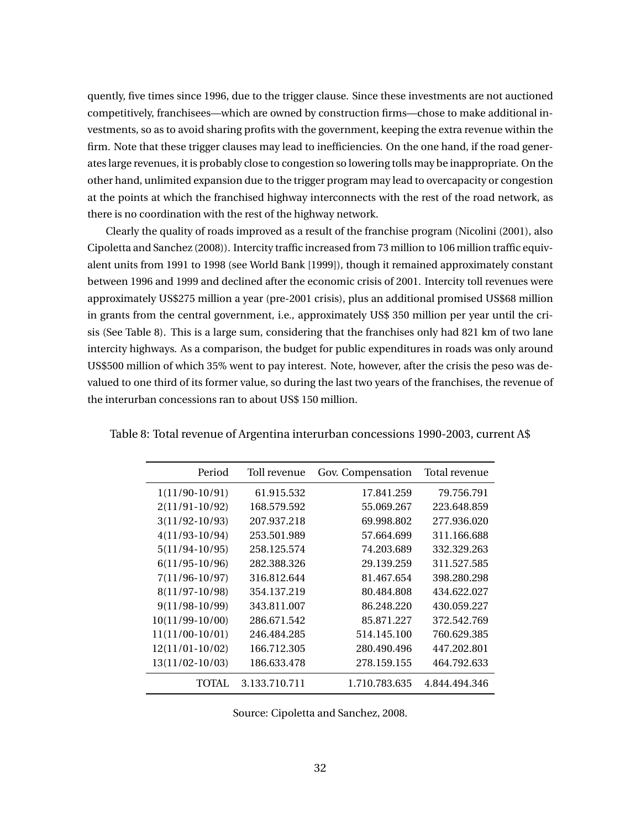quently, five times since 1996, due to the trigger clause. Since these investments are not auctioned competitively, franchisees—which are owned by construction firms—chose to make additional investments, so as to avoid sharing profits with the government, keeping the extra revenue within the firm. Note that these trigger clauses may lead to inefficiencies. On the one hand, if the road generates large revenues, it is probably close to congestion so lowering tolls may be inappropriate. On the other hand, unlimited expansion due to the trigger program may lead to overcapacity or congestion at the points at which the franchised highway interconnects with the rest of the road network, as there is no coordination with the rest of the highway network.

Clearly the quality of roads improved as a result of the franchise program (Nicolini (2001), also Cipoletta and Sanchez (2008)). Intercity traffic increased from 73 million to 106 million traffic equivalent units from 1991 to 1998 (see World Bank [1999]), though it remained approximately constant between 1996 and 1999 and declined after the economic crisis of 2001. Intercity toll revenues were approximately US\$275 million a year (pre-2001 crisis), plus an additional promised US\$68 million in grants from the central government, i.e., approximately US\$ 350 million per year until the crisis (See Table 8). This is a large sum, considering that the franchises only had 821 km of two lane intercity highways. As a comparison, the budget for public expenditures in roads was only around US\$500 million of which 35% went to pay interest. Note, however, after the crisis the peso was devalued to one third of its former value, so during the last two years of the franchises, the revenue of the interurban concessions ran to about US\$ 150 million.

| Period             | Toll revenue  | Gov. Compensation | Total revenue |
|--------------------|---------------|-------------------|---------------|
| $1(11/90-10/91)$   | 61.915.532    | 17.841.259        | 79.756.791    |
| $2(11/91-10/92)$   | 168.579.592   | 55.069.267        | 223.648.859   |
| $3(11/92 - 10/93)$ | 207.937.218   | 69.998.802        | 277.936.020   |
| $4(11/93-10/94)$   | 253.501.989   | 57.664.699        | 311.166.688   |
| $5(11/94-10/95)$   | 258.125.574   | 74.203.689        | 332.329.263   |
| $6(11/95-10/96)$   | 282.388.326   | 29.139.259        | 311.527.585   |
| $7(11/96-10/97)$   | 316.812.644   | 81.467.654        | 398.280.298   |
| 8(11/97-10/98)     | 354.137.219   | 80.484.808        | 434.622.027   |
| $9(11/98-10/99)$   | 343.811.007   | 86.248.220        | 430.059.227   |
| $10(11/99-10/00)$  | 286.671.542   | 85.871.227        | 372.542.769   |
| $11(11/00-10/01)$  | 246.484.285   | 514.145.100       | 760.629.385   |
| $12(11/01-10/02)$  | 166.712.305   | 280.490.496       | 447.202.801   |
| 13(11/02-10/03)    | 186.633.478   | 278.159.155       | 464.792.633   |
| TOTAL.             | 3.133.710.711 | 1.710.783.635     | 4.844.494.346 |

Table 8: Total revenue of Argentina interurban concessions 1990-2003, current A\$

Source: Cipoletta and Sanchez, 2008.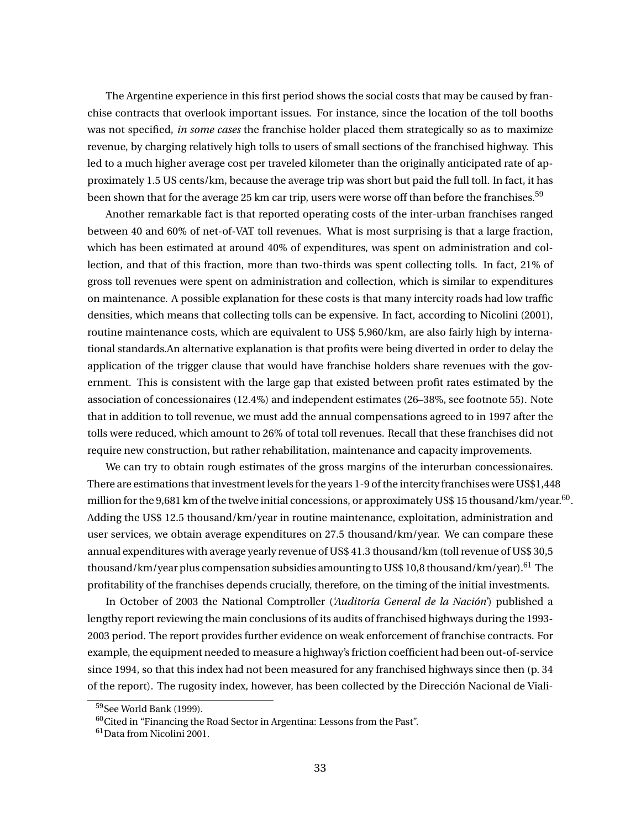The Argentine experience in this first period shows the social costs that may be caused by franchise contracts that overlook important issues. For instance, since the location of the toll booths was not specified, *in some cases* the franchise holder placed them strategically so as to maximize revenue, by charging relatively high tolls to users of small sections of the franchised highway. This led to a much higher average cost per traveled kilometer than the originally anticipated rate of approximately 1.5 US cents/km, because the average trip was short but paid the full toll. In fact, it has been shown that for the average 25 km car trip, users were worse off than before the franchises.<sup>59</sup>

Another remarkable fact is that reported operating costs of the inter-urban franchises ranged between 40 and 60% of net-of-VAT toll revenues. What is most surprising is that a large fraction, which has been estimated at around 40% of expenditures, was spent on administration and collection, and that of this fraction, more than two-thirds was spent collecting tolls. In fact, 21% of gross toll revenues were spent on administration and collection, which is similar to expenditures on maintenance. A possible explanation for these costs is that many intercity roads had low traffic densities, which means that collecting tolls can be expensive. In fact, according to Nicolini (2001), routine maintenance costs, which are equivalent to US\$ 5,960/km, are also fairly high by international standards.An alternative explanation is that profits were being diverted in order to delay the application of the trigger clause that would have franchise holders share revenues with the government. This is consistent with the large gap that existed between profit rates estimated by the association of concessionaires (12.4%) and independent estimates (26–38%, see footnote 55). Note that in addition to toll revenue, we must add the annual compensations agreed to in 1997 after the tolls were reduced, which amount to 26% of total toll revenues. Recall that these franchises did not require new construction, but rather rehabilitation, maintenance and capacity improvements.

We can try to obtain rough estimates of the gross margins of the interurban concessionaires. There are estimations that investment levels for the years 1-9 of the intercity franchises were US\$1,448 million for the 9,681 km of the twelve initial concessions, or approximately US\$ 15 thousand/km/year. $^{60}$ . Adding the US\$ 12.5 thousand/km/year in routine maintenance, exploitation, administration and user services, we obtain average expenditures on 27.5 thousand/km/year. We can compare these annual expenditures with average yearly revenue of US\$ 41.3 thousand/km (toll revenue of US\$ 30,5 thousand/km/year plus compensation subsidies amounting to US\$ 10,8 thousand/km/year).<sup>61</sup> The profitability of the franchises depends crucially, therefore, on the timing of the initial investments.

In October of 2003 the National Comptroller (*'Auditoría General de la Nación'*) published a lengthy report reviewing the main conclusions of its audits of franchised highways during the 1993- 2003 period. The report provides further evidence on weak enforcement of franchise contracts. For example, the equipment needed to measure a highway's friction coefficient had been out-of-service since 1994, so that this index had not been measured for any franchised highways since then (p. 34 of the report). The rugosity index, however, has been collected by the Dirección Nacional de Viali-

<sup>59</sup>See World Bank (1999).

 $60$ Cited in "Financing the Road Sector in Argentina: Lessons from the Past".

 $61$ Data from Nicolini 2001.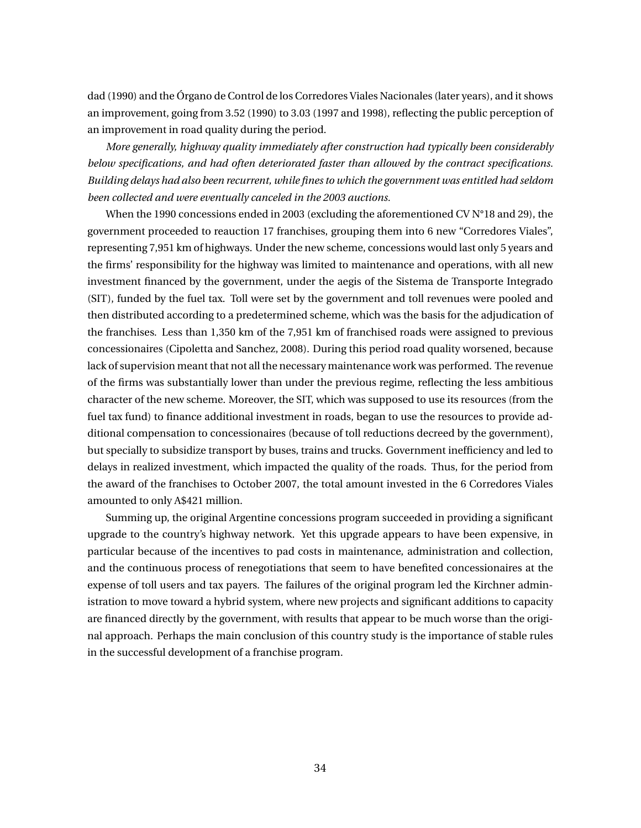dad (1990) and the Órgano de Control de los Corredores Viales Nacionales (later years), and it shows an improvement, going from 3.52 (1990) to 3.03 (1997 and 1998), reflecting the public perception of an improvement in road quality during the period.

*More generally, highway quality immediately after construction had typically been considerably below specifications, and had often deteriorated faster than allowed by the contract specifications. Building delays had also been recurrent, while fines to which the government was entitled had seldom been collected and were eventually canceled in the 2003 auctions.*

When the 1990 concessions ended in 2003 (excluding the aforementioned CV N°18 and 29), the government proceeded to reauction 17 franchises, grouping them into 6 new "Corredores Viales", representing 7,951 km of highways. Under the new scheme, concessions would last only 5 years and the firms' responsibility for the highway was limited to maintenance and operations, with all new investment financed by the government, under the aegis of the Sistema de Transporte Integrado (SIT), funded by the fuel tax. Toll were set by the government and toll revenues were pooled and then distributed according to a predetermined scheme, which was the basis for the adjudication of the franchises. Less than 1,350 km of the 7,951 km of franchised roads were assigned to previous concessionaires (Cipoletta and Sanchez, 2008). During this period road quality worsened, because lack of supervision meant that not all the necessary maintenance work was performed. The revenue of the firms was substantially lower than under the previous regime, reflecting the less ambitious character of the new scheme. Moreover, the SIT, which was supposed to use its resources (from the fuel tax fund) to finance additional investment in roads, began to use the resources to provide additional compensation to concessionaires (because of toll reductions decreed by the government), but specially to subsidize transport by buses, trains and trucks. Government inefficiency and led to delays in realized investment, which impacted the quality of the roads. Thus, for the period from the award of the franchises to October 2007, the total amount invested in the 6 Corredores Viales amounted to only A\$421 million.

Summing up, the original Argentine concessions program succeeded in providing a significant upgrade to the country's highway network. Yet this upgrade appears to have been expensive, in particular because of the incentives to pad costs in maintenance, administration and collection, and the continuous process of renegotiations that seem to have benefited concessionaires at the expense of toll users and tax payers. The failures of the original program led the Kirchner administration to move toward a hybrid system, where new projects and significant additions to capacity are financed directly by the government, with results that appear to be much worse than the original approach. Perhaps the main conclusion of this country study is the importance of stable rules in the successful development of a franchise program.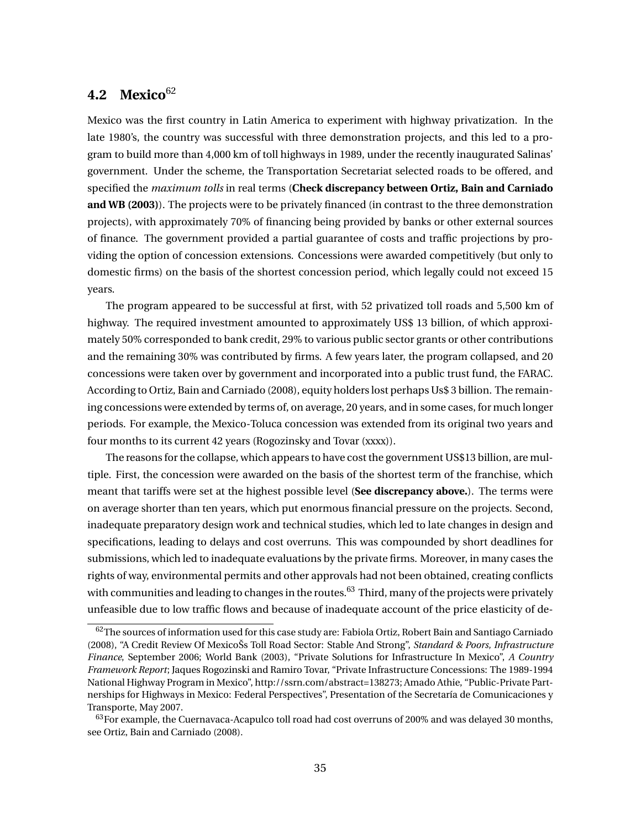# **4.2 Mexico**<sup>62</sup>

Mexico was the first country in Latin America to experiment with highway privatization. In the late 1980's, the country was successful with three demonstration projects, and this led to a program to build more than 4,000 km of toll highways in 1989, under the recently inaugurated Salinas' government. Under the scheme, the Transportation Secretariat selected roads to be offered, and specified the *maximum tolls* in real terms (**Check discrepancy between Ortiz, Bain and Carniado and WB (2003)**). The projects were to be privately financed (in contrast to the three demonstration projects), with approximately 70% of financing being provided by banks or other external sources of finance. The government provided a partial guarantee of costs and traffic projections by providing the option of concession extensions. Concessions were awarded competitively (but only to domestic firms) on the basis of the shortest concession period, which legally could not exceed 15 years.

The program appeared to be successful at first, with 52 privatized toll roads and 5,500 km of highway. The required investment amounted to approximately US\$ 13 billion, of which approximately 50% corresponded to bank credit, 29% to various public sector grants or other contributions and the remaining 30% was contributed by firms. A few years later, the program collapsed, and 20 concessions were taken over by government and incorporated into a public trust fund, the FARAC. According to Ortiz, Bain and Carniado (2008), equity holders lost perhaps Us\$ 3 billion. The remaining concessions were extended by terms of, on average, 20 years, and in some cases, for much longer periods. For example, the Mexico-Toluca concession was extended from its original two years and four months to its current 42 years (Rogozinsky and Tovar (xxxx)).

The reasons for the collapse, which appears to have cost the government US\$13 billion, are multiple. First, the concession were awarded on the basis of the shortest term of the franchise, which meant that tariffs were set at the highest possible level (**See discrepancy above.**). The terms were on average shorter than ten years, which put enormous financial pressure on the projects. Second, inadequate preparatory design work and technical studies, which led to late changes in design and specifications, leading to delays and cost overruns. This was compounded by short deadlines for submissions, which led to inadequate evaluations by the private firms. Moreover, in many cases the rights of way, environmental permits and other approvals had not been obtained, creating conflicts with communities and leading to changes in the routes.  $63$  Third, many of the projects were privately unfeasible due to low traffic flows and because of inadequate account of the price elasticity of de-

<sup>&</sup>lt;sup>62</sup>The sources of information used for this case study are: Fabiola Ortiz, Robert Bain and Santiago Carniado (2008), "A Credit Review Of MexicoŠs Toll Road Sector: Stable And Strong", *Standard & Poors, Infrastructure Finance*, September 2006; World Bank (2003), "Private Solutions for Infrastructure In Mexico", *A Country Framework Report*; Jaques Rogozinski and Ramiro Tovar, "Private Infrastructure Concessions: The 1989-1994 National Highway Program in Mexico", http://ssrn.com/abstract=138273; Amado Athie, "Public-Private Partnerships for Highways in Mexico: Federal Perspectives", Presentation of the Secretaría de Comunicaciones y Transporte, May 2007.

 $63$  For example, the Cuernavaca-Acapulco toll road had cost overruns of 200% and was delayed 30 months, see Ortiz, Bain and Carniado (2008).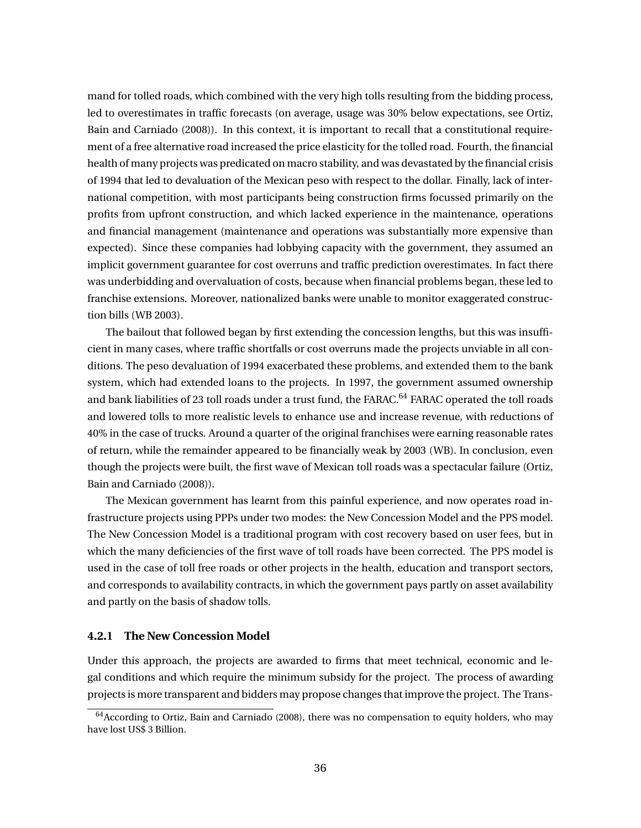mand for tolled roads, which combined with the very high tolls resulting from the bidding process, led to overestimates in traffic forecasts (on average, usage was 30% below expectations, see Ortiz, Bain and Carniado (2008)). In this context, it is important to recall that a constitutional requirement of a free alternative road increased the price elasticity for the tolled road. Fourth, the financial health of many projects was predicated on macro stability, and was devastated by the financial crisis of 1994 that led to devaluation of the Mexican peso with respect to the dollar. Finally, lack of international competition, with most participants being construction firms focussed primarily on the profits from upfront construction, and which lacked experience in the maintenance, operations and financial management (maintenance and operations was substantially more expensive than expected). Since these companies had lobbying capacity with the government, they assumed an implicit government guarantee for cost overruns and traffic prediction overestimates. In fact there was underbidding and overvaluation of costs, because when financial problems began, these led to franchise extensions. Moreover, nationalized banks were unable to monitor exaggerated construction bills (WB 2003).

The bailout that followed began by first extending the concession lengths, but this was insufficient in many cases, where traffic shortfalls or cost overruns made the projects unviable in all conditions. The peso devaluation of 1994 exacerbated these problems, and extended them to the bank system, which had extended loans to the projects. In 1997, the government assumed ownership and bank liabilities of 23 toll roads under a trust fund, the FARAC.<sup>64</sup> FARAC operated the toll roads and lowered tolls to more realistic levels to enhance use and increase revenue, with reductions of 40% in the case of trucks. Around a quarter of the original franchises were earning reasonable rates of return, while the remainder appeared to be financially weak by 2003 (WB). In conclusion, even though the projects were built, the first wave of Mexican toll roads was a spectacular failure (Ortiz, Bain and Carniado (2008)).

The Mexican government has learnt from this painful experience, and now operates road infrastructure projects using PPPs under two modes: the New Concession Model and the PPS model. The New Concession Model is a traditional program with cost recovery based on user fees, but in which the many deficiencies of the first wave of toll roads have been corrected. The PPS model is used in the case of toll free roads or other projects in the health, education and transport sectors, and corresponds to availability contracts, in which the government pays partly on asset availability and partly on the basis of shadow tolls.

### **4.2.1 The New Concession Model**

Under this approach, the projects are awarded to firms that meet technical, economic and legal conditions and which require the minimum subsidy for the project. The process of awarding projects is more transparent and bidders may propose changes that improve the project. The Trans-

 $64$ According to Ortiz, Bain and Carniado (2008), there was no compensation to equity holders, who may have lost US\$ 3 Billion.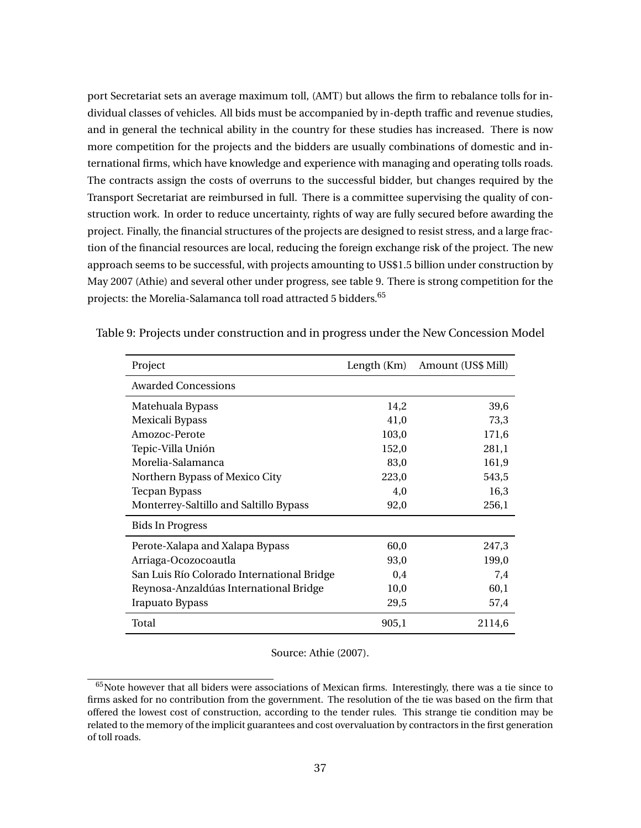port Secretariat sets an average maximum toll, (AMT) but allows the firm to rebalance tolls for individual classes of vehicles. All bids must be accompanied by in-depth traffic and revenue studies, and in general the technical ability in the country for these studies has increased. There is now more competition for the projects and the bidders are usually combinations of domestic and international firms, which have knowledge and experience with managing and operating tolls roads. The contracts assign the costs of overruns to the successful bidder, but changes required by the Transport Secretariat are reimbursed in full. There is a committee supervising the quality of construction work. In order to reduce uncertainty, rights of way are fully secured before awarding the project. Finally, the financial structures of the projects are designed to resist stress, and a large fraction of the financial resources are local, reducing the foreign exchange risk of the project. The new approach seems to be successful, with projects amounting to US\$1.5 billion under construction by May 2007 (Athie) and several other under progress, see table 9. There is strong competition for the projects: the Morelia-Salamanca toll road attracted 5 bidders.<sup>65</sup>

| Project                                    | Length (Km) | Amount (US\$ Mill) |
|--------------------------------------------|-------------|--------------------|
| <b>Awarded Concessions</b>                 |             |                    |
| Matehuala Bypass                           | 14,2        | 39,6               |
| Mexicali Bypass                            | 41,0        | 73,3               |
| Amozoc-Perote                              | 103,0       | 171,6              |
| Tepic-Villa Unión                          | 152,0       | 281,1              |
| Morelia-Salamanca                          | 83,0        | 161,9              |
| Northern Bypass of Mexico City             | 223,0       | 543,5              |
| <b>Tecpan Bypass</b>                       | 4,0         | 16,3               |
| Monterrey-Saltillo and Saltillo Bypass     | 92,0        | 256,1              |
| <b>Bids In Progress</b>                    |             |                    |
| Perote-Xalapa and Xalapa Bypass            | 60,0        | 247,3              |
| Arriaga-Ocozocoautla                       | 93,0        | 199,0              |
| San Luis Río Colorado International Bridge | 0,4         | 7,4                |
| Reynosa-Anzaldúas International Bridge     | 10,0        | 60,1               |
| <b>Irapuato Bypass</b>                     | 29,5        | 57,4               |
| Total                                      | 905,1       | 2114,6             |

Table 9: Projects under construction and in progress under the New Concession Model

Source: Athie (2007).

 $65$ Note however that all biders were associations of Mexican firms. Interestingly, there was a tie since to firms asked for no contribution from the government. The resolution of the tie was based on the firm that offered the lowest cost of construction, according to the tender rules. This strange tie condition may be related to the memory of the implicit guarantees and cost overvaluation by contractors in the first generation of toll roads.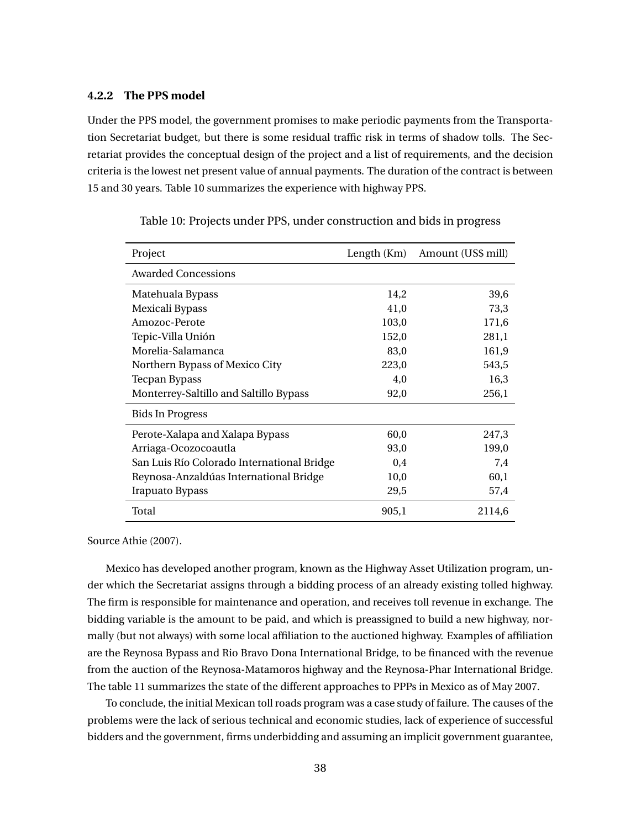### **4.2.2 The PPS model**

Under the PPS model, the government promises to make periodic payments from the Transportation Secretariat budget, but there is some residual traffic risk in terms of shadow tolls. The Secretariat provides the conceptual design of the project and a list of requirements, and the decision criteria is the lowest net present value of annual payments. The duration of the contract is between 15 and 30 years. Table 10 summarizes the experience with highway PPS.

| Project                                    | Length (Km) | Amount (US\$ mill) |
|--------------------------------------------|-------------|--------------------|
| <b>Awarded Concessions</b>                 |             |                    |
| Matehuala Bypass                           | 14,2        | 39,6               |
| Mexicali Bypass                            | 41,0        | 73,3               |
| Amozoc-Perote                              | 103,0       | 171,6              |
| Tepic-Villa Unión                          | 152,0       | 281,1              |
| Morelia-Salamanca                          | 83,0        | 161,9              |
| Northern Bypass of Mexico City             | 223,0       | 543,5              |
| <b>Tecpan Bypass</b>                       | 4,0         | 16,3               |
| Monterrey-Saltillo and Saltillo Bypass     | 92,0        | 256,1              |
| <b>Bids In Progress</b>                    |             |                    |
| Perote-Xalapa and Xalapa Bypass            | 60,0        | 247,3              |
| Arriaga-Ocozocoautla                       | 93,0        | 199,0              |
| San Luis Río Colorado International Bridge | 0,4         | 7,4                |
| Reynosa-Anzaldúas International Bridge     | 10,0        | 60,1               |
| Irapuato Bypass                            | 29,5        | 57,4               |
| Total                                      | 905,1       | 2114,6             |

Table 10: Projects under PPS, under construction and bids in progress

Source Athie (2007).

Mexico has developed another program, known as the Highway Asset Utilization program, under which the Secretariat assigns through a bidding process of an already existing tolled highway. The firm is responsible for maintenance and operation, and receives toll revenue in exchange. The bidding variable is the amount to be paid, and which is preassigned to build a new highway, normally (but not always) with some local affiliation to the auctioned highway. Examples of affiliation are the Reynosa Bypass and Rio Bravo Dona International Bridge, to be financed with the revenue from the auction of the Reynosa-Matamoros highway and the Reynosa-Phar International Bridge. The table 11 summarizes the state of the different approaches to PPPs in Mexico as of May 2007.

To conclude, the initial Mexican toll roads program was a case study of failure. The causes of the problems were the lack of serious technical and economic studies, lack of experience of successful bidders and the government, firms underbidding and assuming an implicit government guarantee,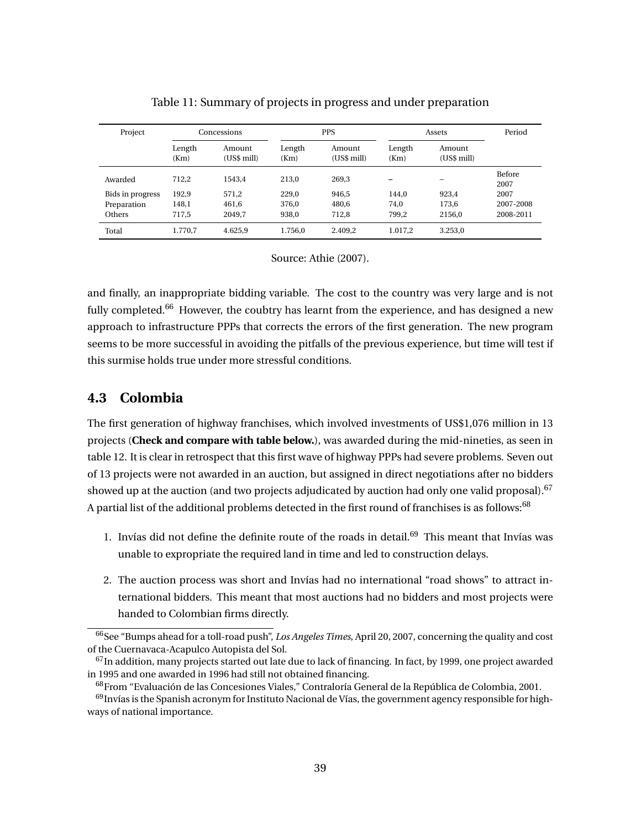| Project          |                | Concessions           | <b>PPS</b>     |                       | Assets         |                       | Period         |
|------------------|----------------|-----------------------|----------------|-----------------------|----------------|-----------------------|----------------|
|                  | Length<br>(Km) | Amount<br>(US\$ mill) | Length<br>(Km) | Amount<br>(US\$ mill) | Length<br>(Km) | Amount<br>(US\$ mill) |                |
| Awarded          | 712.2          | 1543.4                | 213.0          | 269.3                 |                |                       | Before<br>2007 |
| Bids in progress | 192,9          | 571,2                 | 229,0          | 946.5                 | 144.0          | 923.4                 | 2007           |
| Preparation      | 148,1          | 461,6                 | 376,0          | 480.6                 | 74.0           | 173,6                 | 2007-2008      |
| Others           | 717,5          | 2049.7                | 938.0          | 712,8                 | 799.2          | 2156.0                | 2008-2011      |
| Total            | 1.770,7        | 4.625,9               | 1.756.0        | 2.409,2               | 1.017,2        | 3.253,0               |                |

### Table 11: Summary of projects in progress and under preparation

Source: Athie (2007).

and finally, an inappropriate bidding variable. The cost to the country was very large and is not fully completed.<sup>66</sup> However, the coubtry has learnt from the experience, and has designed a new approach to infrastructure PPPs that corrects the errors of the first generation. The new program seems to be more successful in avoiding the pitfalls of the previous experience, but time will test if this surmise holds true under more stressful conditions.

# **4.3 Colombia**

The first generation of highway franchises, which involved investments of US\$1,076 million in 13 projects (**Check and compare with table below.**), was awarded during the mid-nineties, as seen in table 12. It is clear in retrospect that this first wave of highway PPPs had severe problems. Seven out of 13 projects were not awarded in an auction, but assigned in direct negotiations after no bidders showed up at the auction (and two projects adjudicated by auction had only one valid proposal).<sup>67</sup> A partial list of the additional problems detected in the first round of franchises is as follows:<sup>68</sup>

- 1. Invías did not define the definite route of the roads in detail.<sup>69</sup> This meant that Invías was unable to expropriate the required land in time and led to construction delays.
- 2. The auction process was short and Invías had no international "road shows" to attract international bidders. This meant that most auctions had no bidders and most projects were handed to Colombian firms directly.

<sup>66</sup>See "Bumps ahead for a toll-road push", *Los Angeles Times*, April 20, 2007, concerning the quality and cost of the Cuernavaca-Acapulco Autopista del Sol.

<sup>&</sup>lt;sup>67</sup>In addition, many projects started out late due to lack of financing. In fact, by 1999, one project awarded in 1995 and one awarded in 1996 had still not obtained financing.

<sup>68</sup>From "Evaluación de las Concesiones Viales," Contraloría General de la República de Colombia, 2001.

 $69$ Invías is the Spanish acronym for Instituto Nacional de Vías, the government agency responsible for highways of national importance.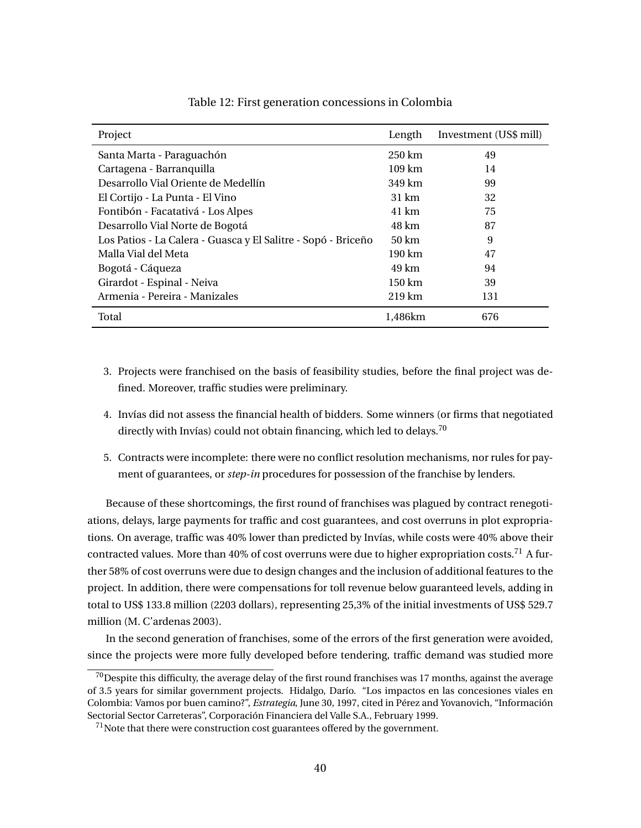| Project                                                       | Length            | Investment (US\$ mill) |
|---------------------------------------------------------------|-------------------|------------------------|
| Santa Marta - Paraguachón                                     | $250 \mathrm{km}$ | 49                     |
| Cartagena - Barranquilla                                      | $109 \text{ km}$  | 14                     |
| Desarrollo Vial Oriente de Medellín                           | 349 km            | 99                     |
| El Cortijo - La Punta - El Vino                               | 31 km             | 32                     |
| Fontibón - Facatativá - Los Alpes                             | 41 km             | 75                     |
| Desarrollo Vial Norte de Bogotá                               | 48 km             | 87                     |
| Los Patios - La Calera - Guasca y El Salitre - Sopó - Briceño | 50 km             | 9                      |
| Malla Vial del Meta                                           | 190 km            | 47                     |
| Bogotá - Cáqueza                                              | 49 km             | 94                     |
| Girardot - Espinal - Neiva                                    | 150 km            | 39                     |
| Armenia - Pereira - Manizales                                 | $219 \text{ km}$  | 131                    |
| Total                                                         | 1.486km           | 676                    |

### Table 12: First generation concessions in Colombia

- 3. Projects were franchised on the basis of feasibility studies, before the final project was defined. Moreover, traffic studies were preliminary.
- 4. Invías did not assess the financial health of bidders. Some winners (or firms that negotiated directly with Invías) could not obtain financing, which led to delays.<sup>70</sup>
- 5. Contracts were incomplete: there were no conflict resolution mechanisms, nor rules for payment of guarantees, or *step-in* procedures for possession of the franchise by lenders.

Because of these shortcomings, the first round of franchises was plagued by contract renegotiations, delays, large payments for traffic and cost guarantees, and cost overruns in plot expropriations. On average, traffic was 40% lower than predicted by Invías, while costs were 40% above their contracted values. More than 40% of cost overruns were due to higher expropriation costs.<sup>71</sup> A further 58% of cost overruns were due to design changes and the inclusion of additional features to the project. In addition, there were compensations for toll revenue below guaranteed levels, adding in total to US\$ 133.8 million (2203 dollars), representing 25,3% of the initial investments of US\$ 529.7 million (M. C'ardenas 2003).

In the second generation of franchises, some of the errors of the first generation were avoided, since the projects were more fully developed before tendering, traffic demand was studied more

 $70$ Despite this difficulty, the average delay of the first round franchises was 17 months, against the average of 3.5 years for similar government projects. Hidalgo, Darío. "Los impactos en las concesiones viales en Colombia: Vamos por buen camino?", *Estrategia*, June 30, 1997, cited in Pérez and Yovanovich, "Información Sectorial Sector Carreteras", Corporación Financiera del Valle S.A., February 1999.

 $71$ Note that there were construction cost guarantees offered by the government.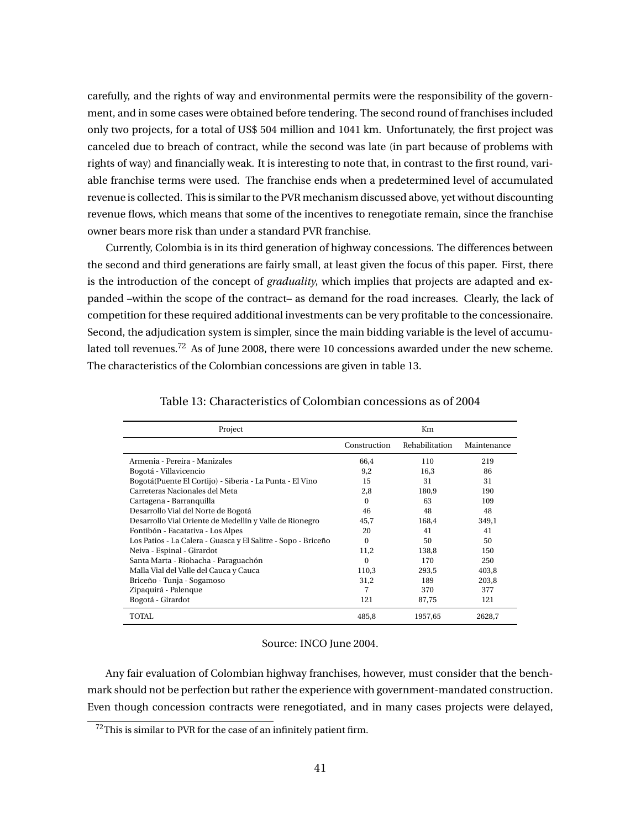carefully, and the rights of way and environmental permits were the responsibility of the government, and in some cases were obtained before tendering. The second round of franchises included only two projects, for a total of US\$ 504 million and 1041 km. Unfortunately, the first project was canceled due to breach of contract, while the second was late (in part because of problems with rights of way) and financially weak. It is interesting to note that, in contrast to the first round, variable franchise terms were used. The franchise ends when a predetermined level of accumulated revenue is collected. This is similar to the PVR mechanism discussed above, yet without discounting revenue flows, which means that some of the incentives to renegotiate remain, since the franchise owner bears more risk than under a standard PVR franchise.

Currently, Colombia is in its third generation of highway concessions. The differences between the second and third generations are fairly small, at least given the focus of this paper. First, there is the introduction of the concept of *graduality*, which implies that projects are adapted and expanded –within the scope of the contract– as demand for the road increases. Clearly, the lack of competition for these required additional investments can be very profitable to the concessionaire. Second, the adjudication system is simpler, since the main bidding variable is the level of accumulated toll revenues.<sup>72</sup> As of June 2008, there were 10 concessions awarded under the new scheme. The characteristics of the Colombian concessions are given in table 13.

| Project                                                       | Km           |                |             |  |
|---------------------------------------------------------------|--------------|----------------|-------------|--|
|                                                               | Construction | Rehabilitation | Maintenance |  |
| Armenia - Pereira - Manizales                                 | 66,4         | 110            | 219         |  |
| Bogotá - Villavicencio                                        | 9,2          | 16,3           | 86          |  |
| Bogotá (Puente El Cortijo) - Siberia - La Punta - El Vino     | 15           | 31             | 31          |  |
| Carreteras Nacionales del Meta                                | 2.8          | 180.9          | 190         |  |
| Cartagena - Barranquilla                                      | $\Omega$     | 63             | 109         |  |
| Desarrollo Vial del Norte de Bogotá                           | 46           | 48             | 48          |  |
| Desarrollo Vial Oriente de Medellín y Valle de Rionegro       | 45,7         | 168,4          | 349,1       |  |
| Fontibón - Facatativa - Los Alpes                             | 20           | 41             | 41          |  |
| Los Patios - La Calera - Guasca y El Salitre - Sopo - Briceño | $\Omega$     | 50             | 50          |  |
| Neiva - Espinal - Girardot                                    | 11,2         | 138,8          | 150         |  |
| Santa Marta - Riohacha - Paraguachón                          | $\Omega$     | 170            | 250         |  |
| Malla Vial del Valle del Cauca y Cauca                        | 110,3        | 293,5          | 403,8       |  |
| Briceño - Tunja - Sogamoso                                    | 31,2         | 189            | 203,8       |  |
| Zipaquirá - Palenque                                          | 7            | 370            | 377         |  |
| Bogotá - Girardot                                             | 121          | 87,75          | 121         |  |
| TOTAL.                                                        | 485,8        | 1957,65        | 2628,7      |  |

Table 13: Characteristics of Colombian concessions as of 2004

### Source: INCO June 2004.

Any fair evaluation of Colombian highway franchises, however, must consider that the benchmark should not be perfection but rather the experience with government-mandated construction. Even though concession contracts were renegotiated, and in many cases projects were delayed,

 $72$ This is similar to PVR for the case of an infinitely patient firm.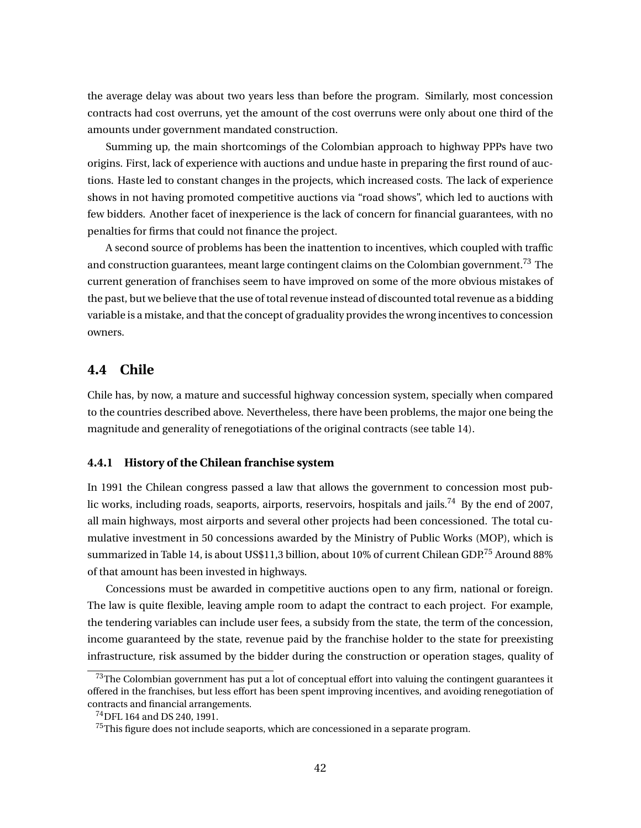the average delay was about two years less than before the program. Similarly, most concession contracts had cost overruns, yet the amount of the cost overruns were only about one third of the amounts under government mandated construction.

Summing up, the main shortcomings of the Colombian approach to highway PPPs have two origins. First, lack of experience with auctions and undue haste in preparing the first round of auctions. Haste led to constant changes in the projects, which increased costs. The lack of experience shows in not having promoted competitive auctions via "road shows", which led to auctions with few bidders. Another facet of inexperience is the lack of concern for financial guarantees, with no penalties for firms that could not finance the project.

A second source of problems has been the inattention to incentives, which coupled with traffic and construction guarantees, meant large contingent claims on the Colombian government.<sup>73</sup> The current generation of franchises seem to have improved on some of the more obvious mistakes of the past, but we believe that the use of total revenue instead of discounted total revenue as a bidding variable is a mistake, and that the concept of graduality provides the wrong incentives to concession owners.

# **4.4 Chile**

Chile has, by now, a mature and successful highway concession system, specially when compared to the countries described above. Nevertheless, there have been problems, the major one being the magnitude and generality of renegotiations of the original contracts (see table 14).

### **4.4.1 History of the Chilean franchise system**

In 1991 the Chilean congress passed a law that allows the government to concession most public works, including roads, seaports, airports, reservoirs, hospitals and jails.<sup>74</sup> By the end of 2007, all main highways, most airports and several other projects had been concessioned. The total cumulative investment in 50 concessions awarded by the Ministry of Public Works (MOP), which is summarized in Table 14, is about US\$11,3 billion, about 10% of current Chilean GDP.<sup>75</sup> Around 88% of that amount has been invested in highways.

Concessions must be awarded in competitive auctions open to any firm, national or foreign. The law is quite flexible, leaving ample room to adapt the contract to each project. For example, the tendering variables can include user fees, a subsidy from the state, the term of the concession, income guaranteed by the state, revenue paid by the franchise holder to the state for preexisting infrastructure, risk assumed by the bidder during the construction or operation stages, quality of

 $73$ The Colombian government has put a lot of conceptual effort into valuing the contingent guarantees it offered in the franchises, but less effort has been spent improving incentives, and avoiding renegotiation of contracts and financial arrangements.

<sup>74</sup>DFL 164 and DS 240, 1991.

 $75$ This figure does not include seaports, which are concessioned in a separate program.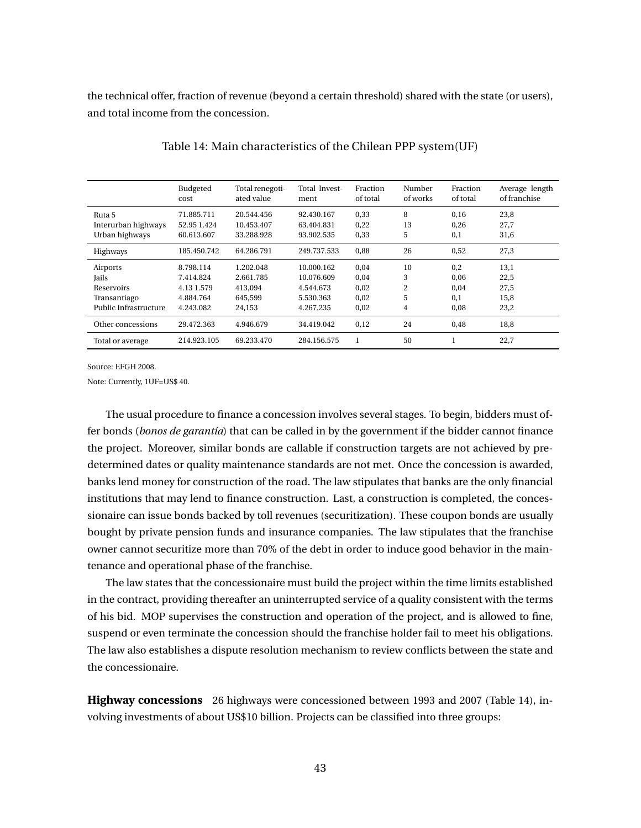the technical offer, fraction of revenue (beyond a certain threshold) shared with the state (or users), and total income from the concession.

|                       | Budgeted<br>cost | Total renegoti-<br>ated value | Total Invest-<br>ment | Fraction<br>of total | Number<br>of works | Fraction<br>of total | Average length<br>of franchise |
|-----------------------|------------------|-------------------------------|-----------------------|----------------------|--------------------|----------------------|--------------------------------|
| Ruta 5                | 71.885.711       | 20.544.456                    | 92.430.167            | 0,33                 | 8                  | 0,16                 | 23,8                           |
| Interurban highways   | 52.95 1.424      | 10.453.407                    | 63.404.831            | 0,22                 | 13                 | 0,26                 | 27,7                           |
| Urban highways        | 60.613.607       | 33.288.928                    | 93.902.535            | 0,33                 | 5                  | 0,1                  | 31,6                           |
| <b>Highways</b>       | 185.450.742      | 64.286.791                    | 249.737.533           | 0.88                 | 26                 | 0,52                 | 27,3                           |
| Airports              | 8.798.114        | 1.202.048                     | 10.000.162            | 0.04                 | 10                 | 0,2                  | 13,1                           |
| Jails                 | 7.414.824        | 2.661.785                     | 10.076.609            | 0,04                 | 3                  | 0,06                 | 22,5                           |
| Reservoirs            | 4.13 1.579       | 413.094                       | 4.544.673             | 0,02                 | 2                  | 0,04                 | 27,5                           |
| Transantiago          | 4.884.764        | 645.599                       | 5.530.363             | 0.02                 | 5                  | 0.1                  | 15,8                           |
| Public Infrastructure | 4.243.082        | 24,153                        | 4.267.235             | 0,02                 | 4                  | 0,08                 | 23,2                           |
| Other concessions     | 29.472.363       | 4.946.679                     | 34.419.042            | 0.12                 | 24                 | 0.48                 | 18,8                           |
| Total or average      | 214.923.105      | 69.233.470                    | 284.156.575           |                      | 50                 |                      | 22,7                           |

Table 14: Main characteristics of the Chilean PPP system(UF)

Source: EFGH 2008.

Note: Currently, 1UF=US\$ 40.

The usual procedure to finance a concession involves several stages. To begin, bidders must offer bonds (*bonos de garantía*) that can be called in by the government if the bidder cannot finance the project. Moreover, similar bonds are callable if construction targets are not achieved by predetermined dates or quality maintenance standards are not met. Once the concession is awarded, banks lend money for construction of the road. The law stipulates that banks are the only financial institutions that may lend to finance construction. Last, a construction is completed, the concessionaire can issue bonds backed by toll revenues (securitization). These coupon bonds are usually bought by private pension funds and insurance companies. The law stipulates that the franchise owner cannot securitize more than 70% of the debt in order to induce good behavior in the maintenance and operational phase of the franchise.

The law states that the concessionaire must build the project within the time limits established in the contract, providing thereafter an uninterrupted service of a quality consistent with the terms of his bid. MOP supervises the construction and operation of the project, and is allowed to fine, suspend or even terminate the concession should the franchise holder fail to meet his obligations. The law also establishes a dispute resolution mechanism to review conflicts between the state and the concessionaire.

**Highway concessions** 26 highways were concessioned between 1993 and 2007 (Table 14), involving investments of about US\$10 billion. Projects can be classified into three groups: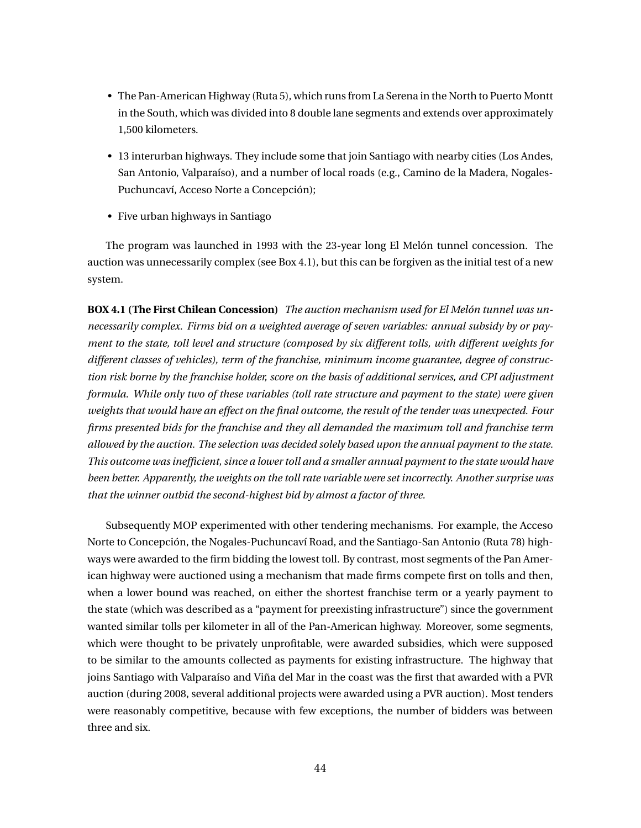- The Pan-American Highway (Ruta 5), which runs from La Serena in the North to Puerto Montt in the South, which was divided into 8 double lane segments and extends over approximately 1,500 kilometers.
- 13 interurban highways. They include some that join Santiago with nearby cities (Los Andes, San Antonio, Valparaíso), and a number of local roads (e.g., Camino de la Madera, Nogales-Puchuncaví, Acceso Norte a Concepción);
- Five urban highways in Santiago

The program was launched in 1993 with the 23-year long El Melón tunnel concession. The auction was unnecessarily complex (see Box 4.1), but this can be forgiven as the initial test of a new system.

**BOX 4.1 (The First Chilean Concession)** *The auction mechanism used for El Melón tunnel was unnecessarily complex. Firms bid on a weighted average of seven variables: annual subsidy by or payment to the state, toll level and structure (composed by six different tolls, with different weights for different classes of vehicles), term of the franchise, minimum income guarantee, degree of construction risk borne by the franchise holder, score on the basis of additional services, and CPI adjustment formula. While only two of these variables (toll rate structure and payment to the state) were given weights that would have an effect on the final outcome, the result of the tender was unexpected. Four firms presented bids for the franchise and they all demanded the maximum toll and franchise term allowed by the auction. The selection was decided solely based upon the annual payment to the state. This outcome was inefficient, since a lower toll and a smaller annual payment to the state would have been better. Apparently, the weights on the toll rate variable were set incorrectly. Another surprise was that the winner outbid the second-highest bid by almost a factor of three.*

Subsequently MOP experimented with other tendering mechanisms. For example, the Acceso Norte to Concepción, the Nogales-Puchuncaví Road, and the Santiago-San Antonio (Ruta 78) highways were awarded to the firm bidding the lowest toll. By contrast, most segments of the Pan American highway were auctioned using a mechanism that made firms compete first on tolls and then, when a lower bound was reached, on either the shortest franchise term or a yearly payment to the state (which was described as a "payment for preexisting infrastructure") since the government wanted similar tolls per kilometer in all of the Pan-American highway. Moreover, some segments, which were thought to be privately unprofitable, were awarded subsidies, which were supposed to be similar to the amounts collected as payments for existing infrastructure. The highway that joins Santiago with Valparaíso and Viña del Mar in the coast was the first that awarded with a PVR auction (during 2008, several additional projects were awarded using a PVR auction). Most tenders were reasonably competitive, because with few exceptions, the number of bidders was between three and six.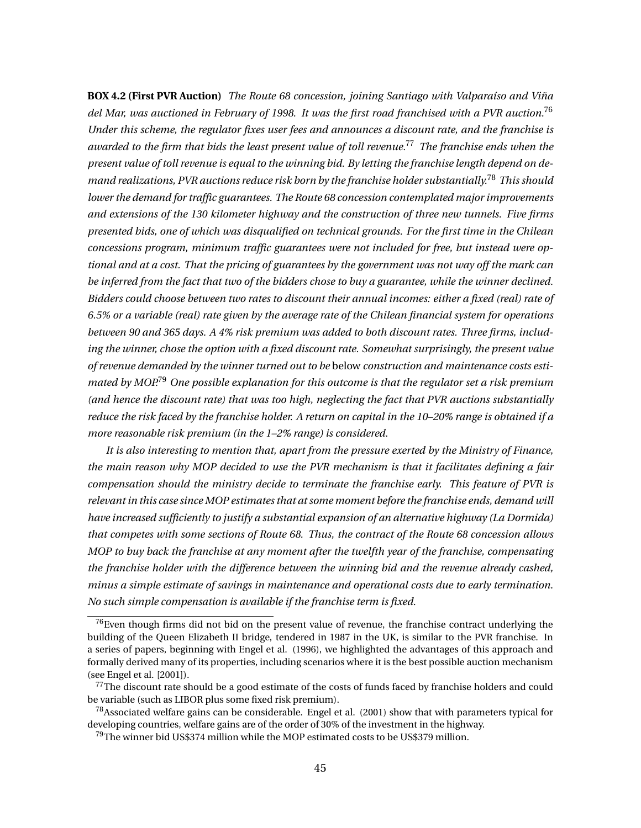**BOX 4.2 (First PVR Auction)** *The Route 68 concession, joining Santiago with Valparaíso and Viña del Mar, was auctioned in February of 1998. It was the first road franchised with a PVR auction.*<sup>76</sup> *Under this scheme, the regulator fixes user fees and announces a discount rate, and the franchise is awarded to the firm that bids the least present value of toll revenue.*<sup>77</sup> *The franchise ends when the present value of toll revenue is equal to the winning bid. By letting the franchise length depend on demand realizations, PVR auctions reduce risk born by the franchise holder substantially.*<sup>78</sup> *This should lower the demand for traffic guarantees. The Route 68 concession contemplated major improvements and extensions of the 130 kilometer highway and the construction of three new tunnels. Five firms presented bids, one of which was disqualified on technical grounds. For the first time in the Chilean concessions program, minimum traffic guarantees were not included for free, but instead were optional and at a cost. That the pricing of guarantees by the government was not way off the mark can be inferred from the fact that two of the bidders chose to buy a guarantee, while the winner declined. Bidders could choose between two rates to discount their annual incomes: either a fixed (real) rate of 6.5% or a variable (real) rate given by the average rate of the Chilean financial system for operations between 90 and 365 days. A 4% risk premium was added to both discount rates. Three firms, including the winner, chose the option with a fixed discount rate. Somewhat surprisingly, the present value of revenue demanded by the winner turned out to be* below *construction and maintenance costs estimated by MOP.*<sup>79</sup> *One possible explanation for this outcome is that the regulator set a risk premium (and hence the discount rate) that was too high, neglecting the fact that PVR auctions substantially reduce the risk faced by the franchise holder. A return on capital in the 10–20% range is obtained if a more reasonable risk premium (in the 1–2% range) is considered.*

*It is also interesting to mention that, apart from the pressure exerted by the Ministry of Finance, the main reason why MOP decided to use the PVR mechanism is that it facilitates defining a fair compensation should the ministry decide to terminate the franchise early. This feature of PVR is relevant in this case since MOP estimates that at some moment before the franchise ends, demand will have increased sufficiently to justify a substantial expansion of an alternative highway (La Dormida) that competes with some sections of Route 68. Thus, the contract of the Route 68 concession allows MOP to buy back the franchise at any moment after the twelfth year of the franchise, compensating the franchise holder with the difference between the winning bid and the revenue already cashed, minus a simple estimate of savings in maintenance and operational costs due to early termination. No such simple compensation is available if the franchise term is fixed.*

 $76$ Even though firms did not bid on the present value of revenue, the franchise contract underlying the building of the Queen Elizabeth II bridge, tendered in 1987 in the UK, is similar to the PVR franchise. In a series of papers, beginning with Engel et al. (1996), we highlighted the advantages of this approach and formally derived many of its properties, including scenarios where it is the best possible auction mechanism (see Engel et al. [2001]).

<sup>&</sup>lt;sup>77</sup>The discount rate should be a good estimate of the costs of funds faced by franchise holders and could be variable (such as LIBOR plus some fixed risk premium).

 $^{78}$ Associated welfare gains can be considerable. Engel et al. (2001) show that with parameters typical for developing countries, welfare gains are of the order of 30% of the investment in the highway.

 $79$ The winner bid US\$374 million while the MOP estimated costs to be US\$379 million.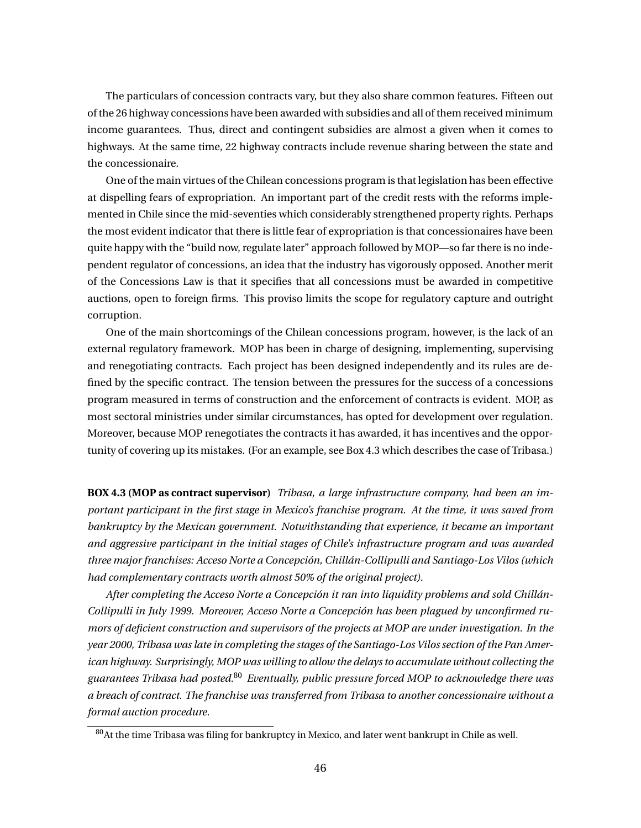The particulars of concession contracts vary, but they also share common features. Fifteen out of the 26 highway concessions have been awarded with subsidies and all of them received minimum income guarantees. Thus, direct and contingent subsidies are almost a given when it comes to highways. At the same time, 22 highway contracts include revenue sharing between the state and the concessionaire.

One of the main virtues of the Chilean concessions program is that legislation has been effective at dispelling fears of expropriation. An important part of the credit rests with the reforms implemented in Chile since the mid-seventies which considerably strengthened property rights. Perhaps the most evident indicator that there is little fear of expropriation is that concessionaires have been quite happy with the "build now, regulate later" approach followed by MOP—so far there is no independent regulator of concessions, an idea that the industry has vigorously opposed. Another merit of the Concessions Law is that it specifies that all concessions must be awarded in competitive auctions, open to foreign firms. This proviso limits the scope for regulatory capture and outright corruption.

One of the main shortcomings of the Chilean concessions program, however, is the lack of an external regulatory framework. MOP has been in charge of designing, implementing, supervising and renegotiating contracts. Each project has been designed independently and its rules are defined by the specific contract. The tension between the pressures for the success of a concessions program measured in terms of construction and the enforcement of contracts is evident. MOP, as most sectoral ministries under similar circumstances, has opted for development over regulation. Moreover, because MOP renegotiates the contracts it has awarded, it has incentives and the opportunity of covering up its mistakes. (For an example, see Box 4.3 which describes the case of Tribasa.)

**BOX 4.3 (MOP as contract supervisor)** *Tribasa, a large infrastructure company, had been an important participant in the first stage in Mexico's franchise program. At the time, it was saved from bankruptcy by the Mexican government. Notwithstanding that experience, it became an important and aggressive participant in the initial stages of Chile's infrastructure program and was awarded three major franchises: Acceso Norte a Concepción, Chillán-Collipulli and Santiago-Los Vilos (which had complementary contracts worth almost 50% of the original project).*

*After completing the Acceso Norte a Concepción it ran into liquidity problems and sold Chillán-Collipulli in July 1999. Moreover, Acceso Norte a Concepción has been plagued by unconfirmed rumors of deficient construction and supervisors of the projects at MOP are under investigation. In the year 2000, Tribasa was late in completing the stages of the Santiago-Los Vilos section of the Pan American highway. Surprisingly, MOP was willing to allow the delays to accumulate without collecting the guarantees Tribasa had posted.*<sup>80</sup> *Eventually, public pressure forced MOP to acknowledge there was a breach of contract. The franchise was transferred from Tribasa to another concessionaire without a formal auction procedure.*

 $80$ At the time Tribasa was filing for bankruptcy in Mexico, and later went bankrupt in Chile as well.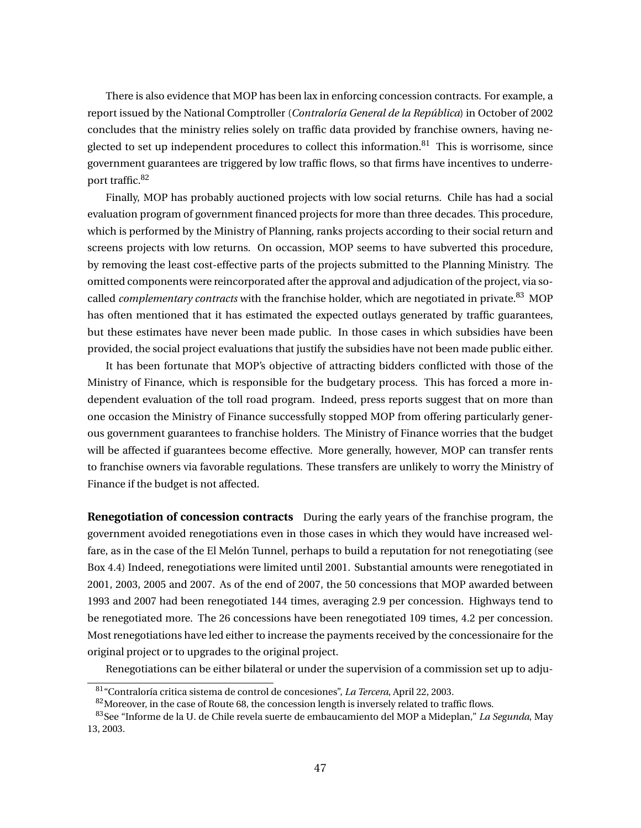There is also evidence that MOP has been lax in enforcing concession contracts. For example, a report issued by the National Comptroller (*Contraloría General de la República*) in October of 2002 concludes that the ministry relies solely on traffic data provided by franchise owners, having neglected to set up independent procedures to collect this information. $81$  This is worrisome, since government guarantees are triggered by low traffic flows, so that firms have incentives to underreport traffic.<sup>82</sup>

Finally, MOP has probably auctioned projects with low social returns. Chile has had a social evaluation program of government financed projects for more than three decades. This procedure, which is performed by the Ministry of Planning, ranks projects according to their social return and screens projects with low returns. On occassion, MOP seems to have subverted this procedure, by removing the least cost-effective parts of the projects submitted to the Planning Ministry. The omitted components were reincorporated after the approval and adjudication of the project, via socalled *complementary contracts* with the franchise holder, which are negotiated in private.<sup>83</sup> MOP has often mentioned that it has estimated the expected outlays generated by traffic guarantees, but these estimates have never been made public. In those cases in which subsidies have been provided, the social project evaluations that justify the subsidies have not been made public either.

It has been fortunate that MOP's objective of attracting bidders conflicted with those of the Ministry of Finance, which is responsible for the budgetary process. This has forced a more independent evaluation of the toll road program. Indeed, press reports suggest that on more than one occasion the Ministry of Finance successfully stopped MOP from offering particularly generous government guarantees to franchise holders. The Ministry of Finance worries that the budget will be affected if guarantees become effective. More generally, however, MOP can transfer rents to franchise owners via favorable regulations. These transfers are unlikely to worry the Ministry of Finance if the budget is not affected.

**Renegotiation of concession contracts** During the early years of the franchise program, the government avoided renegotiations even in those cases in which they would have increased welfare, as in the case of the El Melón Tunnel, perhaps to build a reputation for not renegotiating (see Box 4.4) Indeed, renegotiations were limited until 2001. Substantial amounts were renegotiated in 2001, 2003, 2005 and 2007. As of the end of 2007, the 50 concessions that MOP awarded between 1993 and 2007 had been renegotiated 144 times, averaging 2.9 per concession. Highways tend to be renegotiated more. The 26 concessions have been renegotiated 109 times, 4.2 per concession. Most renegotiations have led either to increase the payments received by the concessionaire for the original project or to upgrades to the original project.

Renegotiations can be either bilateral or under the supervision of a commission set up to adju-

<sup>81</sup>"Contraloría critica sistema de control de concesiones", *La Tercera*, April 22, 2003.

 $82$ Moreover, in the case of Route 68, the concession length is inversely related to traffic flows.

<sup>83</sup>See "Informe de la U. de Chile revela suerte de embaucamiento del MOP a Mideplan," *La Segunda*, May 13, 2003.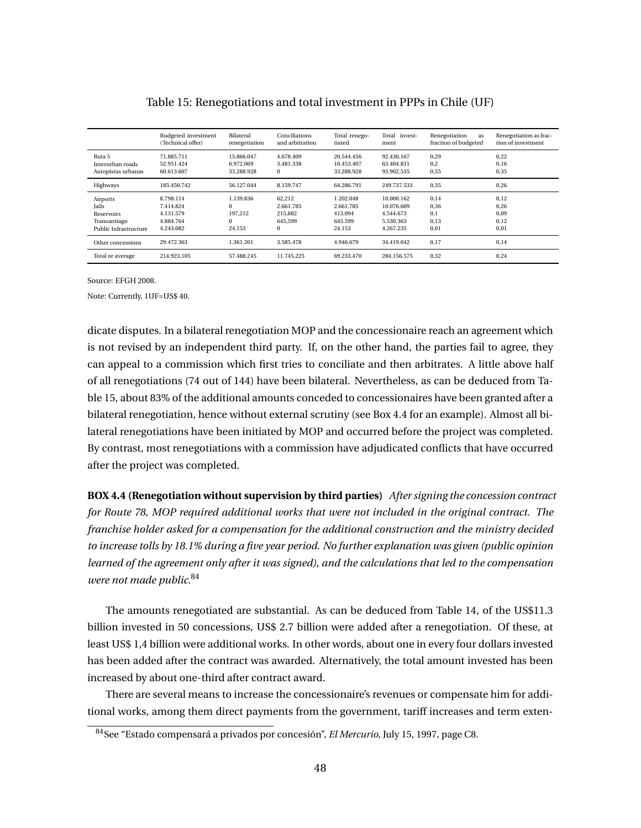|                                                                                 | Budgeted investment<br>(Technical offer)                      | Bilateral<br>renegotiation                             | Conciliations<br>and arbitration                      | Total renego-<br>tiated                                | Total invest-<br>ment                                           | Renegotiation<br>as<br>fraction of budgeted | Renegotiation as frac-<br>tion of investment |
|---------------------------------------------------------------------------------|---------------------------------------------------------------|--------------------------------------------------------|-------------------------------------------------------|--------------------------------------------------------|-----------------------------------------------------------------|---------------------------------------------|----------------------------------------------|
| Ruta 5<br>Interurban roads<br>Autopistas urbanas                                | 71.885.711<br>52.951.424<br>60.613.607                        | 15.866.047<br>6.972.069<br>33.288.928                  | 4.678.409<br>3.481.338<br>$\bf{0}$                    | 20.544.456<br>10.453.407<br>33.288.928                 | 92.430.167<br>63.404.831<br>93.902.535                          | 0,29<br>0.2<br>0,55                         | 0,22<br>0,16<br>0,35                         |
| Highways                                                                        | 185.450.742                                                   | 56.127.044                                             | 8.159.747                                             | 64.286.791                                             | 249.737.533                                                     | 0,35                                        | 0,26                                         |
| Airports<br><b>Jails</b><br>Reservoirs<br>Transantiago<br>Public Infrastructure | 8.798.114<br>7.414.824<br>4.131.579<br>4.884.764<br>4.243.082 | 1.139.836<br>$\Omega$<br>197.212<br>$\Omega$<br>24.153 | 62,212<br>2.661.785<br>215.882<br>645.599<br>$\bf{0}$ | 1.202.048<br>2.661.785<br>413.094<br>645.599<br>24.153 | 10.000.162<br>10.076.609<br>4.544.673<br>5.530.363<br>4.267.235 | 0,14<br>0,36<br>0.1<br>0.13<br>0.01         | 0,12<br>0,26<br>0.09<br>0.12<br>0,01         |
| Other concessions                                                               | 29.472.363                                                    | 1.361.201                                              | 3.585.478                                             | 4.946.679                                              | 34.419.042                                                      | 0.17                                        | 0.14                                         |
| Total or average                                                                | 214.923.105                                                   | 57.488.245                                             | 11.745.225                                            | 69.233.470                                             | 284.156.575                                                     | 0,32                                        | 0,24                                         |

### Table 15: Renegotiations and total investment in PPPs in Chile (UF)

Source: EFGH 2008.

Note: Currently, 1UF=US\$ 40.

dicate disputes. In a bilateral renegotiation MOP and the concessionaire reach an agreement which is not revised by an independent third party. If, on the other hand, the parties fail to agree, they can appeal to a commission which first tries to conciliate and then arbitrates. A little above half of all renegotiations (74 out of 144) have been bilateral. Nevertheless, as can be deduced from Table 15, about 83% of the additional amounts conceded to concessionaires have been granted after a bilateral renegotiation, hence without external scrutiny (see Box 4.4 for an example). Almost all bilateral renegotiations have been initiated by MOP and occurred before the project was completed. By contrast, most renegotiations with a commission have adjudicated conflicts that have occurred after the project was completed.

**BOX 4.4 (Renegotiation without supervision by third parties)** *After signing the concession contract for Route 78, MOP required additional works that were not included in the original contract. The franchise holder asked for a compensation for the additional construction and the ministry decided to increase tolls by 18.1% during a five year period. No further explanation was given (public opinion learned of the agreement only after it was signed), and the calculations that led to the compensation were not made public.*<sup>84</sup>

The amounts renegotiated are substantial. As can be deduced from Table 14, of the US\$11.3 billion invested in 50 concessions, US\$ 2.7 billion were added after a renegotiation. Of these, at least US\$ 1,4 billion were additional works. In other words, about one in every four dollars invested has been added after the contract was awarded. Alternatively, the total amount invested has been increased by about one-third after contract award.

There are several means to increase the concessionaire's revenues or compensate him for additional works, among them direct payments from the government, tariff increases and term exten-

<sup>84</sup>See "Estado compensará a privados por concesión", *El Mercurio*, July 15, 1997, page C8.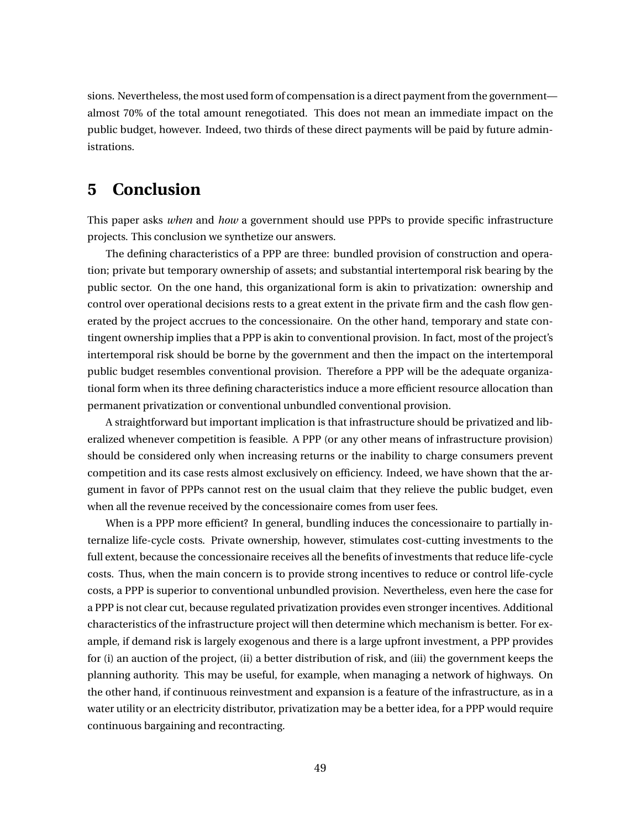sions. Nevertheless, the most used form of compensation is a direct payment from the government almost 70% of the total amount renegotiated. This does not mean an immediate impact on the public budget, however. Indeed, two thirds of these direct payments will be paid by future administrations.

# **5 Conclusion**

This paper asks *when* and *how* a government should use PPPs to provide specific infrastructure projects. This conclusion we synthetize our answers.

The defining characteristics of a PPP are three: bundled provision of construction and operation; private but temporary ownership of assets; and substantial intertemporal risk bearing by the public sector. On the one hand, this organizational form is akin to privatization: ownership and control over operational decisions rests to a great extent in the private firm and the cash flow generated by the project accrues to the concessionaire. On the other hand, temporary and state contingent ownership implies that a PPP is akin to conventional provision. In fact, most of the project's intertemporal risk should be borne by the government and then the impact on the intertemporal public budget resembles conventional provision. Therefore a PPP will be the adequate organizational form when its three defining characteristics induce a more efficient resource allocation than permanent privatization or conventional unbundled conventional provision.

A straightforward but important implication is that infrastructure should be privatized and liberalized whenever competition is feasible. A PPP (or any other means of infrastructure provision) should be considered only when increasing returns or the inability to charge consumers prevent competition and its case rests almost exclusively on efficiency. Indeed, we have shown that the argument in favor of PPPs cannot rest on the usual claim that they relieve the public budget, even when all the revenue received by the concessionaire comes from user fees.

When is a PPP more efficient? In general, bundling induces the concessionaire to partially internalize life-cycle costs. Private ownership, however, stimulates cost-cutting investments to the full extent, because the concessionaire receives all the benefits of investments that reduce life-cycle costs. Thus, when the main concern is to provide strong incentives to reduce or control life-cycle costs, a PPP is superior to conventional unbundled provision. Nevertheless, even here the case for a PPP is not clear cut, because regulated privatization provides even stronger incentives. Additional characteristics of the infrastructure project will then determine which mechanism is better. For example, if demand risk is largely exogenous and there is a large upfront investment, a PPP provides for (i) an auction of the project, (ii) a better distribution of risk, and (iii) the government keeps the planning authority. This may be useful, for example, when managing a network of highways. On the other hand, if continuous reinvestment and expansion is a feature of the infrastructure, as in a water utility or an electricity distributor, privatization may be a better idea, for a PPP would require continuous bargaining and recontracting.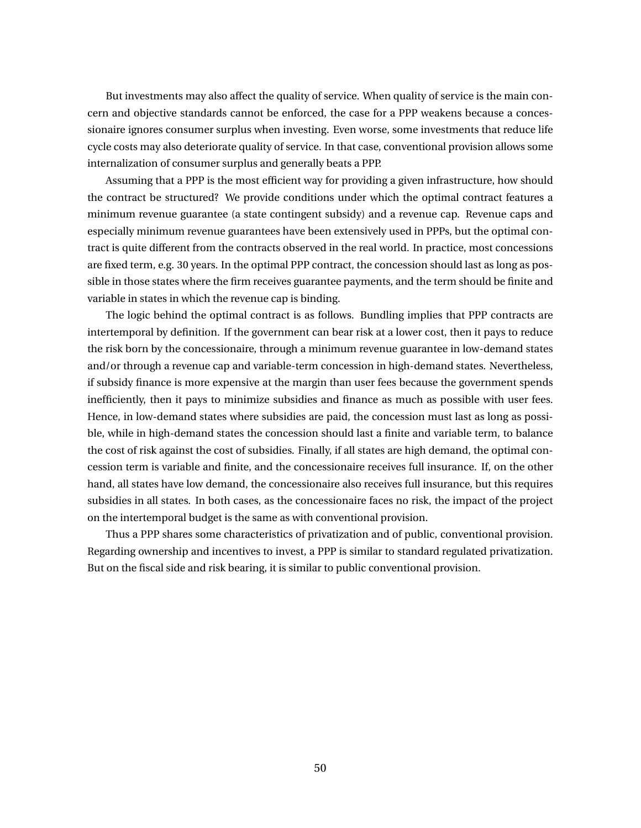But investments may also affect the quality of service. When quality of service is the main concern and objective standards cannot be enforced, the case for a PPP weakens because a concessionaire ignores consumer surplus when investing. Even worse, some investments that reduce life cycle costs may also deteriorate quality of service. In that case, conventional provision allows some internalization of consumer surplus and generally beats a PPP.

Assuming that a PPP is the most efficient way for providing a given infrastructure, how should the contract be structured? We provide conditions under which the optimal contract features a minimum revenue guarantee (a state contingent subsidy) and a revenue cap. Revenue caps and especially minimum revenue guarantees have been extensively used in PPPs, but the optimal contract is quite different from the contracts observed in the real world. In practice, most concessions are fixed term, e.g. 30 years. In the optimal PPP contract, the concession should last as long as possible in those states where the firm receives guarantee payments, and the term should be finite and variable in states in which the revenue cap is binding.

The logic behind the optimal contract is as follows. Bundling implies that PPP contracts are intertemporal by definition. If the government can bear risk at a lower cost, then it pays to reduce the risk born by the concessionaire, through a minimum revenue guarantee in low-demand states and/or through a revenue cap and variable-term concession in high-demand states. Nevertheless, if subsidy finance is more expensive at the margin than user fees because the government spends inefficiently, then it pays to minimize subsidies and finance as much as possible with user fees. Hence, in low-demand states where subsidies are paid, the concession must last as long as possible, while in high-demand states the concession should last a finite and variable term, to balance the cost of risk against the cost of subsidies. Finally, if all states are high demand, the optimal concession term is variable and finite, and the concessionaire receives full insurance. If, on the other hand, all states have low demand, the concessionaire also receives full insurance, but this requires subsidies in all states. In both cases, as the concessionaire faces no risk, the impact of the project on the intertemporal budget is the same as with conventional provision.

Thus a PPP shares some characteristics of privatization and of public, conventional provision. Regarding ownership and incentives to invest, a PPP is similar to standard regulated privatization. But on the fiscal side and risk bearing, it is similar to public conventional provision.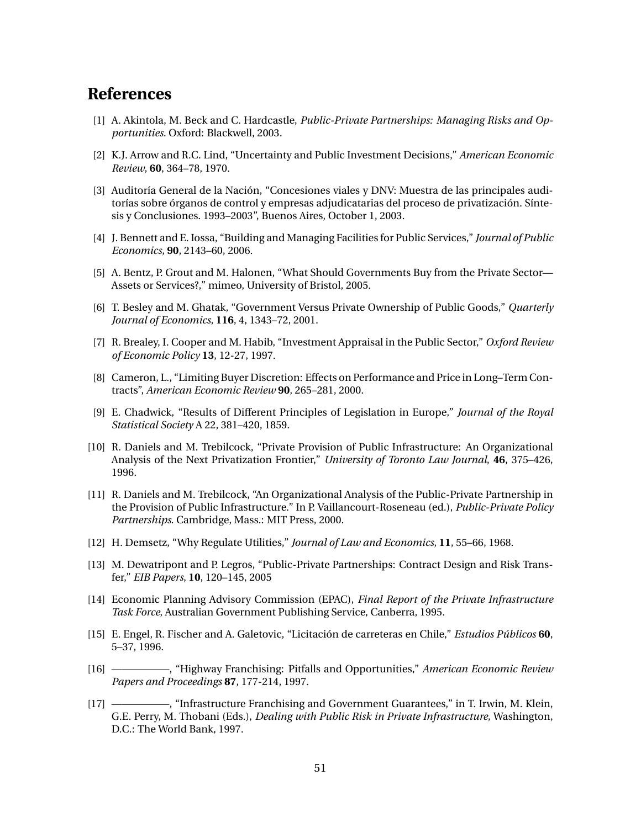# **References**

- [1] A. Akintola, M. Beck and C. Hardcastle, *Public-Private Partnerships: Managing Risks and Opportunities*. Oxford: Blackwell, 2003.
- [2] K.J. Arrow and R.C. Lind, "Uncertainty and Public Investment Decisions," *American Economic Review*, **60**, 364–78, 1970.
- [3] Auditoría General de la Nación, "Concesiones viales y DNV: Muestra de las principales auditorías sobre órganos de control y empresas adjudicatarias del proceso de privatización. Síntesis y Conclusiones. 1993–2003", Buenos Aires, October 1, 2003.
- [4] J. Bennett and E. Iossa, "Building and Managing Facilities for Public Services," *Journal of Public Economics*, **90**, 2143–60, 2006.
- [5] A. Bentz, P. Grout and M. Halonen, "What Should Governments Buy from the Private Sector— Assets or Services?," mimeo, University of Bristol, 2005.
- [6] T. Besley and M. Ghatak, "Government Versus Private Ownership of Public Goods," *Quarterly Journal of Economics*, **116**, 4, 1343–72, 2001.
- [7] R. Brealey, I. Cooper and M. Habib, "Investment Appraisal in the Public Sector," *Oxford Review of Economic Policy* **13**, 12-27, 1997.
- [8] Cameron, L., "Limiting Buyer Discretion: Effects on Performance and Price in Long–Term Contracts", *American Economic Review* **90**, 265–281, 2000.
- [9] E. Chadwick, "Results of Different Principles of Legislation in Europe," *Journal of the Royal Statistical Society* A 22, 381–420, 1859.
- [10] R. Daniels and M. Trebilcock, "Private Provision of Public Infrastructure: An Organizational Analysis of the Next Privatization Frontier," *University of Toronto Law Journal*, **46**, 375–426, 1996.
- [11] R. Daniels and M. Trebilcock, "An Organizational Analysis of the Public-Private Partnership in the Provision of Public Infrastructure." In P. Vaillancourt-Roseneau (ed.), *Public-Private Policy Partnerships*. Cambridge, Mass.: MIT Press, 2000.
- [12] H. Demsetz, "Why Regulate Utilities," *Journal of Law and Economics*, **11**, 55–66, 1968.
- [13] M. Dewatripont and P. Legros, "Public-Private Partnerships: Contract Design and Risk Transfer," *EIB Papers*, **10**, 120–145, 2005
- [14] Economic Planning Advisory Commission (EPAC), *Final Report of the Private Infrastructure Task Force*, Australian Government Publishing Service, Canberra, 1995.
- [15] E. Engel, R. Fischer and A. Galetovic, "Licitación de carreteras en Chile," *Estudios Públicos* **60**, 5–37, 1996.
- [16] —————–, "Highway Franchising: Pitfalls and Opportunities," *American Economic Review Papers and Proceedings* **87**, 177-214, 1997.
- [17] —————–, "Infrastructure Franchising and Government Guarantees," in T. Irwin, M. Klein, G.E. Perry, M. Thobani (Eds.), *Dealing with Public Risk in Private Infrastructure*, Washington, D.C.: The World Bank, 1997.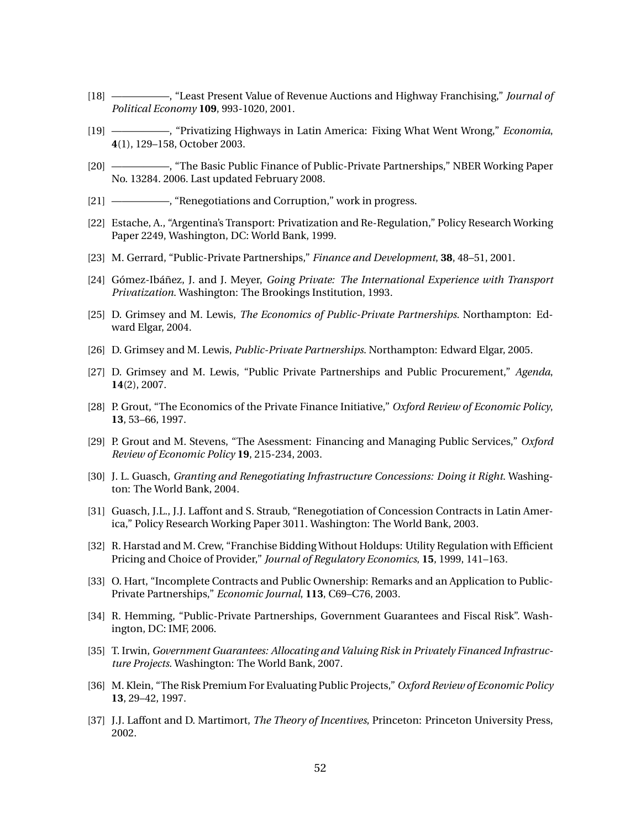- [18] —————–, "Least Present Value of Revenue Auctions and Highway Franchising," *Journal of Political Economy* **109**, 993-1020, 2001.
- [19] —————–, "Privatizing Highways in Latin America: Fixing What Went Wrong," *Economia*, **4**(1), 129–158, October 2003.
- [20] —————–, "The Basic Public Finance of Public-Private Partnerships," NBER Working Paper No. 13284. 2006. Last updated February 2008.
- [21] —————, "Renegotiations and Corruption," work in progress.
- [22] Estache, A., "Argentina's Transport: Privatization and Re-Regulation," Policy Research Working Paper 2249, Washington, DC: World Bank, 1999.
- [23] M. Gerrard, "Public-Private Partnerships," *Finance and Development*, **38**, 48–51, 2001.
- [24] Gómez-Ibáñez, J. and J. Meyer, *Going Private: The International Experience with Transport Privatization*. Washington: The Brookings Institution, 1993.
- [25] D. Grimsey and M. Lewis, *The Economics of Public-Private Partnerships*. Northampton: Edward Elgar, 2004.
- [26] D. Grimsey and M. Lewis, *Public-Private Partnerships*. Northampton: Edward Elgar, 2005.
- [27] D. Grimsey and M. Lewis, "Public Private Partnerships and Public Procurement," *Agenda*, **14**(2), 2007.
- [28] P. Grout, "The Economics of the Private Finance Initiative," *Oxford Review of Economic Policy*, **13**, 53–66, 1997.
- [29] P. Grout and M. Stevens, "The Asessment: Financing and Managing Public Services," *Oxford Review of Economic Policy* **19**, 215-234, 2003.
- [30] J. L. Guasch, *Granting and Renegotiating Infrastructure Concessions: Doing it Right*. Washington: The World Bank, 2004.
- [31] Guasch, J.L., J.J. Laffont and S. Straub, "Renegotiation of Concession Contracts in Latin America," Policy Research Working Paper 3011. Washington: The World Bank, 2003.
- [32] R. Harstad and M. Crew, "Franchise Bidding Without Holdups: Utility Regulation with Efficient Pricing and Choice of Provider," *Journal of Regulatory Economics*, **15**, 1999, 141–163.
- [33] O. Hart, "Incomplete Contracts and Public Ownership: Remarks and an Application to Public-Private Partnerships," *Economic Journal*, **113**, C69–C76, 2003.
- [34] R. Hemming, "Public-Private Partnerships, Government Guarantees and Fiscal Risk". Washington, DC: IMF, 2006.
- [35] T. Irwin, *Government Guarantees: Allocating and Valuing Risk in Privately Financed Infrastructure Projects*. Washington: The World Bank, 2007.
- [36] M. Klein, "The Risk Premium For Evaluating Public Projects," *Oxford Review of Economic Policy* **13**, 29–42, 1997.
- [37] J.J. Laffont and D. Martimort, *The Theory of Incentives*, Princeton: Princeton University Press, 2002.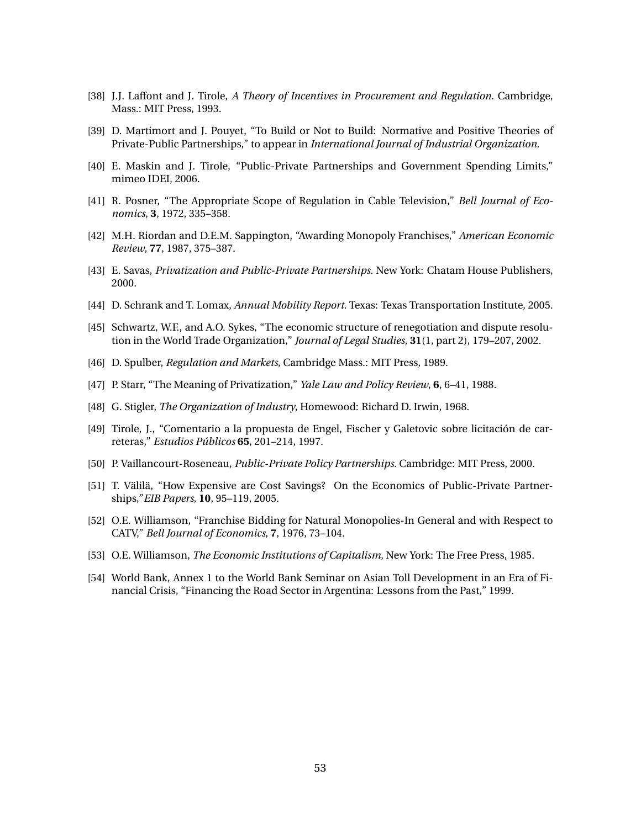- [38] J.J. Laffont and J. Tirole, *A Theory of Incentives in Procurement and Regulation*. Cambridge, Mass.: MIT Press, 1993.
- [39] D. Martimort and J. Pouyet, "To Build or Not to Build: Normative and Positive Theories of Private-Public Partnerships," to appear in *International Journal of Industrial Organization*.
- [40] E. Maskin and J. Tirole, "Public-Private Partnerships and Government Spending Limits," mimeo IDEI, 2006.
- [41] R. Posner, "The Appropriate Scope of Regulation in Cable Television," *Bell Journal of Economics*, **3**, 1972, 335–358.
- [42] M.H. Riordan and D.E.M. Sappington, "Awarding Monopoly Franchises," *American Economic Review*, **77**, 1987, 375–387.
- [43] E. Savas, *Privatization and Public-Private Partnerships*. New York: Chatam House Publishers, 2000.
- [44] D. Schrank and T. Lomax, *Annual Mobility Report.* Texas: Texas Transportation Institute, 2005.
- [45] Schwartz, W.F., and A.O. Sykes, "The economic structure of renegotiation and dispute resolution in the World Trade Organization," *Journal of Legal Studies*, **31**(1, part 2), 179–207, 2002.
- [46] D. Spulber, *Regulation and Markets*, Cambridge Mass.: MIT Press, 1989.
- [47] P. Starr, "The Meaning of Privatization," *Yale Law and Policy Review*, **6**, 6–41, 1988.
- [48] G. Stigler, *The Organization of Industry*, Homewood: Richard D. Irwin, 1968.
- [49] Tirole, J., "Comentario a la propuesta de Engel, Fischer y Galetovic sobre licitación de carreteras," *Estudios Públicos* **65**, 201–214, 1997.
- [50] P. Vaillancourt-Roseneau, *Public-Private Policy Partnerships*. Cambridge: MIT Press, 2000.
- [51] T. Välilä, "How Expensive are Cost Savings? On the Economics of Public-Private Partnerships,"*EIB Papers*, **10**, 95–119, 2005.
- [52] O.E. Williamson, "Franchise Bidding for Natural Monopolies-In General and with Respect to CATV," *Bell Journal of Economics*, **7**, 1976, 73–104.
- [53] O.E. Williamson, *The Economic Institutions of Capitalism*, New York: The Free Press, 1985.
- [54] World Bank, Annex 1 to the World Bank Seminar on Asian Toll Development in an Era of Financial Crisis, "Financing the Road Sector in Argentina: Lessons from the Past," 1999.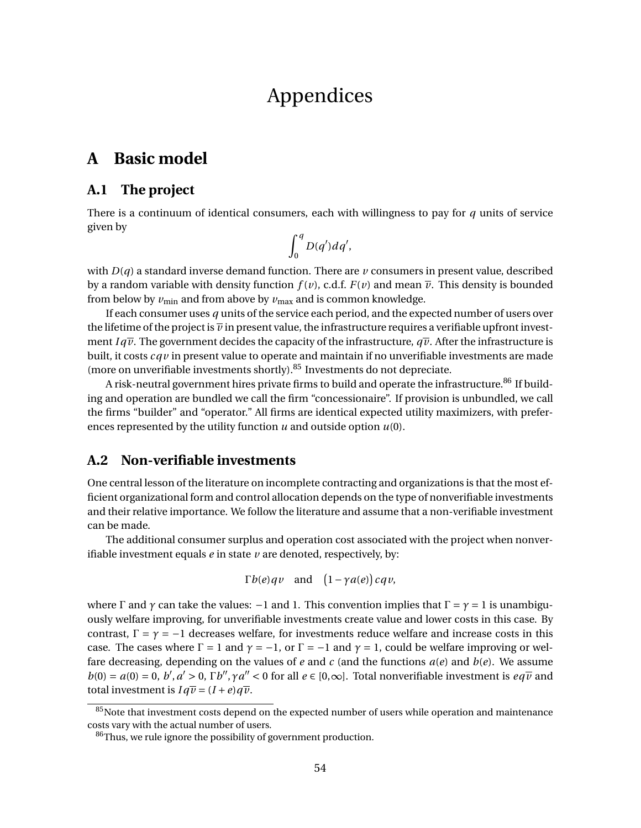# Appendices

# **A Basic model**

# **A.1 The project**

There is a continuum of identical consumers, each with willingness to pay for *q* units of service given by

$$
\int_0^q D(q') dq',
$$

with  $D(q)$  a standard inverse demand function. There are  $\nu$  consumers in present value, described by a random variable with density function  $f(v)$ , c.d.f.  $F(v)$  and mean  $\overline{v}$ . This density is bounded from below by  $v_{\text{min}}$  and from above by  $v_{\text{max}}$  and is common knowledge.

If each consumer uses *q* units of the service each period, and the expected number of users over the lifetime of the project is  $\overline{\nu}$  in present value, the infrastructure requires a verifiable upfront investment  $Iq\overline{\nu}$ . The government decides the capacity of the infrastructure,  $q\overline{\nu}$ . After the infrastructure is built, it costs *cq v* in present value to operate and maintain if no unverifiable investments are made (more on unverifiable investments shortly). $85$  Investments do not depreciate.

A risk-neutral government hires private firms to build and operate the infrastructure.<sup>86</sup> If building and operation are bundled we call the firm "concessionaire". If provision is unbundled, we call the firms "builder" and "operator." All firms are identical expected utility maximizers, with preferences represented by the utility function *u* and outside option *u*(0).

# **A.2 Non-verifiable investments**

One central lesson of the literature on incomplete contracting and organizations is that the most efficient organizational form and control allocation depends on the type of nonverifiable investments and their relative importance. We follow the literature and assume that a non-verifiable investment can be made.

The additional consumer surplus and operation cost associated with the project when nonverifiable investment equals *e* in state *v* are denoted, respectively, by:

$$
\Gamma b(e)qv
$$
 and  $(1-\gamma a(e))cqv$ ,

where  $\Gamma$  and  $\gamma$  can take the values:  $-1$  and 1. This convention implies that  $\Gamma = \gamma = 1$  is unambiguously welfare improving, for unverifiable investments create value and lower costs in this case. By contrast,  $\Gamma = \gamma = -1$  decreases welfare, for investments reduce welfare and increase costs in this case. The cases where  $\Gamma = 1$  and  $\gamma = -1$ , or  $\Gamma = -1$  and  $\gamma = 1$ , could be welfare improving or welfare decreasing, depending on the values of *e* and *c* (and the functions *a*(*e*) and *b*(*e*). We assume  $b(0) = a(0) = 0$ ,  $b', a' > 0$ ,  $\Gamma b'', \gamma a'' < 0$  for all  $e \in [0, \infty]$ . Total nonverifiable investment is  $e q \overline{v}$  and total investment is  $Iq\overline{v} = (I+e)q\overline{v}$ .

 $85$ Note that investment costs depend on the expected number of users while operation and maintenance costs vary with the actual number of users.

<sup>&</sup>lt;sup>86</sup>Thus, we rule ignore the possibility of government production.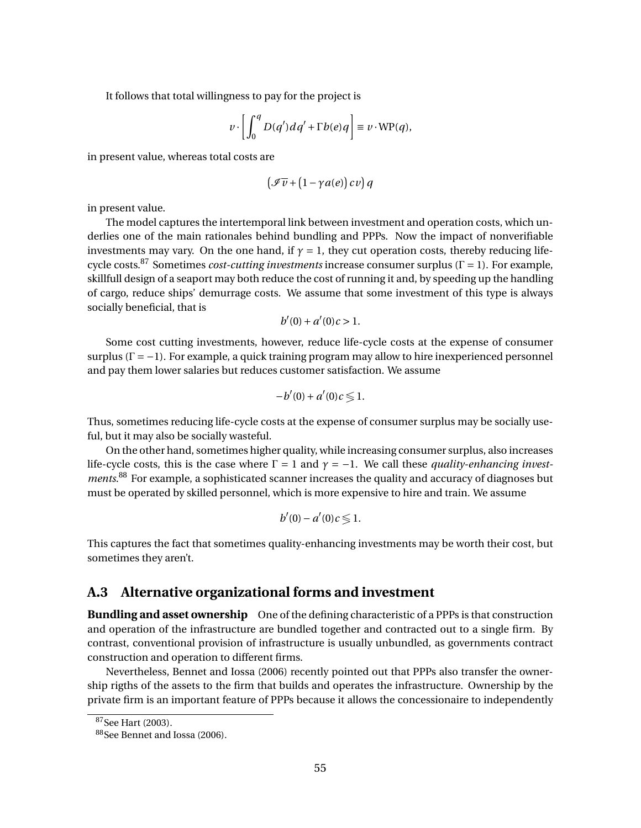It follows that total willingness to pay for the project is

$$
v \cdot \left[ \int_0^q D(q') dq' + \Gamma b(e) q \right] \equiv v \cdot \text{WP}(q),
$$

in present value, whereas total costs are

$$
\left(\mathcal{I}\overline{v}+\left(1-\gamma a(e)\right)c v\right)q
$$

in present value.

The model captures the intertemporal link between investment and operation costs, which underlies one of the main rationales behind bundling and PPPs. Now the impact of nonverifiable investments may vary. On the one hand, if  $\gamma = 1$ , they cut operation costs, thereby reducing lifecycle costs.<sup>87</sup> Sometimes *cost-cutting investments* increase consumer surplus (Γ = 1). For example, skillfull design of a seaport may both reduce the cost of running it and, by speeding up the handling of cargo, reduce ships' demurrage costs. We assume that some investment of this type is always socially beneficial, that is

$$
b'(0) + a'(0)c > 1.
$$

Some cost cutting investments, however, reduce life-cycle costs at the expense of consumer surplus  $(\Gamma = -1)$ . For example, a quick training program may allow to hire inexperienced personnel and pay them lower salaries but reduces customer satisfaction. We assume

$$
-b'(0) + a'(0)c \leq 1.
$$

Thus, sometimes reducing life-cycle costs at the expense of consumer surplus may be socially useful, but it may also be socially wasteful.

On the other hand, sometimes higher quality, while increasing consumer surplus, also increases life-cycle costs, this is the case where  $\Gamma = 1$  and  $\gamma = -1$ . We call these *quality-enhancing investments*. <sup>88</sup> For example, a sophisticated scanner increases the quality and accuracy of diagnoses but must be operated by skilled personnel, which is more expensive to hire and train. We assume

$$
b'(0)-a'(0)c\lessgtr 1.
$$

This captures the fact that sometimes quality-enhancing investments may be worth their cost, but sometimes they aren't.

### **A.3 Alternative organizational forms and investment**

**Bundling and asset ownership** One of the defining characteristic of a PPPs is that construction and operation of the infrastructure are bundled together and contracted out to a single firm. By contrast, conventional provision of infrastructure is usually unbundled, as governments contract construction and operation to different firms.

Nevertheless, Bennet and Iossa (2006) recently pointed out that PPPs also transfer the ownership rigths of the assets to the firm that builds and operates the infrastructure. Ownership by the private firm is an important feature of PPPs because it allows the concessionaire to independently

<sup>87</sup>See Hart (2003).

<sup>88&</sup>lt;sub>See</sub> Bennet and Iossa (2006).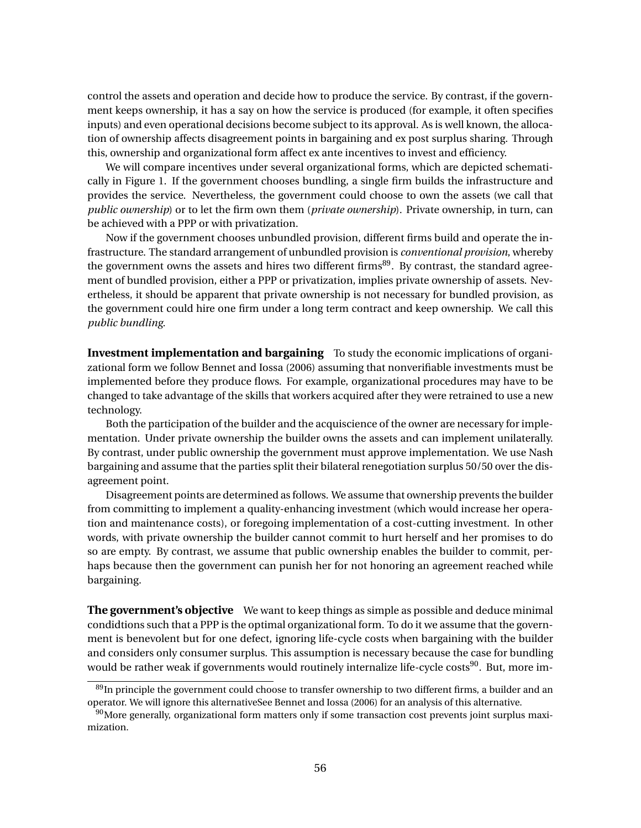control the assets and operation and decide how to produce the service. By contrast, if the government keeps ownership, it has a say on how the service is produced (for example, it often specifies inputs) and even operational decisions become subject to its approval. As is well known, the allocation of ownership affects disagreement points in bargaining and ex post surplus sharing. Through this, ownership and organizational form affect ex ante incentives to invest and efficiency.

We will compare incentives under several organizational forms, which are depicted schematically in Figure 1. If the government chooses bundling, a single firm builds the infrastructure and provides the service. Nevertheless, the government could choose to own the assets (we call that *public ownership*) or to let the firm own them (*private ownership*). Private ownership, in turn, can be achieved with a PPP or with privatization.

Now if the government chooses unbundled provision, different firms build and operate the infrastructure. The standard arrangement of unbundled provision is *conventional provision*, whereby the government owns the assets and hires two different firms<sup>89</sup>. By contrast, the standard agreement of bundled provision, either a PPP or privatization, implies private ownership of assets. Nevertheless, it should be apparent that private ownership is not necessary for bundled provision, as the government could hire one firm under a long term contract and keep ownership. We call this *public bundling*.

**Investment implementation and bargaining** To study the economic implications of organizational form we follow Bennet and Iossa (2006) assuming that nonverifiable investments must be implemented before they produce flows. For example, organizational procedures may have to be changed to take advantage of the skills that workers acquired after they were retrained to use a new technology.

Both the participation of the builder and the acquiscience of the owner are necessary for implementation. Under private ownership the builder owns the assets and can implement unilaterally. By contrast, under public ownership the government must approve implementation. We use Nash bargaining and assume that the parties split their bilateral renegotiation surplus 50/50 over the disagreement point.

Disagreement points are determined as follows. We assume that ownership prevents the builder from committing to implement a quality-enhancing investment (which would increase her operation and maintenance costs), or foregoing implementation of a cost-cutting investment. In other words, with private ownership the builder cannot commit to hurt herself and her promises to do so are empty. By contrast, we assume that public ownership enables the builder to commit, perhaps because then the government can punish her for not honoring an agreement reached while bargaining.

**The government's objective** We want to keep things as simple as possible and deduce minimal condidtions such that a PPP is the optimal organizational form. To do it we assume that the government is benevolent but for one defect, ignoring life-cycle costs when bargaining with the builder and considers only consumer surplus. This assumption is necessary because the case for bundling would be rather weak if governments would routinely internalize life-cycle costs<sup>90</sup>. But, more im-

<sup>&</sup>lt;sup>89</sup>In principle the government could choose to transfer ownership to two different firms, a builder and an operator. We will ignore this alternativeSee Bennet and Iossa (2006) for an analysis of this alternative.

<sup>90</sup>More generally, organizational form matters only if some transaction cost prevents joint surplus maximization.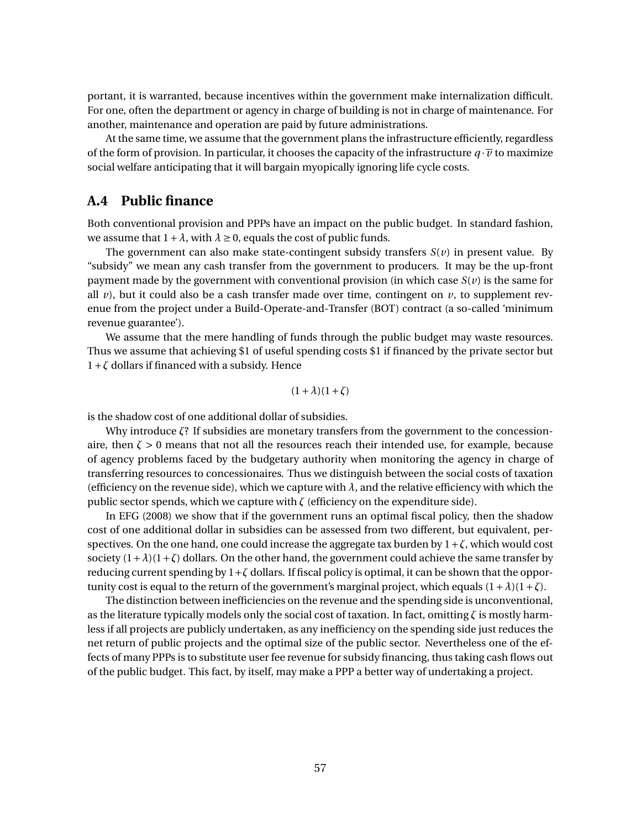portant, it is warranted, because incentives within the government make internalization difficult. For one, often the department or agency in charge of building is not in charge of maintenance. For another, maintenance and operation are paid by future administrations.

At the same time, we assume that the government plans the infrastructure efficiently, regardless of the form of provision. In particular, it chooses the capacity of the infrastructure  $q \cdot \overline{v}$  to maximize social welfare anticipating that it will bargain myopically ignoring life cycle costs.

### **A.4 Public finance**

Both conventional provision and PPPs have an impact on the public budget. In standard fashion, we assume that  $1 + \lambda$ , with  $\lambda \ge 0$ , equals the cost of public funds.

The government can also make state-contingent subsidy transfers  $S(v)$  in present value. By "subsidy" we mean any cash transfer from the government to producers. It may be the up-front payment made by the government with conventional provision (in which case  $S(v)$ ) is the same for all  $\nu$ ), but it could also be a cash transfer made over time, contingent on  $\nu$ , to supplement revenue from the project under a Build-Operate-and-Transfer (BOT) contract (a so-called 'minimum revenue guarantee').

We assume that the mere handling of funds through the public budget may waste resources. Thus we assume that achieving \$1 of useful spending costs \$1 if financed by the private sector but 1+*ζ* dollars if financed with a subsidy. Hence

$$
(1+\lambda)(1+\zeta)
$$

is the shadow cost of one additional dollar of subsidies.

Why introduce *ζ*? If subsidies are monetary transfers from the government to the concessionaire, then  $\zeta > 0$  means that not all the resources reach their intended use, for example, because of agency problems faced by the budgetary authority when monitoring the agency in charge of transferring resources to concessionaires. Thus we distinguish between the social costs of taxation (efficiency on the revenue side), which we capture with  $\lambda$ , and the relative efficiency with which the public sector spends, which we capture with  $\zeta$  (efficiency on the expenditure side).

In EFG (2008) we show that if the government runs an optimal fiscal policy, then the shadow cost of one additional dollar in subsidies can be assessed from two different, but equivalent, perspectives. On the one hand, one could increase the aggregate tax burden by  $1 + \zeta$ , which would cost society  $(1+\lambda)(1+\zeta)$  dollars. On the other hand, the government could achieve the same transfer by reducing current spending by 1+*ζ* dollars. If fiscal policy is optimal, it can be shown that the opportunity cost is equal to the return of the government's marginal project, which equals  $(1 + \lambda)(1 + \zeta)$ .

The distinction between inefficiencies on the revenue and the spending side is unconventional, as the literature typically models only the social cost of taxation. In fact, omitting *ζ* is mostly harmless if all projects are publicly undertaken, as any inefficiency on the spending side just reduces the net return of public projects and the optimal size of the public sector. Nevertheless one of the effects of many PPPs is to substitute user fee revenue for subsidy financing, thus taking cash flows out of the public budget. This fact, by itself, may make a PPP a better way of undertaking a project.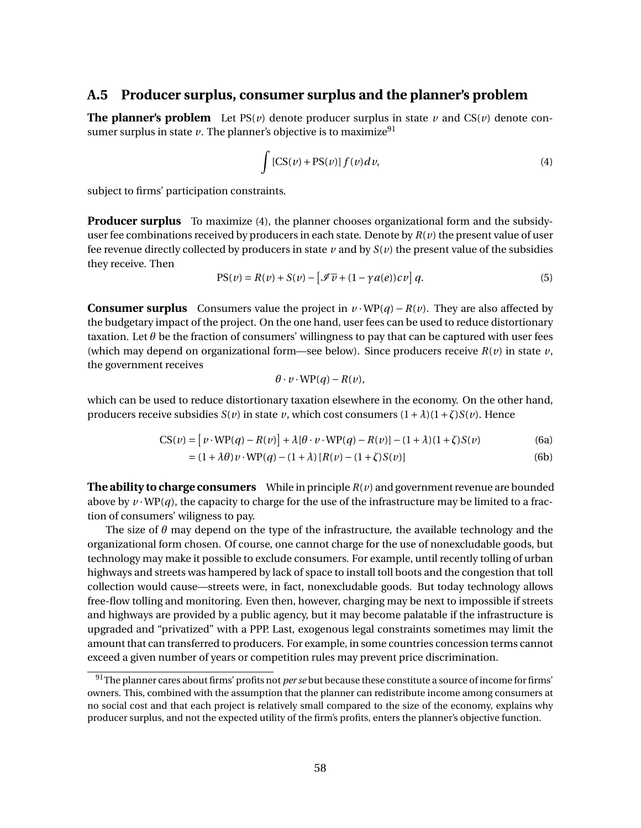### **A.5 Producer surplus, consumer surplus and the planner's problem**

**The planner's problem** Let  $PS(v)$  denote producer surplus in state v and  $CS(v)$  denote consumer surplus in state  $\nu$ . The planner's objective is to maximize<sup>91</sup>

$$
\int \left[CS(v) + PS(v)\right] f(v) dv,
$$
\n(4)

subject to firms' participation constraints.

**Producer surplus** To maximize (4), the planner chooses organizational form and the subsidyuser fee combinations received by producers in each state. Denote by *R*(*v*) the present value of user fee revenue directly collected by producers in state  $\nu$  and by  $S(\nu)$  the present value of the subsidies they receive. Then

$$
PS(v) = R(v) + S(v) - \left[\mathcal{I}\overline{v} + (1 - \gamma a(e))cv\right]q.
$$
 (5)

**Consumer surplus** Consumers value the project in  $v \cdot \text{WP}(q) - R(v)$ . They are also affected by the budgetary impact of the project. On the one hand, user fees can be used to reduce distortionary taxation. Let  $\theta$  be the fraction of consumers' willingness to pay that can be captured with user fees (which may depend on organizational form—see below). Since producers receive  $R(v)$  in state  $v$ , the government receives

$$
\theta \cdot v \cdot \text{WP}(q) - R(v),
$$

which can be used to reduce distortionary taxation elsewhere in the economy. On the other hand, producers receive subsidies  $S(v)$  in state *v*, which cost consumers  $(1 + \lambda)(1 + \zeta)S(v)$ . Hence

$$
CS(v) = [v \cdot WP(q) - R(v)] + \lambda[\theta \cdot v \cdot WP(q) - R(v)] - (1 + \lambda)(1 + \zeta)S(v)
$$
(6a)

$$
= (1 + \lambda \theta) v \cdot \text{WP}(q) - (1 + \lambda) [R(v) - (1 + \zeta) S(v)] \tag{6b}
$$

**The ability to charge consumers** While in principle *R*(*v*) and government revenue are bounded above by  $v \cdot \text{WP}(q)$ , the capacity to charge for the use of the infrastructure may be limited to a fraction of consumers' wiligness to pay.

The size of *θ* may depend on the type of the infrastructure, the available technology and the organizational form chosen. Of course, one cannot charge for the use of nonexcludable goods, but technology may make it possible to exclude consumers. For example, until recently tolling of urban highways and streets was hampered by lack of space to install toll boots and the congestion that toll collection would cause—streets were, in fact, nonexcludable goods. But today technology allows free-flow tolling and monitoring. Even then, however, charging may be next to impossible if streets and highways are provided by a public agency, but it may become palatable if the infrastructure is upgraded and "privatized" with a PPP. Last, exogenous legal constraints sometimes may limit the amount that can transferred to producers. For example, in some countries concession terms cannot exceed a given number of years or competition rules may prevent price discrimination.

<sup>91</sup>The planner cares about firms' profits not *per se* but because these constitute a source of income for firms' owners. This, combined with the assumption that the planner can redistribute income among consumers at no social cost and that each project is relatively small compared to the size of the economy, explains why producer surplus, and not the expected utility of the firm's profits, enters the planner's objective function.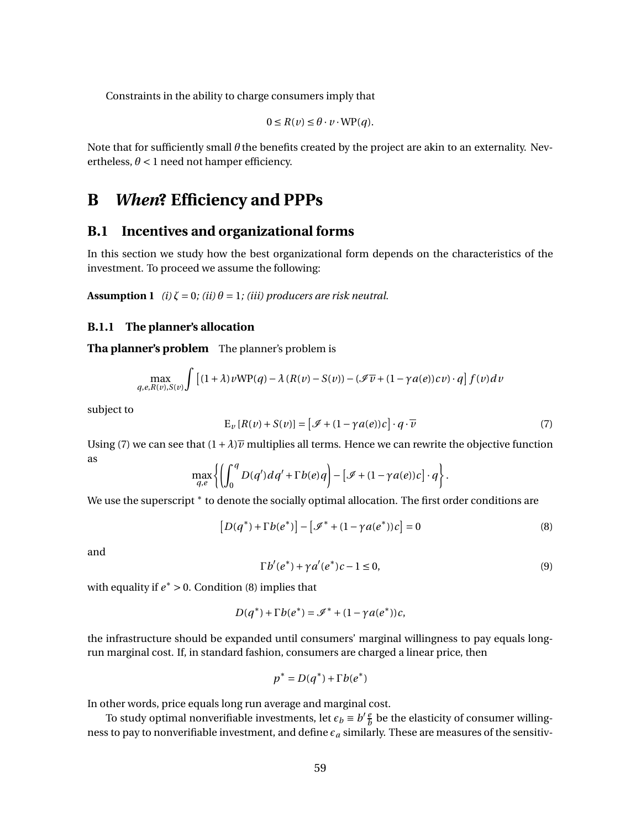Constraints in the ability to charge consumers imply that

$$
0 \le R(v) \le \theta \cdot v \cdot \text{WP}(q).
$$

Note that for sufficiently small *θ* the benefits created by the project are akin to an externality. Nevertheless,  $\theta$  < 1 need not hamper efficiency.

# **B** *When***? Efficiency and PPPs**

# **B.1 Incentives and organizational forms**

In this section we study how the best organizational form depends on the characteristics of the investment. To proceed we assume the following:

**Assumption 1** *(i)*  $\zeta = 0$ *; (ii)*  $\theta = 1$ *; (iii) producers are risk neutral.* 

### **B.1.1 The planner's allocation**

**Tha planner's problem** The planner's problem is

$$
\max_{q,e,R(v),S(v)} \int \left[ (1+\lambda)v \mathbf{W} \mathbf{P}(q) - \lambda (R(v) - S(v)) - (\mathcal{I} \overline{v} + (1-\gamma a(e))cv) \cdot q \right] f(v) dv
$$

subject to

$$
E_{\nu}[R(\nu) + S(\nu)] = [\mathcal{I} + (1 - \gamma a(e))c] \cdot q \cdot \overline{\nu}
$$
 (7)

Using (7) we can see that  $(1+\lambda)\overline{\nu}$  multiplies all terms. Hence we can rewrite the objective function as

$$
\max_{q,e}\left\{\left(\int_0^q D(q') dq' + \Gamma b(e)q\right) - \left[\mathcal{I} + (1-\gamma a(e))c\right]\cdot q\right\}.
$$

We use the superscript  $^\ast$  to denote the socially optimal allocation. The first order conditions are

$$
[D(q^*) + \Gamma b(e^*)] - [\mathcal{I}^* + (1 - \gamma a(e^*))c] = 0
$$
\n(8)

and

$$
\Gamma b'(e^*) + \gamma a'(e^*)c - 1 \le 0,\tag{9}
$$

with equality if  $e^* > 0$ . Condition (8) implies that

$$
D(q^*) + \Gamma b(e^*) = \mathcal{I}^* + (1 - \gamma a(e^*))c,
$$

the infrastructure should be expanded until consumers' marginal willingness to pay equals longrun marginal cost. If, in standard fashion, consumers are charged a linear price, then

$$
p^* = D(q^*) + \Gamma b(e^*)
$$

In other words, price equals long run average and marginal cost.

To study optimal nonverifiable investments, let  $\epsilon_b \equiv b' \frac{e}{b}$  $\frac{e}{b}$  be the elasticity of consumer willingness to pay to nonverifiable investment, and define  $\epsilon_a$  similarly. These are measures of the sensitiv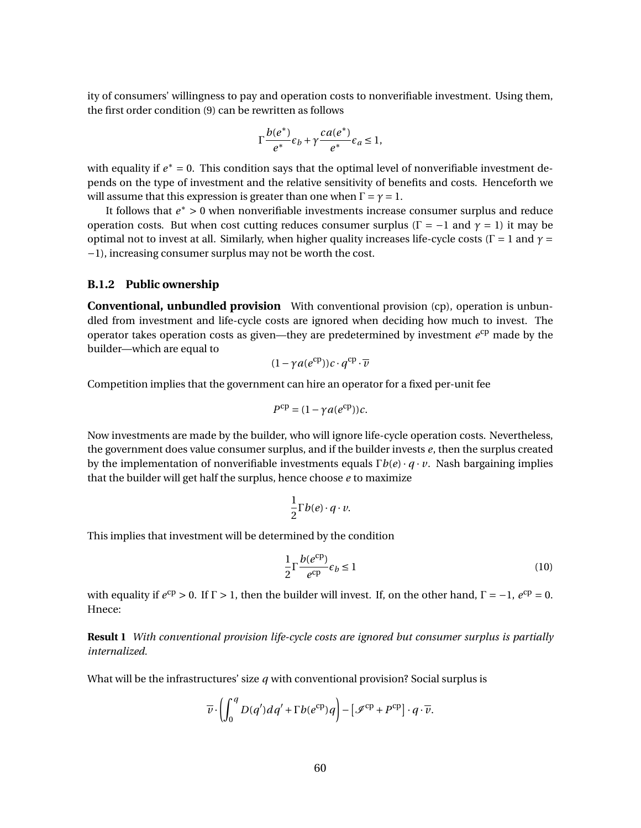ity of consumers' willingness to pay and operation costs to nonverifiable investment. Using them, the first order condition (9) can be rewritten as follows

$$
\Gamma \frac{b(e^*)}{e^*} \epsilon_b + \gamma \frac{ca(e^*)}{e^*} \epsilon_a \le 1,
$$

with equality if  $e^* = 0$ . This condition says that the optimal level of nonverifiable investment depends on the type of investment and the relative sensitivity of benefits and costs. Henceforth we will assume that this expression is greater than one when  $\Gamma = \gamma = 1$ .

It follows that *e*<sup>∗</sup> > 0 when nonverifiable investments increase consumer surplus and reduce operation costs. But when cost cutting reduces consumer surplus ( $\Gamma = -1$  and  $\gamma = 1$ ) it may be optimal not to invest at all. Similarly, when higher quality increases life-cycle costs ( $\Gamma = 1$  and  $\gamma =$ −1), increasing consumer surplus may not be worth the cost.

#### **B.1.2 Public ownership**

**Conventional, unbundled provision** With conventional provision (cp), operation is unbundled from investment and life-cycle costs are ignored when deciding how much to invest. The operator takes operation costs as given—they are predetermined by investment  $e^{cp}$  made by the builder—which are equal to

$$
(1 - \gamma a(e^{cp}))c \cdot q^{cp} \cdot \overline{\nu}
$$

Competition implies that the government can hire an operator for a fixed per-unit fee

$$
P^{\rm cp} = (1 - \gamma a(e^{\rm cp}))c.
$$

Now investments are made by the builder, who will ignore life-cycle operation costs. Nevertheless, the government does value consumer surplus, and if the builder invests *e*, then the surplus created by the implementation of nonverifiable investments equals Γ*b*(*e*)· *q* · *v*. Nash bargaining implies that the builder will get half the surplus, hence choose *e* to maximize

$$
\frac{1}{2}\Gamma b(e)\cdot q\cdot v.
$$

This implies that investment will be determined by the condition

$$
\frac{1}{2}\Gamma\frac{b(e^{\text{cp}})}{e^{\text{cp}}}\epsilon_b \le 1\tag{10}
$$

with equality if  $e^{cp} > 0$ . If  $\Gamma > 1$ , then the builder will invest. If, on the other hand,  $\Gamma = -1$ ,  $e^{cp} = 0$ . Hnece:

**Result 1** *With conventional provision life-cycle costs are ignored but consumer surplus is partially internalized.*

What will be the infrastructures' size *q* with conventional provision? Social surplus is

$$
\overline{v}\cdot\left(\int_0^q D(q')dq'+\Gamma b(e^{\text{cp}})q\right)-\left[\mathscr{I}^{\text{cp}}+P^{\text{cp}}\right]\cdot q\cdot\overline{v}.
$$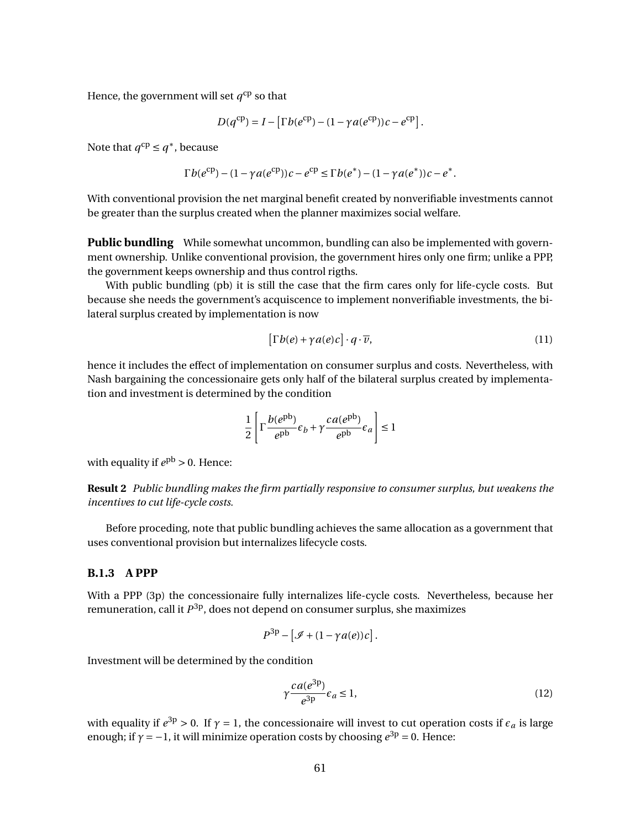Hence, the government will set  $q^{\rm cp}$  so that

$$
D(q^{\text{cp}}) = I - \left[\Gamma b(e^{\text{cp}}) - (1 - \gamma a(e^{\text{cp}}))c - e^{\text{cp}}\right].
$$

Note that  $q^{cp} \leq q^*$ , because

$$
\Gamma b(e^{\rm cp}) - (1 - \gamma a(e^{\rm cp}))c - e^{\rm cp} \leq \Gamma b(e^*) - (1 - \gamma a(e^*))c - e^*.
$$

With conventional provision the net marginal benefit created by nonverifiable investments cannot be greater than the surplus created when the planner maximizes social welfare.

**Public bundling** While somewhat uncommon, bundling can also be implemented with government ownership. Unlike conventional provision, the government hires only one firm; unlike a PPP, the government keeps ownership and thus control rigths.

With public bundling (pb) it is still the case that the firm cares only for life-cycle costs. But because she needs the government's acquiscence to implement nonverifiable investments, the bilateral surplus created by implementation is now

$$
\left[\Gamma b(e) + \gamma a(e)c\right] \cdot q \cdot \overline{\nu},\tag{11}
$$

hence it includes the effect of implementation on consumer surplus and costs. Nevertheless, with Nash bargaining the concessionaire gets only half of the bilateral surplus created by implementation and investment is determined by the condition

$$
\frac{1}{2} \left[ \Gamma \frac{b(e^{\text{pb}})}{e^{\text{pb}}} \epsilon_b + \gamma \frac{ca(e^{\text{pb}})}{e^{\text{pb}}} \epsilon_a \right] \le 1
$$

with equality if  $e^{pb} > 0$ . Hence:

**Result 2** *Public bundling makes the firm partially responsive to consumer surplus, but weakens the incentives to cut life-cycle costs.*

Before proceding, note that public bundling achieves the same allocation as a government that uses conventional provision but internalizes lifecycle costs.

#### **B.1.3 A PPP**

With a PPP (3p) the concessionaire fully internalizes life-cycle costs. Nevertheless, because her remuneration, call it *P* 3p, does not depend on consumer surplus, she maximizes

$$
P^{3p} - [\mathcal{I} + (1 - \gamma a(e))c].
$$

Investment will be determined by the condition

$$
\gamma \frac{ca(e^{3p})}{e^{3p}} \epsilon_a \le 1,\tag{12}
$$

with equality if  $e^{3p} > 0$ . If  $\gamma = 1$ , the concessionaire will invest to cut operation costs if  $\epsilon_a$  is large enough; if  $\gamma = -1$ , it will minimize operation costs by choosing  $e^{3p} = 0$ . Hence: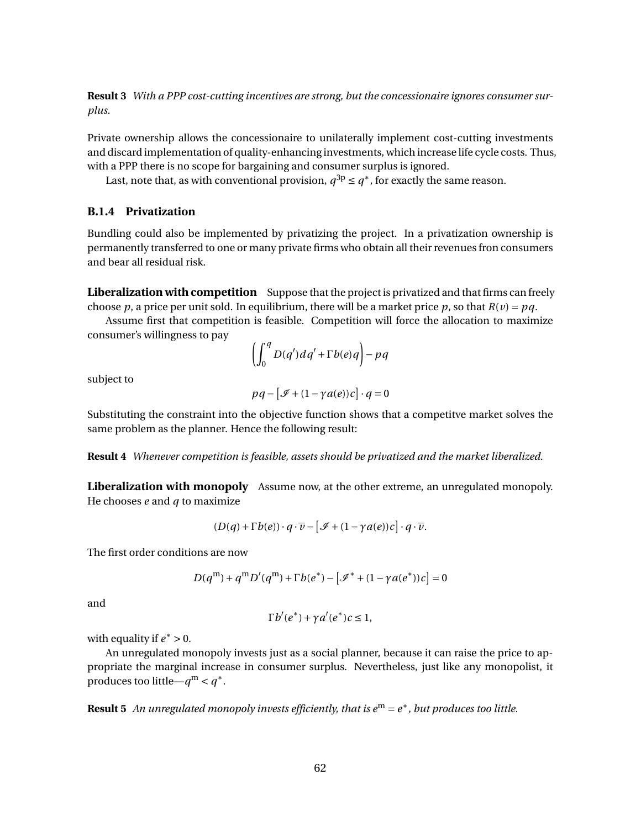**Result 3** *With a PPP cost-cutting incentives are strong, but the concessionaire ignores consumer surplus.*

Private ownership allows the concessionaire to unilaterally implement cost-cutting investments and discard implementation of quality-enhancing investments, which increase life cycle costs. Thus, with a PPP there is no scope for bargaining and consumer surplus is ignored.

Last, note that, as with conventional provision,  $q^{3p} \leq q^*$ , for exactly the same reason.

### **B.1.4 Privatization**

Bundling could also be implemented by privatizing the project. In a privatization ownership is permanently transferred to one or many private firms who obtain all their revenues fron consumers and bear all residual risk.

**Liberalization with competition** Suppose that the project is privatized and that firms can freely choose *p*, a price per unit sold. In equilibrium, there will be a market price *p*, so that  $R(v) = pq$ .

Assume first that competition is feasible. Competition will force the allocation to maximize consumer's willingness to pay

$$
\left(\int_0^q D(q') dq' + \Gamma b(e) q\right) - p q
$$

subject to

$$
pq - [\mathcal{I} + (1 - \gamma a(e))c] \cdot q = 0
$$

Substituting the constraint into the objective function shows that a competitve market solves the same problem as the planner. Hence the following result:

**Result 4** *Whenever competition is feasible, assets should be privatized and the market liberalized.*

**Liberalization with monopoly** Assume now, at the other extreme, an unregulated monopoly. He chooses *e* and *q* to maximize

$$
(D(q) + \Gamma b(e)) \cdot q \cdot \overline{v} - [\mathcal{I} + (1 - \gamma a(e))c] \cdot q \cdot \overline{v}.
$$

The first order conditions are now

$$
D(q^{m}) + q^{m} D'(q^{m}) + \Gamma b(e^{*}) - [\mathcal{I}^{*} + (1 - \gamma a(e^{*}))c] = 0
$$

and

$$
\Gamma b'(e^*) + \gamma a'(e^*)c \leq 1,
$$

with equality if  $e^* > 0$ .

An unregulated monopoly invests just as a social planner, because it can raise the price to appropriate the marginal increase in consumer surplus. Nevertheless, just like any monopolist, it produces too little— $q^{\text{m}} < q^*$ .

**Result 5** An unregulated monopoly invests efficiently, that is  $e^m = e^*$  , but produces too little.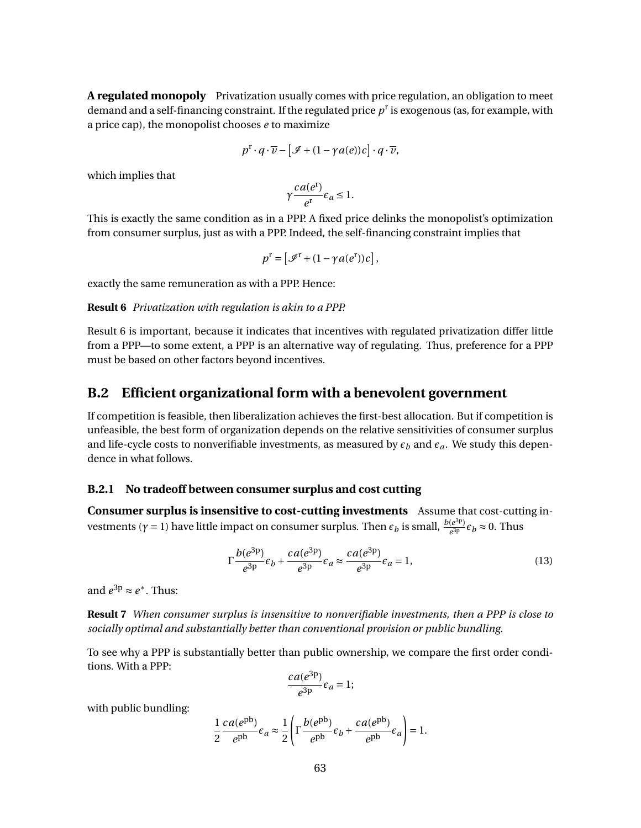**A regulated monopoly** Privatization usually comes with price regulation, an obligation to meet demand and a self-financing constraint. If the regulated price *p* r is exogenous (as, for example, with a price cap), the monopolist chooses *e* to maximize

$$
p^{\mathrm{r}}\cdot q\cdot \overline{\nu}-\left[\mathcal{I}+(1-\gamma a(e))c\right]\cdot q\cdot \overline{\nu},
$$

which implies that

$$
\gamma \frac{ca(e^{\mathbf{r}})}{e^{\mathbf{r}}} \epsilon_a \le 1.
$$

This is exactly the same condition as in a PPP. A fixed price delinks the monopolist's optimization from consumer surplus, just as with a PPP. Indeed, the self-financing constraint implies that

$$
p^{\mathrm{r}} = \left[ \mathcal{I}^{\mathrm{r}} + (1 - \gamma a(e^{\mathrm{r}}))c \right],
$$

exactly the same remuneration as with a PPP. Hence:

**Result 6** *Privatization with regulation is akin to a PPP.*

Result 6 is important, because it indicates that incentives with regulated privatization differ little from a PPP—to some extent, a PPP is an alternative way of regulating. Thus, preference for a PPP must be based on other factors beyond incentives.

### **B.2 Efficient organizational form with a benevolent government**

If competition is feasible, then liberalization achieves the first-best allocation. But if competition is unfeasible, the best form of organization depends on the relative sensitivities of consumer surplus and life-cycle costs to nonverifiable investments, as measured by  $\epsilon_b$  and  $\epsilon_a$ . We study this dependence in what follows.

### **B.2.1 No tradeoff between consumer surplus and cost cutting**

**Consumer surplus is insensitive to cost-cutting investments** Assume that cost-cutting investments ( $γ = 1$ ) have little impact on consumer surplus. Then  $ε_b$  is small,  $\frac{b(e^{3p})}{e^{3p}}$  $\frac{(e^{3p})}{e^{3p}} \epsilon_b \approx 0$ . Thus

$$
\Gamma \frac{b(e^{3p})}{e^{3p}} \varepsilon_b + \frac{ca(e^{3p})}{e^{3p}} \varepsilon_a \approx \frac{ca(e^{3p})}{e^{3p}} \varepsilon_a = 1,\tag{13}
$$

and  $e^{3p} \approx e^*$ . Thus:

**Result 7** *When consumer surplus is insensitive to nonverifiable investments, then a PPP is close to socially optimal and substantially better than conventional provision or public bundling.*

To see why a PPP is substantially better than public ownership, we compare the first order conditions. With a PPP:

$$
\frac{ca(e^{3p})}{e^{3p}}\epsilon_a=1;
$$

with public bundling:

$$
\frac{1}{2}\frac{ca(e^{pb})}{e^{pb}}\epsilon_a\approx \frac{1}{2}\left(\Gamma\frac{b(e^{pb})}{e^{pb}}\epsilon_b+\frac{ca(e^{pb})}{e^{pb}}\epsilon_a\right)=1.
$$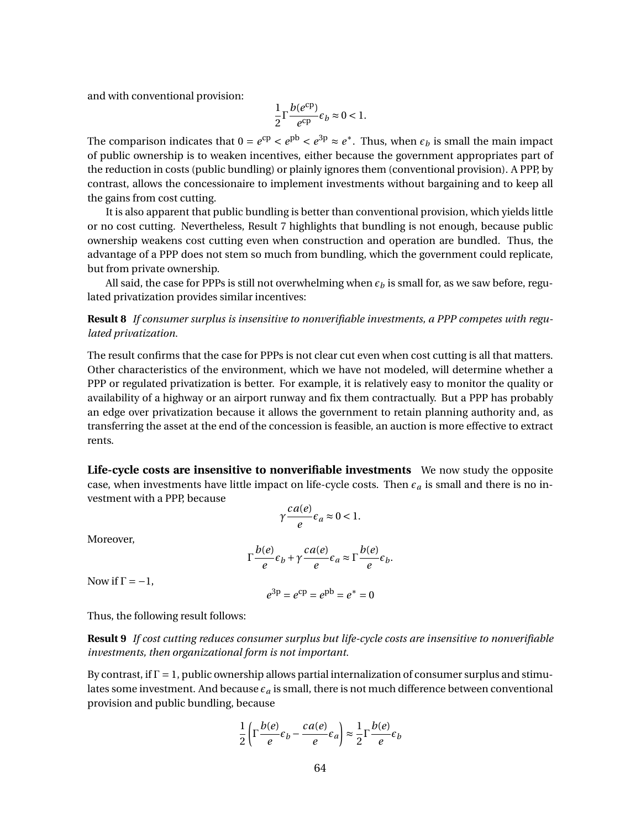and with conventional provision:

$$
\frac{1}{2}\Gamma \frac{b(e^{\text{cp}})}{e^{\text{cp}}}\epsilon_b \approx 0 < 1.
$$

The comparison indicates that  $0 = e^{cp} < e^{pb} < e^{3p} \approx e^*$ . Thus, when  $\epsilon_b$  is small the main impact of public ownership is to weaken incentives, either because the government appropriates part of the reduction in costs (public bundling) or plainly ignores them (conventional provision). A PPP, by contrast, allows the concessionaire to implement investments without bargaining and to keep all the gains from cost cutting.

It is also apparent that public bundling is better than conventional provision, which yields little or no cost cutting. Nevertheless, Result 7 highlights that bundling is not enough, because public ownership weakens cost cutting even when construction and operation are bundled. Thus, the advantage of a PPP does not stem so much from bundling, which the government could replicate, but from private ownership.

All said, the case for PPPs is still not overwhelming when  $\epsilon_b$  is small for, as we saw before, regulated privatization provides similar incentives:

**Result 8** *If consumer surplus is insensitive to nonverifiable investments, a PPP competes with regulated privatization.*

The result confirms that the case for PPPs is not clear cut even when cost cutting is all that matters. Other characteristics of the environment, which we have not modeled, will determine whether a PPP or regulated privatization is better. For example, it is relatively easy to monitor the quality or availability of a highway or an airport runway and fix them contractually. But a PPP has probably an edge over privatization because it allows the government to retain planning authority and, as transferring the asset at the end of the concession is feasible, an auction is more effective to extract rents.

**Life-cycle costs are insensitive to nonverifiable investments** We now study the opposite case, when investments have little impact on life-cycle costs. Then  $\epsilon_a$  is small and there is no investment with a PPP, because

$$
\gamma \frac{ca(e)}{e} \epsilon_a \approx 0 < 1.
$$

Moreover,

$$
\Gamma \frac{b(e)}{e} \epsilon_b + \gamma \frac{ca(e)}{e} \epsilon_a \approx \Gamma \frac{b(e)}{e} \epsilon_b.
$$

Now if  $\Gamma = -1$ ,

$$
e^{3p} = e^{cp} = e^{pb} = e^* = 0
$$

Thus, the following result follows:

**Result 9** *If cost cutting reduces consumer surplus but life-cycle costs are insensitive to nonverifiable investments, then organizational form is not important.*

By contrast, if  $\Gamma = 1$ , public ownership allows partial internalization of consumer surplus and stimulates some investment. And because  $\epsilon_a$  is small, there is not much difference between conventional provision and public bundling, because

$$
\frac{1}{2}\left[\Gamma\frac{b(e)}{e}\epsilon_b - \frac{ca(e)}{e}\epsilon_a\right) \approx \frac{1}{2}\Gamma\frac{b(e)}{e}\epsilon_b
$$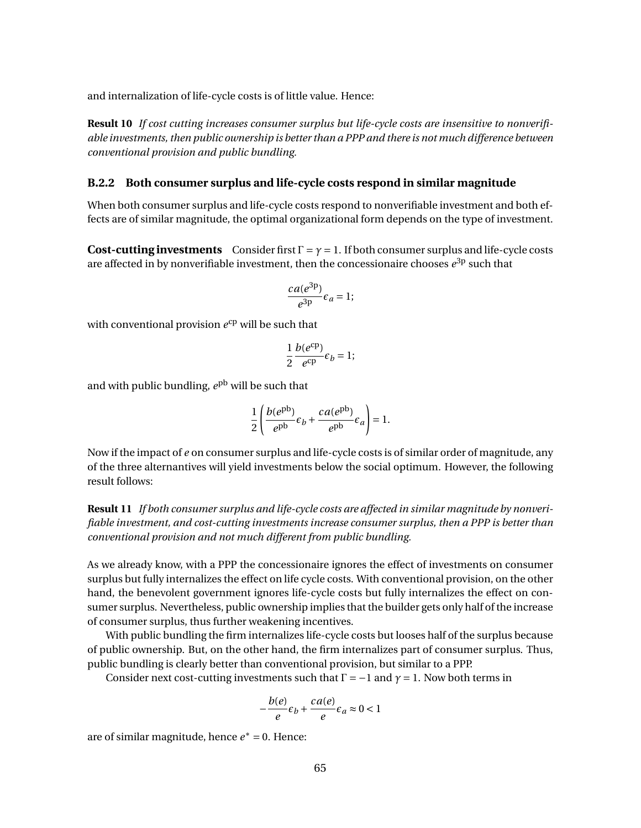and internalization of life-cycle costs is of little value. Hence:

**Result 10** *If cost cutting increases consumer surplus but life-cycle costs are insensitive to nonverifiable investments, then public ownership is better than a PPP and there is not much difference between conventional provision and public bundling.*

### **B.2.2 Both consumer surplus and life-cycle costs respond in similar magnitude**

When both consumer surplus and life-cycle costs respond to nonverifiable investment and both effects are of similar magnitude, the optimal organizational form depends on the type of investment.

**Cost-cutting investments** Consider first  $\Gamma = \gamma = 1$ . If both consumer surplus and life-cycle costs are affected in by nonverifiable investment, then the concessionaire chooses  $e^{3p}$  such that

$$
\frac{ca(e^{3p})}{e^{3p}}\epsilon_a=1;
$$

with conventional provision  $e^{cp}$  will be such that

$$
\frac{1}{2}\frac{b(e^{\text{cp}})}{e^{\text{cp}}}\epsilon_b = 1;
$$

and with public bundling,  $e^{\text{pb}}$  will be such that

$$
\frac{1}{2} \left( \frac{b(e^{pb})}{e^{pb}} \epsilon_b + \frac{ca(e^{pb})}{e^{pb}} \epsilon_a \right) = 1.
$$

Now if the impact of *e* on consumer surplus and life-cycle costs is of similar order of magnitude, any of the three alternantives will yield investments below the social optimum. However, the following result follows:

**Result 11** *If both consumer surplus and life-cycle costs are affected in similar magnitude by nonverifiable investment, and cost-cutting investments increase consumer surplus, then a PPP is better than conventional provision and not much different from public bundling.*

As we already know, with a PPP the concessionaire ignores the effect of investments on consumer surplus but fully internalizes the effect on life cycle costs. With conventional provision, on the other hand, the benevolent government ignores life-cycle costs but fully internalizes the effect on consumer surplus. Nevertheless, public ownership implies that the builder gets only half of the increase of consumer surplus, thus further weakening incentives.

With public bundling the firm internalizes life-cycle costs but looses half of the surplus because of public ownership. But, on the other hand, the firm internalizes part of consumer surplus. Thus, public bundling is clearly better than conventional provision, but similar to a PPP.

Consider next cost-cutting investments such that  $\Gamma = -1$  and  $\gamma = 1$ . Now both terms in

$$
-\frac{b(e)}{e}\varepsilon_b + \frac{ca(e)}{e}\varepsilon_a \approx 0 < 1
$$

are of similar magnitude, hence *e* <sup>∗</sup> = 0. Hence: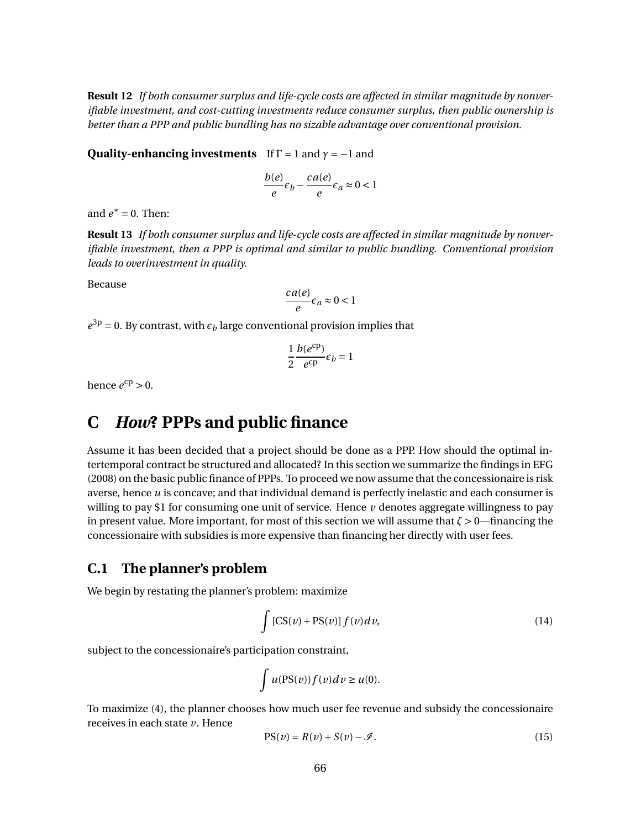**Result 12** *If both consumer surplus and life-cycle costs are affected in similar magnitude by nonverifiable investment, and cost-cutting investments reduce consumer surplus, then public ownership is better than a PPP and public bundling has no sizable advantage over conventional provision.*

**Quality-enhancing investments** If  $\Gamma = 1$  and  $\gamma = -1$  and

$$
\frac{b(e)}{e}\varepsilon_b - \frac{ca(e)}{e}\varepsilon_a \approx 0 < 1
$$

and  $e^* = 0$ . Then:

**Result 13** *If both consumer surplus and life-cycle costs are affected in similar magnitude by nonverifiable investment, then a PPP is optimal and similar to public bundling. Conventional provision leads to overinvestment in quality.*

Because

$$
\frac{ca(e)}{e}\epsilon_a \approx 0 < 1
$$

 $e^{3p}$  = 0. By contrast, with  $\epsilon_b$  large conventional provision implies that

$$
\frac{1}{2}\frac{b(e^{\text{cp}})}{e^{\text{cp}}}\epsilon_b = 1
$$

hence  $e^{cp} > 0$ .

# **C** *How***? PPPs and public finance**

Assume it has been decided that a project should be done as a PPP. How should the optimal intertemporal contract be structured and allocated? In this section we summarize the findings in EFG (2008) on the basic public finance of PPPs. To proceed we now assume that the concessionaire is risk averse, hence *u* is concave; and that individual demand is perfectly inelastic and each consumer is willing to pay \$1 for consuming one unit of service. Hence  $\nu$  denotes aggregate willingness to pay in present value. More important, for most of this section we will assume that  $\zeta > 0$ —financing the concessionaire with subsidies is more expensive than financing her directly with user fees.

## **C.1 The planner's problem**

We begin by restating the planner's problem: maximize

$$
\int \left[CS(v) + PS(v)\right] f(v) dv,
$$
\n(14)

subject to the concessionaire's participation constraint,

$$
\int u(\text{PS}(v))f(v)dv \ge u(0).
$$

To maximize (4), the planner chooses how much user fee revenue and subsidy the concessionaire receives in each state *v*. Hence

$$
PS(v) = R(v) + S(v) - \mathcal{I}.
$$
\n(15)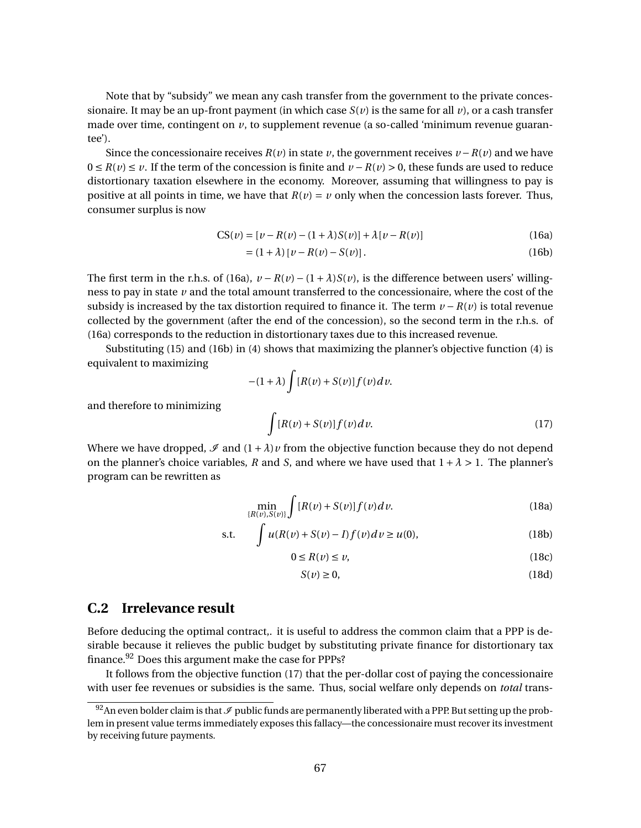Note that by "subsidy" we mean any cash transfer from the government to the private concessionaire. It may be an up-front payment (in which case  $S(v)$ ) is the same for all v, or a cash transfer made over time, contingent on  $\nu$ , to supplement revenue (a so-called 'minimum revenue guarantee').

Since the concessionaire receives  $R(v)$  in state v, the government receives  $v - R(v)$  and we have  $0 \le R(v) \le v$ . If the term of the concession is finite and  $v - R(v) > 0$ , these funds are used to reduce distortionary taxation elsewhere in the economy. Moreover, assuming that willingness to pay is positive at all points in time, we have that  $R(v) = v$  only when the concession lasts forever. Thus, consumer surplus is now

$$
CS(\nu) = [\nu - R(\nu) - (1 + \lambda)S(\nu)] + \lambda[\nu - R(\nu)]
$$
\n(16a)

$$
= (1 + \lambda) [v - R(v) - S(v)].
$$
 (16b)

The first term in the r.h.s. of (16a),  $v - R(v) - (1 + \lambda)S(v)$ , is the difference between users' willingness to pay in state *v* and the total amount transferred to the concessionaire, where the cost of the subsidy is increased by the tax distortion required to finance it. The term  $v - R(v)$  is total revenue collected by the government (after the end of the concession), so the second term in the r.h.s. of (16a) corresponds to the reduction in distortionary taxes due to this increased revenue.

Substituting (15) and (16b) in (4) shows that maximizing the planner's objective function (4) is equivalent to maximizing

$$
-(1+\lambda)\int [R(v)+S(v)]f(v)dv.
$$

and therefore to minimizing

$$
\int [R(v) + S(v)] f(v) dv.
$$
\n(17)

Where we have dropped,  $\mathcal{I}$  and  $(1 + \lambda)v$  from the objective function because they do not depend on the planner's choice variables, *R* and *S*, and where we have used that  $1 + \lambda > 1$ . The planner's program can be rewritten as

$$
\min_{\{R(\nu), S(\nu)\}} \int [R(\nu) + S(\nu)] f(\nu) d\nu.
$$
 (18a)

s.t. 
$$
\int u(R(v) + S(v) - I) f(v) dv \ge u(0),
$$
 (18b)

$$
0 \le R(\nu) \le \nu,\tag{18c}
$$

$$
S(\nu) \ge 0,\tag{18d}
$$

### **C.2 Irrelevance result**

Before deducing the optimal contract,. it is useful to address the common claim that a PPP is desirable because it relieves the public budget by substituting private finance for distortionary tax finance. $92$  Does this argument make the case for PPPs?

It follows from the objective function (17) that the per-dollar cost of paying the concessionaire with user fee revenues or subsidies is the same. Thus, social welfare only depends on *total* trans-

<sup>&</sup>lt;sup>92</sup>An even bolder claim is that  $\mathcal I$  public funds are permanently liberated with a PPP. But setting up the problem in present value terms immediately exposes this fallacy—the concessionaire must recover its investment by receiving future payments.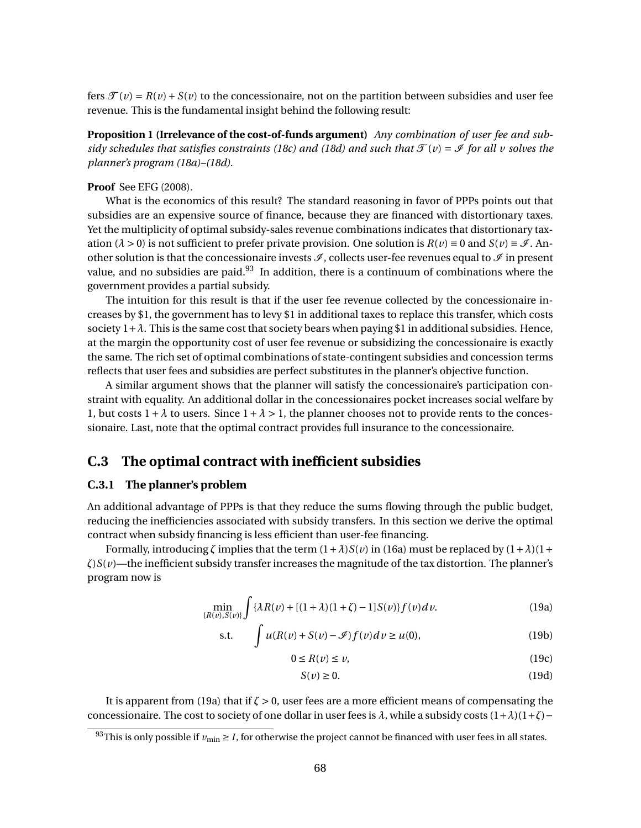fers  $\mathcal{F}(v) = R(v) + S(v)$  to the concessionaire, not on the partition between subsidies and user fee revenue. This is the fundamental insight behind the following result:

**Proposition 1 (Irrelevance of the cost-of-funds argument)** *Any combination of user fee and subsidy schedules that satisfies constraints (18c) and (18d) and such that*  $\mathcal{T}(v) = \mathcal{I}$  *for all v solves the planner's program (18a)–(18d).*

#### **Proof** See EFG (2008).

What is the economics of this result? The standard reasoning in favor of PPPs points out that subsidies are an expensive source of finance, because they are financed with distortionary taxes. Yet the multiplicity of optimal subsidy-sales revenue combinations indicates that distortionary taxation ( $\lambda > 0$ ) is not sufficient to prefer private provision. One solution is  $R(v) \equiv 0$  and  $S(v) \equiv \mathcal{I}$ . Another solution is that the concessionaire invests  $\mathcal{I}$ , collects user-fee revenues equal to  $\mathcal{I}$  in present value, and no subsidies are paid. $93$  In addition, there is a continuum of combinations where the government provides a partial subsidy.

The intuition for this result is that if the user fee revenue collected by the concessionaire increases by \$1, the government has to levy \$1 in additional taxes to replace this transfer, which costs society  $1 + \lambda$ . This is the same cost that society bears when paying \$1 in additional subsidies. Hence, at the margin the opportunity cost of user fee revenue or subsidizing the concessionaire is exactly the same. The rich set of optimal combinations of state-contingent subsidies and concession terms reflects that user fees and subsidies are perfect substitutes in the planner's objective function.

A similar argument shows that the planner will satisfy the concessionaire's participation constraint with equality. An additional dollar in the concessionaires pocket increases social welfare by 1, but costs  $1 + \lambda$  to users. Since  $1 + \lambda > 1$ , the planner chooses not to provide rents to the concessionaire. Last, note that the optimal contract provides full insurance to the concessionaire.

### **C.3 The optimal contract with inefficient subsidies**

### **C.3.1 The planner's problem**

An additional advantage of PPPs is that they reduce the sums flowing through the public budget, reducing the inefficiencies associated with subsidy transfers. In this section we derive the optimal contract when subsidy financing is less efficient than user-fee financing.

Formally, introducing  $\zeta$  implies that the term  $(1+\lambda)S(v)$  in (16a) must be replaced by  $(1+\lambda)(1+\lambda)$ *ζ*)*S*(*v*)—the inefficient subsidy transfer increases the magnitude of the tax distortion. The planner's program now is

$$
\min_{\{R(v), S(v)\}} \int {\{\lambda R(v) + [(1 + \lambda)(1 + \zeta) - 1] S(v)\} f(v) dv}.
$$
 (19a)

$$
\text{s.t.} \qquad \int u(R(v) + S(v) - \mathcal{I}) f(v) dv \ge u(0), \tag{19b}
$$

$$
0 \le R(\nu) \le \nu,\tag{19c}
$$

$$
S(\nu) \ge 0. \tag{19d}
$$

It is apparent from (19a) that if *ζ* > 0, user fees are a more efficient means of compensating the concessionaire. The cost to society of one dollar in user fees is  $\lambda$ , while a subsidy costs  $(1+\lambda)(1+\zeta)$ −

<sup>&</sup>lt;sup>93</sup>This is only possible if  $v_{\text{min}} \geq I$ , for otherwise the project cannot be financed with user fees in all states.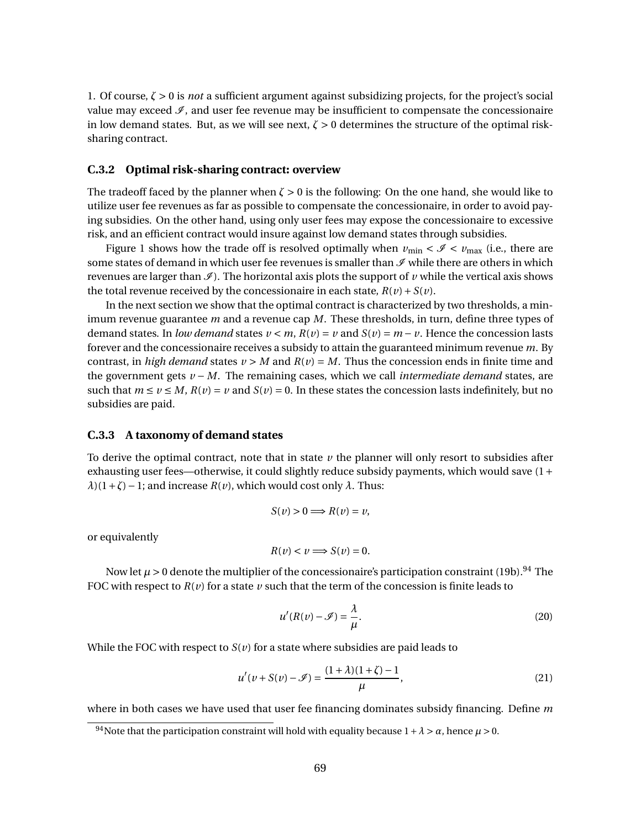1. Of course, *ζ* > 0 is *not* a sufficient argument against subsidizing projects, for the project's social value may exceed  $\mathcal{I}$ , and user fee revenue may be insufficient to compensate the concessionaire in low demand states. But, as we will see next,  $\zeta > 0$  determines the structure of the optimal risksharing contract.

### **C.3.2 Optimal risk-sharing contract: overview**

The tradeoff faced by the planner when *ζ* > 0 is the following: On the one hand, she would like to utilize user fee revenues as far as possible to compensate the concessionaire, in order to avoid paying subsidies. On the other hand, using only user fees may expose the concessionaire to excessive risk, and an efficient contract would insure against low demand states through subsidies.

Figure 1 shows how the trade off is resolved optimally when  $v_{\text{min}} < \mathcal{I} < v_{\text{max}}$  (i.e., there are some states of demand in which user fee revenues is smaller than  $\mathcal I$  while there are others in which revenues are larger than  $\mathcal{I}$ ). The horizontal axis plots the support of  $\nu$  while the vertical axis shows the total revenue received by the concessionaire in each state,  $R(v) + S(v)$ .

In the next section we show that the optimal contract is characterized by two thresholds, a minimum revenue guarantee *m* and a revenue cap *M*. These thresholds, in turn, define three types of demand states. In *low demand* states  $v < m$ ,  $R(v) = v$  and  $S(v) = m - v$ . Hence the concession lasts forever and the concessionaire receives a subsidy to attain the guaranteed minimum revenue *m*. By contrast, in *high demand* states  $v > M$  and  $R(v) = M$ . Thus the concession ends in finite time and the government gets *v* − *M*. The remaining cases, which we call *intermediate demand* states, are such that  $m \le v \le M$ ,  $R(v) = v$  and  $S(v) = 0$ . In these states the concession lasts indefinitely, but no subsidies are paid.

#### **C.3.3 A taxonomy of demand states**

To derive the optimal contract, note that in state *v* the planner will only resort to subsidies after exhausting user fees—otherwise, it could slightly reduce subsidy payments, which would save  $(1 +$  $\lambda$ )(1 +  $\zeta$ ) − 1; and increase  $R(v)$ , which would cost only  $\lambda$ . Thus:

$$
S(v) > 0 \Longrightarrow R(v) = v,
$$

or equivalently

$$
R(v) < v \Longrightarrow S(v) = 0.
$$

Now let  $\mu > 0$  denote the multiplier of the concessionaire's participation constraint (19b).<sup>94</sup> The FOC with respect to  $R(v)$  for a state  $v$  such that the term of the concession is finite leads to

$$
u'(R(v) - \mathcal{I}) = \frac{\lambda}{\mu}.
$$
 (20)

While the FOC with respect to  $S(v)$  for a state where subsidies are paid leads to

$$
u'(v + S(v) - \mathcal{I}) = \frac{(1 + \lambda)(1 + \zeta) - 1}{\mu},
$$
\n(21)

where in both cases we have used that user fee financing dominates subsidy financing. Define *m*

<sup>&</sup>lt;sup>94</sup>Note that the participation constraint will hold with equality because  $1 + \lambda > \alpha$ , hence  $\mu > 0$ .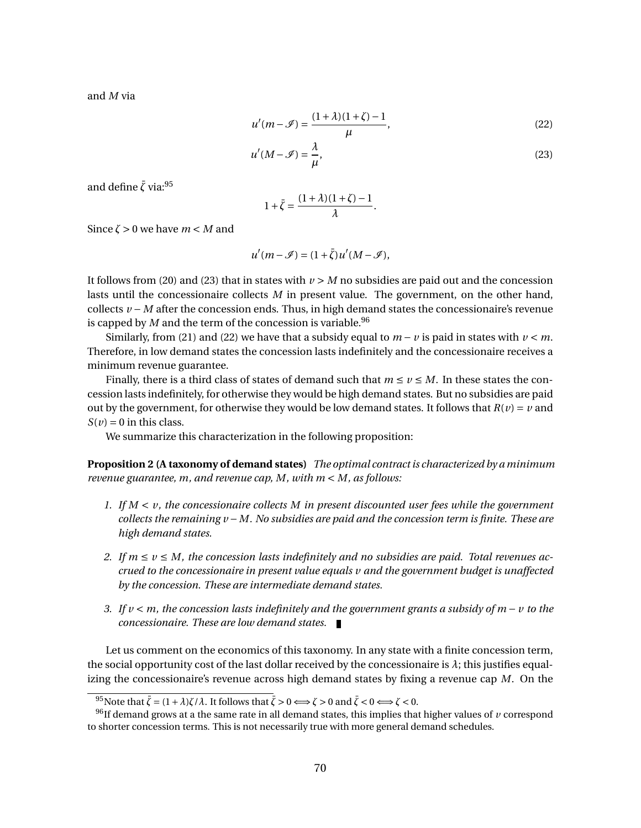and *M* via

$$
u'(m - \mathcal{I}) = \frac{(1 + \lambda)(1 + \zeta) - 1}{\mu},
$$
\n(22)

$$
u'(M - \mathcal{I}) = \frac{\lambda}{\mu},\tag{23}
$$

.

and define  $\bar{\zeta}$  via:<sup>95</sup>

$$
1+\bar{\zeta}=\frac{(1+\lambda)(1+\zeta)-1}{\lambda}
$$

Since  $\zeta > 0$  we have  $m < M$  and

$$
u'(m-\mathscr{I})=(1+\bar{\zeta})u'(M-\mathscr{I}),
$$

It follows from (20) and (23) that in states with  $\nu > M$  no subsidies are paid out and the concession lasts until the concessionaire collects *M* in present value. The government, on the other hand, collects *v* − *M* after the concession ends. Thus, in high demand states the concessionaire's revenue is capped by  $M$  and the term of the concession is variable.<sup>96</sup>

Similarly, from (21) and (22) we have that a subsidy equal to  $m - v$  is paid in states with  $v < m$ . Therefore, in low demand states the concession lasts indefinitely and the concessionaire receives a minimum revenue guarantee.

Finally, there is a third class of states of demand such that  $m \le v \le M$ . In these states the concession lasts indefinitely, for otherwise they would be high demand states. But no subsidies are paid out by the government, for otherwise they would be low demand states. It follows that  $R(v) = v$  and  $S(v) = 0$  in this class.

We summarize this characterization in the following proposition:

**Proposition 2 (A taxonomy of demand states)** *The optimal contract is characterized by a minimum revenue guarantee, m, and revenue cap, M, with m* < *M, as follows:*

- *1. If M* < *v, the concessionaire collects M in present discounted user fees while the government collects the remaining v* −*M. No subsidies are paid and the concession term is finite. These are high demand states.*
- 2. If  $m \le v \le M$ , the concession lasts indefinitely and no subsidies are paid. Total revenues ac*crued to the concessionaire in present value equals v and the government budget is unaffected by the concession. These are intermediate demand states.*
- *3. If v* < *m, the concession lasts indefinitely and the government grants a subsidy of m* − *v to the concessionaire. These are low demand states.*

Let us comment on the economics of this taxonomy. In any state with a finite concession term, the social opportunity cost of the last dollar received by the concessionaire is *λ*; this justifies equalizing the concessionaire's revenue across high demand states by fixing a revenue cap *M*. On the

 $^{95}$ Note that  $\bar{\zeta} = (1 + \lambda)\zeta/\lambda$ . It follows that  $\bar{\zeta} > 0 \Longleftrightarrow \zeta > 0$  and  $\bar{\zeta} < 0 \Longleftrightarrow \zeta < 0$ .

<sup>96</sup>If demand grows at a the same rate in all demand states, this implies that higher values of *v* correspond to shorter concession terms. This is not necessarily true with more general demand schedules.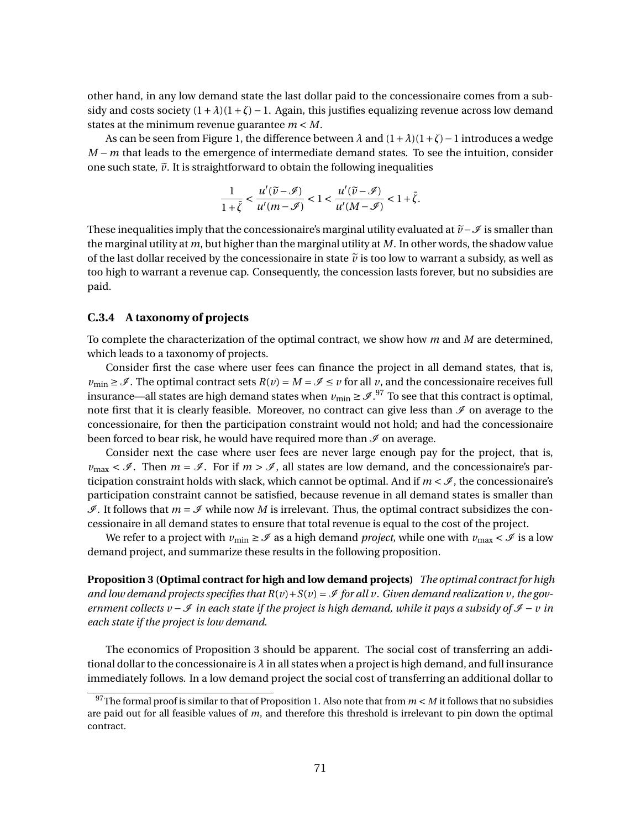other hand, in any low demand state the last dollar paid to the concessionaire comes from a subsidy and costs society  $(1 + \lambda)(1 + \zeta) - 1$ . Again, this justifies equalizing revenue across low demand states at the minimum revenue guarantee *m* < *M*.

As can be seen from Figure 1, the difference between *λ* and (1+*λ*)(1+*ζ*)−1 introduces a wedge *M* − *m* that leads to the emergence of intermediate demand states. To see the intuition, consider one such state,  $\tilde{v}$ . It is straightforward to obtain the following inequalities

$$
\frac{1}{1+\bar{\zeta}}<\frac{u'(\widetilde{v}-\mathscr{I})}{u'(m-\mathscr{I})}<1<\frac{u'(\widetilde{v}-\mathscr{I})}{u'(M-\mathscr{I})}<1+\bar{\zeta}.
$$

These inequalities imply that the concessionaire's marginal utility evaluated at  $\tilde{v}$ − $\mathscr{I}$  is smaller than the marginal utility at *m*, but higher than the marginal utility at *M*. In other words, the shadow value of the last dollar received by the concessionaire in state  $\tilde{\nu}$  is too low to warrant a subsidy, as well as too high to warrant a revenue cap. Consequently, the concession lasts forever, but no subsidies are paid.

# **C.3.4 A taxonomy of projects**

To complete the characterization of the optimal contract, we show how *m* and *M* are determined, which leads to a taxonomy of projects.

Consider first the case where user fees can finance the project in all demand states, that is,  $v_{\text{min}} \geq \mathcal{I}$ . The optimal contract sets  $R(v) = M = \mathcal{I} \leq v$  for all *v*, and the concessionaire receives full insurance—all states are high demand states when  $\nu_{\min} \geq \mathscr{I}.^{97}$  To see that this contract is optimal, note first that it is clearly feasible. Moreover, no contract can give less than  $\mathcal I$  on average to the concessionaire, for then the participation constraint would not hold; and had the concessionaire been forced to bear risk, he would have required more than  $\mathcal I$  on average.

Consider next the case where user fees are never large enough pay for the project, that is,  $v_{\text{max}} < \mathscr{I}$ . Then  $m = \mathscr{I}$ . For if  $m > \mathscr{I}$ , all states are low demand, and the concessionaire's participation constraint holds with slack, which cannot be optimal. And if  $m < \mathcal{I}$ , the concessionaire's participation constraint cannot be satisfied, because revenue in all demand states is smaller than  $\mathcal I$ . It follows that  $m = \mathcal I$  while now M is irrelevant. Thus, the optimal contract subsidizes the concessionaire in all demand states to ensure that total revenue is equal to the cost of the project.

We refer to a project with  $v_{\text{min}} \ge \mathcal{I}$  as a high demand *project*, while one with  $v_{\text{max}} < \mathcal{I}$  is a low demand project, and summarize these results in the following proposition.

**Proposition 3 (Optimal contract for high and low demand projects)** *The optimal contract for high* and low demand projects specifies that  $R(v) + S(v) = \mathcal{I}$  for all v. Given demand realization v, the gov*ernment collects v −*  $\Im$  *in each state if the project is high demand, while it pays a subsidy of*  $\Im$  − *v in each state if the project is low demand.*

The economics of Proposition 3 should be apparent. The social cost of transferring an additional dollar to the concessionaire is  $\lambda$  in all states when a project is high demand, and full insurance immediately follows. In a low demand project the social cost of transferring an additional dollar to

<sup>&</sup>lt;sup>97</sup>The formal proof is similar to that of Proposition 1. Also note that from  $m < M$  it follows that no subsidies are paid out for all feasible values of *m*, and therefore this threshold is irrelevant to pin down the optimal contract.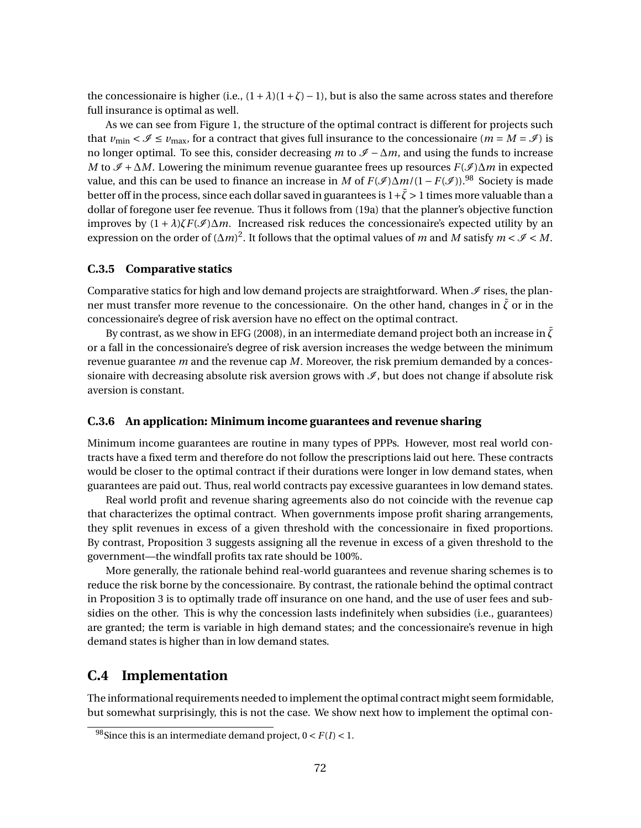the concessionaire is higher (i.e.,  $(1+\lambda)(1+\zeta)-1$ ), but is also the same across states and therefore full insurance is optimal as well.

As we can see from Figure 1, the structure of the optimal contract is different for projects such that  $v_{\text{min}} < \mathcal{I} \le v_{\text{max}}$ , for a contract that gives full insurance to the concessionaire ( $m = M = \mathcal{I}$ ) is no longer optimal. To see this, consider decreasing *m* to  $\mathscr{I} - \Delta m$ , and using the funds to increase *M* to  $\mathcal{I} + \Delta M$ . Lowering the minimum revenue guarantee frees up resources *F*( $\mathcal{I}$ )∆*m* in expected value, and this can be used to finance an increase in *M* of  $F(\mathcal{I})\Delta m/(1 - F(\mathcal{I}))$ .<sup>98</sup> Society is made better off in the process, since each dollar saved in guarantees is  $1+\bar{\zeta} > 1$  times more valuable than a dollar of foregone user fee revenue. Thus it follows from (19a) that the planner's objective function improves by  $(1 + \lambda)\zeta F(\mathcal{I})\Delta m$ . Increased risk reduces the concessionaire's expected utility by an expression on the order of  $(\Delta m)^2$ . It follows that the optimal values of *m* and *M* satisfy  $m < \mathcal{I} < M$ .

# **C.3.5 Comparative statics**

Comparative statics for high and low demand projects are straightforward. When  $\mathscr I$  rises, the planner must transfer more revenue to the concessionaire. On the other hand, changes in  $\bar{\zeta}$  or in the concessionaire's degree of risk aversion have no effect on the optimal contract.

By contrast, as we show in EFG (2008), in an intermediate demand project both an increase in  $\zeta$ or a fall in the concessionaire's degree of risk aversion increases the wedge between the minimum revenue guarantee *m* and the revenue cap *M*. Moreover, the risk premium demanded by a concessionaire with decreasing absolute risk aversion grows with  $\mathcal{I}$ , but does not change if absolute risk aversion is constant.

#### **C.3.6 An application: Minimum income guarantees and revenue sharing**

Minimum income guarantees are routine in many types of PPPs. However, most real world contracts have a fixed term and therefore do not follow the prescriptions laid out here. These contracts would be closer to the optimal contract if their durations were longer in low demand states, when guarantees are paid out. Thus, real world contracts pay excessive guarantees in low demand states.

Real world profit and revenue sharing agreements also do not coincide with the revenue cap that characterizes the optimal contract. When governments impose profit sharing arrangements, they split revenues in excess of a given threshold with the concessionaire in fixed proportions. By contrast, Proposition 3 suggests assigning all the revenue in excess of a given threshold to the government—the windfall profits tax rate should be 100%.

More generally, the rationale behind real-world guarantees and revenue sharing schemes is to reduce the risk borne by the concessionaire. By contrast, the rationale behind the optimal contract in Proposition 3 is to optimally trade off insurance on one hand, and the use of user fees and subsidies on the other. This is why the concession lasts indefinitely when subsidies (i.e., guarantees) are granted; the term is variable in high demand states; and the concessionaire's revenue in high demand states is higher than in low demand states.

# **C.4 Implementation**

The informational requirements needed to implement the optimal contract might seem formidable, but somewhat surprisingly, this is not the case. We show next how to implement the optimal con-

<sup>&</sup>lt;sup>98</sup>Since this is an intermediate demand project,  $0 < F(I) < 1$ .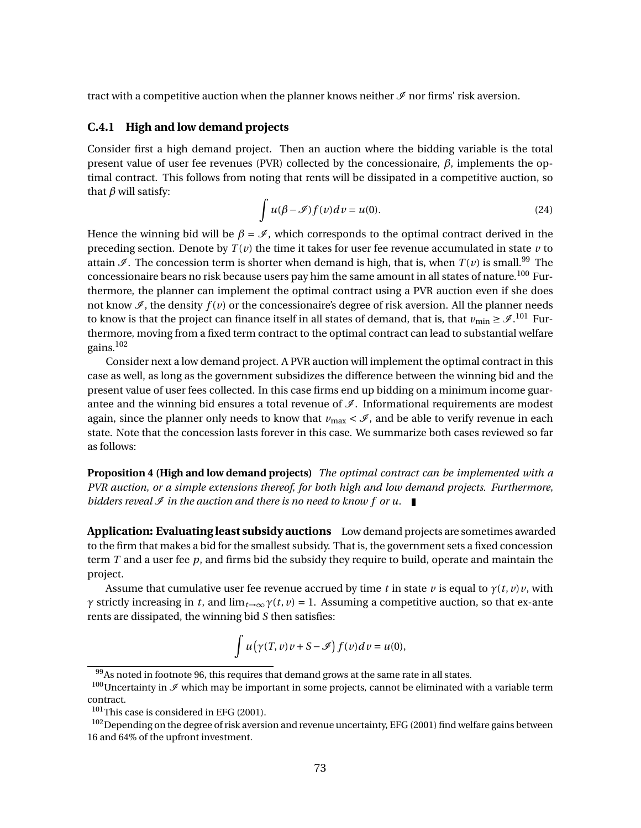tract with a competitive auction when the planner knows neither  $\mathcal I$  nor firms' risk aversion.

# **C.4.1 High and low demand projects**

Consider first a high demand project. Then an auction where the bidding variable is the total present value of user fee revenues (PVR) collected by the concessionaire, *β*, implements the optimal contract. This follows from noting that rents will be dissipated in a competitive auction, so that *β* will satisfy:

$$
\int u(\beta - \mathcal{I}) f(v) dv = u(0).
$$
 (24)

Hence the winning bid will be  $\beta = \mathcal{I}$ , which corresponds to the optimal contract derived in the preceding section. Denote by  $T(v)$  the time it takes for user fee revenue accumulated in state  $v$  to attain  $\mathcal{I}$ . The concession term is shorter when demand is high, that is, when  $T(v)$  is small.<sup>99</sup> The concessionaire bears no risk because users pay him the same amount in all states of nature.<sup>100</sup> Furthermore, the planner can implement the optimal contract using a PVR auction even if she does not know  $\mathcal{I}$ , the density  $f(v)$  or the concessionaire's degree of risk aversion. All the planner needs to know is that the project can finance itself in all states of demand, that is, that  $v_{\min} \geq \mathscr{I}.^{101}$  Furthermore, moving from a fixed term contract to the optimal contract can lead to substantial welfare gains.<sup>102</sup>

Consider next a low demand project. A PVR auction will implement the optimal contract in this case as well, as long as the government subsidizes the difference between the winning bid and the present value of user fees collected. In this case firms end up bidding on a minimum income guarantee and the winning bid ensures a total revenue of  $\mathcal{I}$ . Informational requirements are modest again, since the planner only needs to know that  $v_{\text{max}} < \mathcal{I}$ , and be able to verify revenue in each state. Note that the concession lasts forever in this case. We summarize both cases reviewed so far as follows:

**Proposition 4 (High and low demand projects)** *The optimal contract can be implemented with a PVR auction, or a simple extensions thereof, for both high and low demand projects. Furthermore, bidders reveal*  $\mathcal I$  *in the auction and there is no need to know f or u.* 

**Application: Evaluating least subsidy auctions** Low demand projects are sometimes awarded to the firm that makes a bid for the smallest subsidy. That is, the government sets a fixed concession term *T* and a user fee *p*, and firms bid the subsidy they require to build, operate and maintain the project.

Assume that cumulative user fee revenue accrued by time *t* in state *v* is equal to  $\gamma(t, v)v$ , with *γ* strictly increasing in *t*, and  $\lim_{t\to\infty} \gamma(t, v) = 1$ . Assuming a competitive auction, so that ex-ante rents are dissipated, the winning bid *S* then satisfies:

$$
\int u(\gamma(T,v)v+S-\mathscr{I})f(v)dv=u(0),
$$

<sup>&</sup>lt;sup>99</sup>As noted in footnote 96, this requires that demand grows at the same rate in all states.

 $100$ Uncertainty in  $\mathcal I$  which may be important in some projects, cannot be eliminated with a variable term contract.

<sup>101</sup>This case is considered in EFG (2001).

<sup>&</sup>lt;sup>102</sup>Depending on the degree of risk aversion and revenue uncertainty, EFG (2001) find welfare gains between 16 and 64% of the upfront investment.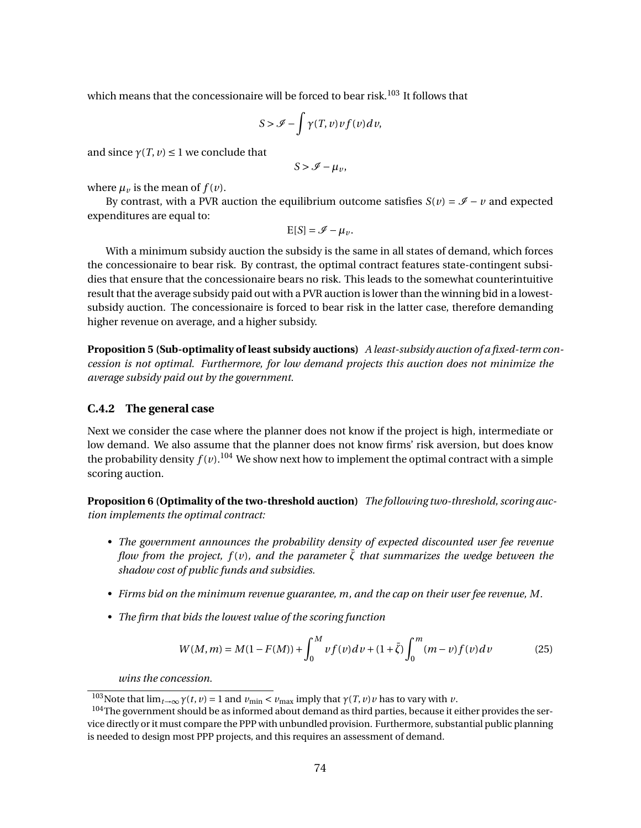which means that the concessionaire will be forced to bear risk.<sup>103</sup> It follows that

$$
S > \mathcal{I} - \int \gamma(T, v) v f(v) dv,
$$

and since  $\gamma(T, v) \leq 1$  we conclude that

$$
S > \mathcal{I} - \mu_{\nu},
$$

where  $\mu_{\nu}$  is the mean of  $f(\nu)$ .

By contrast, with a PVR auction the equilibrium outcome satisfies  $S(v) = \mathcal{I} - v$  and expected expenditures are equal to:

$$
E[S] = \mathscr{I} - \mu_{\nu}.
$$

With a minimum subsidy auction the subsidy is the same in all states of demand, which forces the concessionaire to bear risk. By contrast, the optimal contract features state-contingent subsidies that ensure that the concessionaire bears no risk. This leads to the somewhat counterintuitive result that the average subsidy paid out with a PVR auction is lower than the winning bid in a lowestsubsidy auction. The concessionaire is forced to bear risk in the latter case, therefore demanding higher revenue on average, and a higher subsidy.

**Proposition 5 (Sub-optimality of least subsidy auctions)** *A least-subsidy auction of a fixed-term concession is not optimal. Furthermore, for low demand projects this auction does not minimize the average subsidy paid out by the government.*

# **C.4.2 The general case**

Next we consider the case where the planner does not know if the project is high, intermediate or low demand. We also assume that the planner does not know firms' risk aversion, but does know the probability density  $f(v)$ .<sup>104</sup> We show next how to implement the optimal contract with a simple scoring auction.

**Proposition 6 (Optimality of the two-threshold auction)** *The following two-threshold, scoring auction implements the optimal contract:*

- *• The government announces the probability density of expected discounted user fee revenue flow from the project, f(v), and the parameter*  $\zeta$  *that summarizes the wedge between the shadow cost of public funds and subsidies.*
- *• Firms bid on the minimum revenue guarantee, m, and the cap on their user fee revenue, M.*
- *• The firm that bids the lowest value of the scoring function*

$$
W(M,m) = M(1 - F(M)) + \int_0^M v f(v) dv + (1 + \bar{\zeta}) \int_0^m (m - v) f(v) dv \tag{25}
$$

*wins the concession.*

<sup>&</sup>lt;sup>103</sup>Note that  $\lim_{t\to\infty} \gamma(t, v) = 1$  and  $v_{\min} < v_{\max}$  imply that  $\gamma(T, v) v$  has to vary with *v*.

<sup>&</sup>lt;sup>104</sup>The government should be as informed about demand as third parties, because it either provides the service directly or it must compare the PPP with unbundled provision. Furthermore, substantial public planning is needed to design most PPP projects, and this requires an assessment of demand.